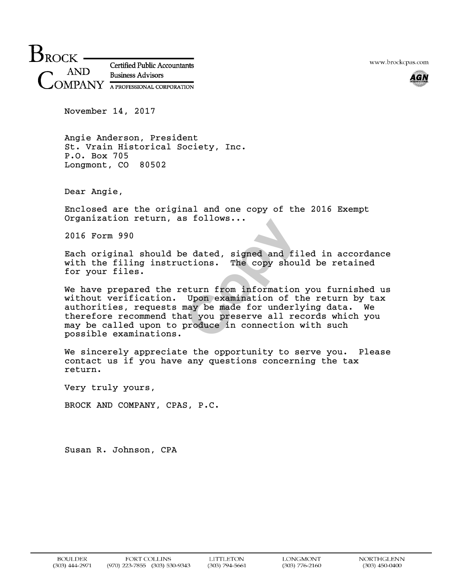$B_{ROCK}$ **Certified Public Accountants AND Business Advisors** MPANY A PROFESSIONAL CORPORATION

www.brockcpas.com



November 14, 2017

Angie Anderson, President St. Vrain Historical Society, Inc. P.O. Box 705 Longmont, CO 80502

Dear Angie,

Enclosed are the original and one copy of the 2016 Exempt Organization return, as follows...

2016 Form 990

Each original should be dated, signed and filed in accordance with the filing instructions. The copy should be retained for your files.

e dated, signed and file<br>ctions. The copy should<br>eturn from information you<br>Upon examination of the<br>may be made for underlying<br>at you preserve all recomproduce in connection with We have prepared the return from information you furnished us without verification. Upon examination of the return by tax authorities, requests may be made for underlying data. We therefore recommend that you preserve all records which you may be called upon to produce in connection with such possible examinations.

We sincerely appreciate the opportunity to serve you. Please contact us if you have any questions concerning the tax return.

Very truly yours,

BROCK AND COMPANY, CPAS, P.C.

Susan R. Johnson, CPA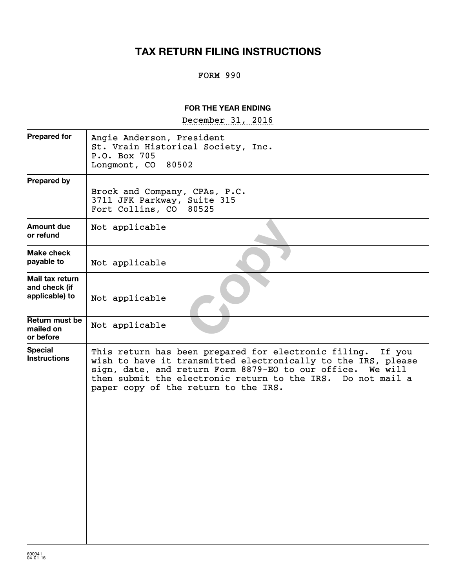# **TAX RETURN FILING INSTRUCTIONS**

#### FORM 990

#### **FOR THE YEAR ENDING**

~~~~~~~~~~~~~~~~~ December 31, 2016

| <b>Prepared for</b>                                | Angie Anderson, President<br>St. Vrain Historical Society, Inc.<br>P.O. Box 705<br>Longmont, CO 80502                                                                                                                                                                                                |
|----------------------------------------------------|------------------------------------------------------------------------------------------------------------------------------------------------------------------------------------------------------------------------------------------------------------------------------------------------------|
| <b>Prepared by</b>                                 | Brock and Company, CPAs, P.C.<br>3711 JFK Parkway, Suite 315<br>Fort Collins, CO<br>80525                                                                                                                                                                                                            |
| <b>Amount due</b><br>or refund                     | Not applicable                                                                                                                                                                                                                                                                                       |
| <b>Make check</b><br>payable to                    | Not applicable                                                                                                                                                                                                                                                                                       |
| Mail tax return<br>and check (if<br>applicable) to | Not applicable                                                                                                                                                                                                                                                                                       |
| Return must be<br>mailed on<br>or before           | Not applicable                                                                                                                                                                                                                                                                                       |
| <b>Special</b><br><b>Instructions</b>              | This return has been prepared for electronic filing.<br>If you<br>wish to have it transmitted electronically to the IRS, please<br>sign, date, and return Form 8879-EO to our office. We will<br>then submit the electronic return to the IRS. Do not mail a<br>paper copy of the return to the IRS. |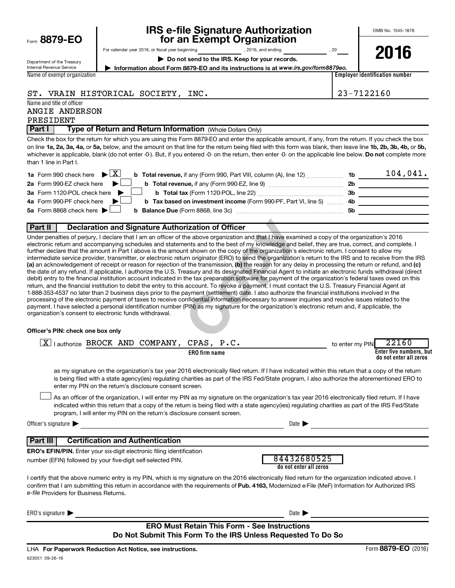|  |  | Form 8879-EO |
|--|--|--------------|
|--|--|--------------|

# **IRS e-file Signature Authorization**<br>**687 for an Exempt Organization**

**2016**

Department of the Treasury Internal Revenue Service

For calendar year 2016, or fiscal year beginning and the set of the set of the set of the set of the set of the set of the set of the set of the set of the set of the set of the set of the set of the set of the set of the

▶ Do not send to the IRS. Keep for your records.

**| Information about Form 8879-EO and its instructions is at**  *www.irs.gov/form8879eo.*

Name of exempt organization

**Employer identification number**

ST. VRAIN HISTORICAL SOCIETY, INC.  $\vert$  23-7122160

Name and title of officer ANGIE ANDERSON PRESIDENT

**Part I** | Type of Return and Return Information (Whole Dollars Only)

on line 1a, 2a, 3a, 4a, or 5a, below, and the amount on that line for the return being filed with this form was blank, then leave line 1b, 2b, 3b, 4b, or 5b, whichever is applicable, blank (do not enter -0-). But, if you entered -0- on the return, then enter -0- on the applicable line below. **Do not** complete more Check the box for the return for which you are using this Form 8879-EO and enter the applicable amount, if any, from the return. If you check the box than 1 line in Part I.

| <b>1a</b> Form 990 check here $\triangleright$ $\boxed{X}$<br><b>b</b> Total revenue, if any (Form 990, Part VIII, column (A), line 12) | 1b        | 104,041. |
|-----------------------------------------------------------------------------------------------------------------------------------------|-----------|----------|
| 2a Form 990-EZ check here $\blacktriangleright$<br><b>b</b> Total revenue, if any (Form 990-EZ, line 9) <i>manageranan</i> manageran    | 2b        |          |
| 3a Form 1120-POL check here<br><b>b</b> Total tax (Form 1120-POL, line 22) <b>Constant Contains</b>                                     | 3b        |          |
| 4a Form 990-PF check here<br><b>b</b> Tax based on investment income (Form 990-PF, Part VI, line 5) 4b                                  |           |          |
| 5a Form 8868 check here $\blacktriangleright$                                                                                           | <b>5b</b> |          |
|                                                                                                                                         |           |          |

#### **Part II Declaration and Signature Authorization of Officer**

**rization of Officer**<br>
the above organization and that I have examined<br>
ents and to the best of my knowledge and belief<br>
int shown on the copy of the organization's electr<br>
um originator (ERO) to send the organization's re (a) an acknowledgement of receipt or reason for rejection of the transmission, (b) the reason for any delay in processing the return or refund, and (c) Under penalties of perjury, I declare that I am an officer of the above organization and that I have examined a copy of the organization's 2016 electronic return and accompanying schedules and statements and to the best of my knowledge and belief, they are true, correct, and complete. I further declare that the amount in Part I above is the amount shown on the copy of the organization's electronic return. I consent to allow my intermediate service provider, transmitter, or electronic return originator (ERO) to send the organization's return to the IRS and to receive from the IRS the date of any refund. If applicable, I authorize the U.S. Treasury and its designated Financial Agent to initiate an electronic funds withdrawal (direct debit) entry to the financial institution account indicated in the tax preparation software for payment of the organization's federal taxes owed on this return, and the financial institution to debit the entry to this account. To revoke a payment, I must contact the U.S. Treasury Financial Agent at 1-888-353-4537 no later than 2 business days prior to the payment (settlement) date. I also authorize the financial institutions involved in the processing of the electronic payment of taxes to receive confidential information necessary to answer inquiries and resolve issues related to the payment. I have selected a personal identification number (PIN) as my signature for the organization's electronic return and, if applicable, the organization's consent to electronic funds withdrawal.

#### **Officer's PIN: check one box only**

| Lauthorize BROCK AND COMPANY,<br>  X                                                                                                                                                                                                                                                                                                                                             | CPAS, P.C.                            | 22160<br>to enter my PIN                          |
|----------------------------------------------------------------------------------------------------------------------------------------------------------------------------------------------------------------------------------------------------------------------------------------------------------------------------------------------------------------------------------|---------------------------------------|---------------------------------------------------|
| <b>ERO</b> firm name                                                                                                                                                                                                                                                                                                                                                             |                                       | Enter five numbers, but<br>do not enter all zeros |
| as my signature on the organization's tax year 2016 electronically filed return. If I have indicated within this return that a copy of the return<br>is being filed with a state agency(ies) regulating charities as part of the IRS Fed/State program, I also authorize the aforementioned ERO to<br>enter my PIN on the return's disclosure consent screen.                    |                                       |                                                   |
| As an officer of the organization, I will enter my PIN as my signature on the organization's tax year 2016 electronically filed return. If I have<br>indicated within this return that a copy of the return is being filed with a state agency(ies) regulating charities as part of the IRS Fed/State<br>program, I will enter my PIN on the return's disclosure consent screen. |                                       |                                                   |
| Officer's signature $\blacktriangleright$                                                                                                                                                                                                                                                                                                                                        | Date <b>I</b>                         |                                                   |
| <b>Part III</b><br><b>Certification and Authentication</b>                                                                                                                                                                                                                                                                                                                       |                                       |                                                   |
| <b>ERO's EFIN/PIN.</b> Enter your six-digit electronic filing identification                                                                                                                                                                                                                                                                                                     |                                       |                                                   |
| number (EFIN) followed by your five-digit self-selected PIN.                                                                                                                                                                                                                                                                                                                     | 84432680525<br>do not enter all zeros |                                                   |
| I certify that the above numeric entry is my PIN, which is my signature on the 2016 electronically filed return for the organization indicated above. I<br>confirm that I am submitting this return in accordance with the requirements of Pub. 4163, Modernized e-File (MeF) Information for Authorized IRS<br>e-file Providers for Business Returns.                           |                                       |                                                   |
| $ERO's$ signature $\blacktriangleright$                                                                                                                                                                                                                                                                                                                                          | Date 1                                |                                                   |

#### **ERO Must Retain This Form - See Instructions Do Not Submit This Form To the IRS Unless Requested To Do So**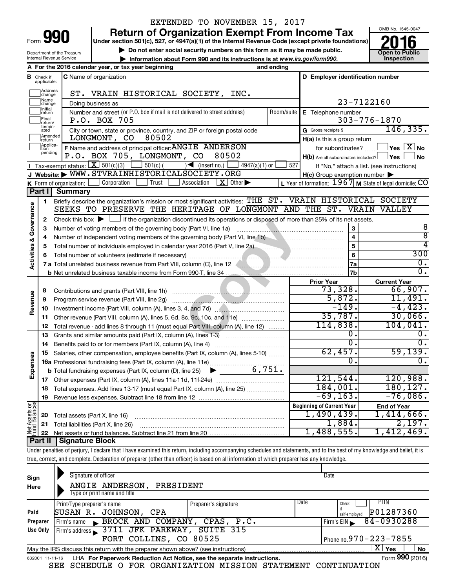|        | 990 |  |
|--------|-----|--|
| Form • |     |  |

#### EXTENDED TO NOVEMBER 15, 2017

**Return of Organization Exempt From Income Tax**<br>Under section 501(c), 527, or 4947(a)(1) of the Internal Revenue Code (except private foundations)<br> **2016** 

**Under section 501(c), 527, or 4947(a)(1) of the Internal Revenue Code (except private foundations)**

▶ Do not enter social security numbers on this form as it may be made public.<br>▶ Information about Form 990 and its instructions is at www.irs.gov/form990. Inspection **• Information about Form 990 and its instructions is at www.irs.gov/form990. and inspection** 



Department of the Treasury Internal Revenue Service

|                         |                               | A For the 2016 calendar year, or tax year beginning                                                                                                                        | and ending   |                                                  |                                                           |
|-------------------------|-------------------------------|----------------------------------------------------------------------------------------------------------------------------------------------------------------------------|--------------|--------------------------------------------------|-----------------------------------------------------------|
|                         | <b>B</b> Check if applicable: | C Name of organization                                                                                                                                                     |              | D Employer identification number                 |                                                           |
|                         | Address<br>change             | ST. VRAIN HISTORICAL SOCIETY, INC.                                                                                                                                         |              |                                                  |                                                           |
|                         | Name<br>change                | Doing business as                                                                                                                                                          |              |                                                  | 23-7122160                                                |
|                         | Initial<br>return             | Number and street (or P.O. box if mail is not delivered to street address)                                                                                                 | Room/suite I | E Telephone number                               |                                                           |
|                         | Final<br>return/              | P.O. BOX 705                                                                                                                                                               |              |                                                  | $303 - 776 - 1870$                                        |
|                         | termin-<br>ated               | City or town, state or province, country, and ZIP or foreign postal code                                                                                                   |              | G Gross receipts \$                              | 146, 335.                                                 |
|                         | Amended<br>Ireturn            | 80502<br>LONGMONT, CO                                                                                                                                                      |              | H(a) Is this a group return                      |                                                           |
|                         | Applica-<br>tion              | F Name and address of principal officer: ANGIE ANDERSON                                                                                                                    |              | for subordinates?                                | $\Box$ Yes $\Box X$ No                                    |
|                         | pending                       | P.O. BOX 705, LONGMONT, CO 80502                                                                                                                                           |              | $H(b)$ Are all subordinates included? $\Box$ Yes | J No                                                      |
|                         |                               | Tax-exempt status: $X \overline{S}$ 501(c)(3) $3 \overline{S}$ 501(c)(<br>$\sqrt{\frac{1}{1}}$ (insert no.)<br>4947(a)(1) or                                               | 527          |                                                  | If "No," attach a list. (see instructions)                |
|                         |                               | J Website: WWW.STVRAINHISTORICALSOCIETY.ORG                                                                                                                                |              | H(c) Group exemption number                      |                                                           |
|                         |                               | Trust<br>Association<br>$\mid X \mid$ Other $\blacktriangleright$<br>Corporation<br>K Form of organization: $\lfloor$                                                      |              |                                                  | L Year of formation: $1967$ M State of legal domicile: CO |
|                         | Part I                        | <b>Summary</b>                                                                                                                                                             |              |                                                  |                                                           |
|                         | 1                             | Briefly describe the organization's mission or most significant activities: THE ST. VRAIN HISTORICAL SOCIETY                                                               |              |                                                  |                                                           |
|                         |                               | SEEKS TO PRESERVE THE HERITAGE OF LONGMONT AND THE ST. VRAIN VALLEY                                                                                                        |              |                                                  |                                                           |
| Governance              | 2                             | Check this box $\blacktriangleright$ $\Box$ if the organization discontinued its operations or disposed of more than 25% of its net assets.                                |              |                                                  |                                                           |
|                         | 3                             | Number of voting members of the governing body (Part VI, line 1a)                                                                                                          |              | 3                                                | 8                                                         |
|                         | 4                             | Number of independent voting members of the governing body (Part VI, line 1b) [100] [100] [100] [100] [100] [1                                                             |              | $\overline{\mathbf{4}}$                          | $\overline{\bf 8}$                                        |
| <b>Activities &amp;</b> | 5                             |                                                                                                                                                                            |              | 5                                                | 4                                                         |
|                         | 6                             |                                                                                                                                                                            |              | 6                                                | 300                                                       |
|                         |                               |                                                                                                                                                                            |              | 7a                                               | 0.                                                        |
|                         |                               |                                                                                                                                                                            |              | 7b                                               | $\overline{0}$ .                                          |
|                         |                               |                                                                                                                                                                            |              | <b>Prior Year</b>                                | <b>Current Year</b>                                       |
|                         | 8                             |                                                                                                                                                                            |              | 73,328.                                          | 66,907.                                                   |
| Revenue                 | 9                             |                                                                                                                                                                            |              | 5,872.                                           | 11,491.                                                   |
|                         | 10                            |                                                                                                                                                                            |              | $-149.$                                          | $-4, 423.$                                                |
|                         | 11                            | Other revenue (Part VIII, column (A), lines 5, 6d, 8c, 9c, 10c, and 11e)                                                                                                   |              | 35,787.                                          | 30,066.                                                   |
|                         | 12                            | Total revenue - add lines 8 through 11 (must equal Part VIII, column (A), line 12)                                                                                         |              | 114,838.                                         | 104,041.                                                  |
|                         | 13                            | Grants and similar amounts paid (Part IX, column (A), lines 1-3)                                                                                                           |              | о.<br>$\overline{0}$ .                           | $0$ .<br>$\overline{0}$ .                                 |
|                         | 14                            |                                                                                                                                                                            |              | 62,457.                                          | 59,139.                                                   |
| Expenses                | 15                            | Salaries, other compensation, employee benefits (Part IX, column (A), lines 5-10)                                                                                          |              | 0.                                               | 0.                                                        |
|                         |                               | 6,751.                                                                                                                                                                     |              |                                                  |                                                           |
|                         |                               | <b>b</b> Total fundraising expenses (Part IX, column (D), line 25)                                                                                                         |              | 121,544.                                         | 120,988.                                                  |
|                         | 17                            |                                                                                                                                                                            |              | 184,001.                                         | 180, 127.                                                 |
|                         |                               | 18 Total expenses. Add lines 13-17 (must equal Part IX, column (A), line 25)                                                                                               |              | $-69, 163.$                                      | $-76,086$ .                                               |
|                         |                               | 19 Revenue less expenses. Subtract line 18 from line 12                                                                                                                    |              |                                                  |                                                           |
|                         |                               |                                                                                                                                                                            |              | <b>Beginning of Current Year</b><br>1,490,439.   | <b>End of Year</b><br>1,414,666.                          |
|                         | 20                            | Total assets (Part X, line 16)                                                                                                                                             |              | 1,884.                                           | 2,197.                                                    |
| Net Assets or           | 21                            | Total liabilities (Part X, line 26)                                                                                                                                        |              | 1,488,555.                                       | 1,412,469.                                                |
|                         | 22<br>Part II                 | <b>Signature Block</b>                                                                                                                                                     |              |                                                  |                                                           |
|                         |                               | Under penalties of perjury, I declare that I have examined this return, including accompanying schedules and statements, and to the best of my knowledge and belief, it is |              |                                                  |                                                           |
|                         |                               |                                                                                                                                                                            |              |                                                  |                                                           |

true, correct, and complete. Declaration of preparer (other than officer) is based on all information of which preparer has any knowledge.

| Sign<br>Here | Signature of officer<br>ANGIE ANDERSON,<br>PRESIDENT<br>Type or print name and title                                  |                      |      | Date                                               |  |  |  |
|--------------|-----------------------------------------------------------------------------------------------------------------------|----------------------|------|----------------------------------------------------|--|--|--|
| Paid         | Print/Type preparer's name<br>SUSAN R. JOHNSON, CPA                                                                   | Preparer's signature | Date | <b>PTIN</b><br>Check<br>P01287360<br>self-employed |  |  |  |
| Preparer     | Firm's name BROCK AND COMPANY, CPAS, P.C.                                                                             |                      |      | 84-0930288<br>Firm's EIN                           |  |  |  |
| Use Only     | Firm's address 3711 JFK PARKWAY, SUITE 315                                                                            |                      |      |                                                    |  |  |  |
|              | Phone no.970 - 223 - 7855<br>FORT COLLINS, CO 80525                                                                   |                      |      |                                                    |  |  |  |
|              | $\mathbf{X}$<br><b>No</b><br>Yes<br>May the IRS discuss this return with the preparer shown above? (see instructions) |                      |      |                                                    |  |  |  |
|              | Form 990 (2016)<br>LHA For Paperwork Reduction Act Notice, see the separate instructions.<br>632001 11-11-16          |                      |      |                                                    |  |  |  |

SEE SCHEDULE O FOR ORGANIZATION MISSION STATEMENT CONTINUATION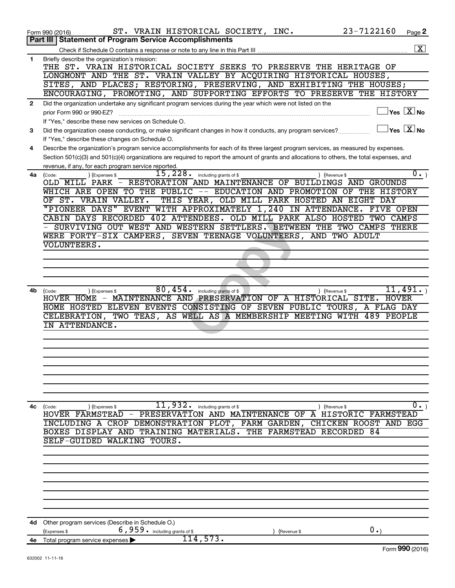|              | 23-7122160<br>ST. VRAIN HISTORICAL SOCIETY, INC.<br>Page 2<br>Form 990 (2016)                                                                               |
|--------------|-------------------------------------------------------------------------------------------------------------------------------------------------------------|
|              | <b>Part III   Statement of Program Service Accomplishments</b>                                                                                              |
|              | $\boxed{\textbf{X}}$                                                                                                                                        |
| $\mathbf{1}$ | Briefly describe the organization's mission:                                                                                                                |
|              | THE ST. VRAIN HISTORICAL SOCIETY SEEKS TO PRESERVE THE HERITAGE OF                                                                                          |
|              | LONGMONT AND THE ST. VRAIN VALLEY BY ACQUIRING HISTORICAL HOUSES,                                                                                           |
|              | SITES, AND PLACES; RESTORING, PRESERVING, AND EXHIBITING THE HOUSES;                                                                                        |
|              | ENCOURAGING, PROMOTING, AND SUPPORTING EFFORTS TO PRESERVE THE HISTORY                                                                                      |
| $\mathbf{2}$ | Did the organization undertake any significant program services during the year which were not listed on the                                                |
|              | $\sqrt{}$ Yes $\sqrt{}$ $\overline{\rm X}$ No<br>prior Form 990 or 990-EZ?                                                                                  |
|              | If "Yes," describe these new services on Schedule O.                                                                                                        |
| 3            | $\vert$ Yes $\vert$ $\mathrm{X}$ $\vert$ No<br>Did the organization cease conducting, or make significant changes in how it conducts, any program services? |
|              | If "Yes," describe these changes on Schedule O.                                                                                                             |
| 4            | Describe the organization's program service accomplishments for each of its three largest program services, as measured by expenses.                        |
|              | Section 501(c)(3) and 501(c)(4) organizations are required to report the amount of grants and allocations to others, the total expenses, and                |
|              | revenue, if any, for each program service reported.                                                                                                         |
| 4a l         | 15,228.<br>$\overline{0}$ .)<br>including grants of \$<br>(Code:<br>(Expenses \$<br>) (Revenue \$                                                           |
|              | OLD MILL PARK - RESTORATION AND MAINTENANCE OF BUILDINGS AND GROUNDS                                                                                        |
|              | WHICH ARE OPEN TO THE PUBLIC -- EDUCATION AND PROMOTION OF THE HISTORY                                                                                      |
|              | OF ST. VRAIN VALLEY.<br>THIS YEAR, OLD MILL PARK HOSTED AN EIGHT DAY                                                                                        |
|              | "PIONEER DAYS" EVENT WITH APPROXIMATELY 1,240 IN ATTENDANCE.<br>FIVE OPEN<br>CABIN DAYS RECORDED 402 ATTENDEES. OLD MILL PARK ALSO HOSTED TWO CAMPS         |
|              | SURVIVING OUT WEST AND WESTERN SETTLERS. BETWEEN THE TWO CAMPS THERE                                                                                        |
|              | WERE FORTY-SIX CAMPERS, SEVEN TEENAGE VOLUNTEERS, AND TWO ADULT                                                                                             |
|              | VOLUNTEERS.                                                                                                                                                 |
|              |                                                                                                                                                             |
|              |                                                                                                                                                             |
|              |                                                                                                                                                             |
|              |                                                                                                                                                             |
| 4b.          | 80,454.<br>11,491.<br>including grants of \$<br>(Expenses \$<br>) (Revenue \$<br>(Code:                                                                     |
|              | HOVER HOME - MAINTENANCE AND PRESERVATION OF A HISTORICAL SITE. HOVER                                                                                       |
|              | HOME HOSTED ELEVEN EVENTS CONSISTING OF SEVEN PUBLIC TOURS, A FLAG DAY                                                                                      |
|              | CELEBRATION, TWO TEAS, AS WELL AS A MEMBERSHIP MEETING WITH<br>489 PEOPLE                                                                                   |
|              | IN ATTENDANCE.                                                                                                                                              |
|              |                                                                                                                                                             |
|              |                                                                                                                                                             |
|              |                                                                                                                                                             |
|              |                                                                                                                                                             |
|              |                                                                                                                                                             |
|              |                                                                                                                                                             |
|              |                                                                                                                                                             |
|              |                                                                                                                                                             |
| 4с           | $11,932$ $\cdot$ including grants of \$<br>$0 \cdot$ )<br>(Code:<br>(Expenses \$<br>) (Revenue \$                                                           |
|              | HOVER FARMSTEAD - PRESERVATION AND MAINTENANCE OF A HISTORIC FARMSTEAD                                                                                      |
|              | INCLUDING A CROP DEMONSTRATION PLOT, FARM GARDEN, CHICKEN ROOST AND EGG                                                                                     |
|              | BOXES DISPLAY AND TRAINING MATERIALS. THE FARMSTEAD RECORDED 84                                                                                             |
|              | SELF-GUIDED WALKING TOURS.                                                                                                                                  |
|              |                                                                                                                                                             |
|              |                                                                                                                                                             |
|              |                                                                                                                                                             |
|              |                                                                                                                                                             |
|              |                                                                                                                                                             |
|              |                                                                                                                                                             |
|              |                                                                                                                                                             |
|              |                                                                                                                                                             |
| 4d           | Other program services (Describe in Schedule O.)<br>6,959. including grants of \$<br>0.                                                                     |
|              | (Expenses \$<br>(Revenue \$<br>114,573.                                                                                                                     |
|              | 4e Total program service expenses<br>$F_{\text{O}}$ QQ $\Omega$ (2016)                                                                                      |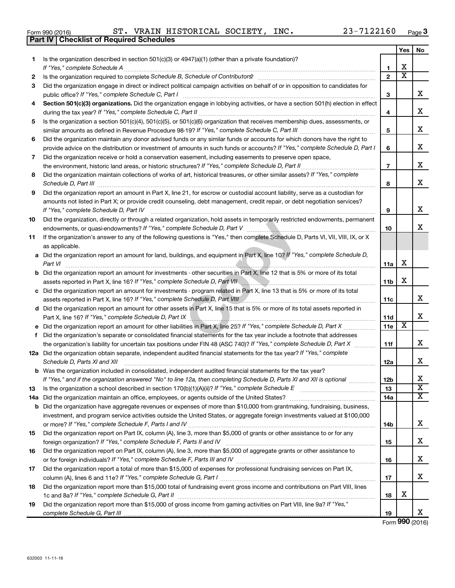632003 11-11-16

|     | 23-7122160<br>ST. VRAIN HISTORICAL SOCIETY, INC.<br>Form 990 (2016)                                                                                                                                                                 |                 |                         | Page |
|-----|-------------------------------------------------------------------------------------------------------------------------------------------------------------------------------------------------------------------------------------|-----------------|-------------------------|------|
|     | <b>Checklist of Required Schedules</b><br>Part IV                                                                                                                                                                                   |                 |                         |      |
|     |                                                                                                                                                                                                                                     |                 | Yes                     | No   |
| 1.  | Is the organization described in section 501(c)(3) or 4947(a)(1) (other than a private foundation)?                                                                                                                                 |                 |                         |      |
|     |                                                                                                                                                                                                                                     | 1               | x                       |      |
| 2   |                                                                                                                                                                                                                                     | $\overline{2}$  | X                       |      |
| 3   | Did the organization engage in direct or indirect political campaign activities on behalf of or in opposition to candidates for                                                                                                     |                 |                         |      |
|     |                                                                                                                                                                                                                                     | з               |                         | х    |
| 4   | Section 501(c)(3) organizations. Did the organization engage in lobbying activities, or have a section 501(h) election in effect                                                                                                    |                 |                         |      |
|     |                                                                                                                                                                                                                                     | 4               |                         | х    |
| 5.  | Is the organization a section 501(c)(4), 501(c)(5), or 501(c)(6) organization that receives membership dues, assessments, or                                                                                                        |                 |                         |      |
|     |                                                                                                                                                                                                                                     | 5               |                         | х    |
| 6   | Did the organization maintain any donor advised funds or any similar funds or accounts for which donors have the right to                                                                                                           |                 |                         |      |
|     | provide advice on the distribution or investment of amounts in such funds or accounts? If "Yes," complete Schedule D, Part I                                                                                                        | 6               |                         | х    |
| 7   | Did the organization receive or hold a conservation easement, including easements to preserve open space,                                                                                                                           |                 |                         |      |
|     |                                                                                                                                                                                                                                     | $\overline{7}$  |                         | X    |
| 8   | Did the organization maintain collections of works of art, historical treasures, or other similar assets? If "Yes," complete                                                                                                        |                 |                         |      |
|     | Schedule D, Part III <b>Process Construction Construction Construction</b> Construction Construction Construction Construction Construction Construction Construction Construction Construction Construction Construction Construct | 8               |                         | х    |
| 9   | Did the organization report an amount in Part X, line 21, for escrow or custodial account liability, serve as a custodian for                                                                                                       |                 |                         |      |
|     | amounts not listed in Part X; or provide credit counseling, debt management, credit repair, or debt negotiation services?                                                                                                           |                 |                         |      |
|     | If "Yes," complete Schedule D, Part IV                                                                                                                                                                                              | 9               |                         | х    |
| 10  | Did the organization, directly or through a related organization, hold assets in temporarily restricted endowments, permanent                                                                                                       |                 |                         |      |
|     |                                                                                                                                                                                                                                     | 10              |                         | х    |
| 11  | If the organization's answer to any of the following questions is "Yes," then complete Schedule D, Parts VI, VII, VIII, IX, or X                                                                                                    |                 |                         |      |
|     | as applicable.                                                                                                                                                                                                                      |                 |                         |      |
|     | a Did the organization report an amount for land, buildings, and equipment in Part X, line 10? If "Yes," complete Schedule D,                                                                                                       |                 |                         |      |
|     | Part VI                                                                                                                                                                                                                             | 11a             | х                       |      |
|     | <b>b</b> Did the organization report an amount for investments - other securities in Part X, line 12 that is 5% or more of its total                                                                                                |                 |                         |      |
|     |                                                                                                                                                                                                                                     | 11 <sub>b</sub> | х                       |      |
|     | c Did the organization report an amount for investments - program related in Part X, line 13 that is 5% or more of its total                                                                                                        |                 |                         |      |
|     | assets reported in Part X, line 16? If "Yes," complete Schedule D, Part VIII                                                                                                                                                        | 11c             |                         | х    |
|     | d Did the organization report an amount for other assets in Part X, line 15 that is 5% or more of its total assets reported in                                                                                                      |                 |                         |      |
|     | Part X, line 16? If "Yes," complete Schedule D, Part IX                                                                                                                                                                             | 11d             |                         | х    |
| е   |                                                                                                                                                                                                                                     | <b>11e</b>      | $\overline{\mathbf{x}}$ |      |
|     | f Did the organization's separate or consolidated financial statements for the tax year include a footnote that addresses                                                                                                           |                 |                         |      |
|     | the organization's liability for uncertain tax positions under FIN 48 (ASC 740)? If "Yes," complete Schedule D, Part X                                                                                                              | 11f             |                         | х    |
|     | 12a Did the organization obtain separate, independent audited financial statements for the tax year? If "Yes," complete                                                                                                             |                 |                         |      |
|     | Schedule D, Parts XI and XII                                                                                                                                                                                                        | 12a             |                         | х    |
|     | <b>b</b> Was the organization included in consolidated, independent audited financial statements for the tax year?                                                                                                                  |                 |                         |      |
|     | If "Yes," and if the organization answered "No" to line 12a, then completing Schedule D, Parts XI and XII is optional <i>maniming</i>                                                                                               | 12 <sub>b</sub> |                         | Χ    |
| 13  |                                                                                                                                                                                                                                     | 13              |                         | X    |
| 14a |                                                                                                                                                                                                                                     | 14a             |                         | х    |
|     | <b>b</b> Did the organization have aggregate revenues or expenses of more than \$10,000 from grantmaking, fundraising, business,                                                                                                    |                 |                         |      |
|     | investment, and program service activities outside the United States, or aggregate foreign investments valued at \$100,000                                                                                                          |                 |                         |      |
|     |                                                                                                                                                                                                                                     | 14b             |                         | х    |
| 15  | Did the organization report on Part IX, column (A), line 3, more than \$5,000 of grants or other assistance to or for any                                                                                                           |                 |                         |      |
|     | foreign organization? If "Yes," complete Schedule F, Parts II and IV                                                                                                                                                                | 15              |                         | х    |
| 16  | Did the organization report on Part IX, column (A), line 3, more than \$5,000 of aggregate grants or other assistance to                                                                                                            |                 |                         |      |
|     |                                                                                                                                                                                                                                     | 16              |                         | х    |
| 17  | Did the organization report a total of more than \$15,000 of expenses for professional fundraising services on Part IX,                                                                                                             |                 |                         |      |
|     | column (A), lines 6 and 11e? If "Yes," complete Schedule G, Part I                                                                                                                                                                  | 17              |                         | Χ    |

**19** 1c and 8a? If "Yes," complete Schedule G, Part II **mature complete out and the set of the set of the set of the s** Did the organization report more than \$15,000 of gross income from gaming activities on Part VIII, line 9a? If "Yes," *complete Schedule G, Part III* 

Did the organization report more than \$15,000 total of fundraising event gross income and contributions on Part VIII, lines

Form (2016) **990**

X

**18**

**19**

**Yes No**

X

X

X

X

X

X

X

X

X

X

X

X

X X X

X

X

X

X

X

| Form 990 (2016) |  |
|-----------------|--|
| Part IV   Che   |  |

**18**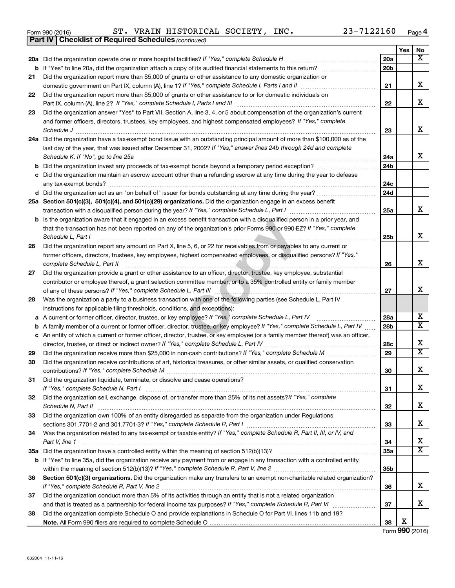|  | Form 990 (2016) |  |
|--|-----------------|--|
|  |                 |  |

*(continued)* **Part IV Checklist of Required Schedules**

Form 990 (2016) Page ST. VRAIN HISTORICAL SOCIETY, INC. 23-7122160

|    |                                                                                                                                    |                 | Yes | No                           |
|----|------------------------------------------------------------------------------------------------------------------------------------|-----------------|-----|------------------------------|
|    | 20a Did the organization operate one or more hospital facilities? If "Yes," complete Schedule H                                    | 20a             |     | $\overline{\mathbf{X}}$      |
|    | <b>b</b> If "Yes" to line 20a, did the organization attach a copy of its audited financial statements to this return?              | 20 <sub>b</sub> |     |                              |
| 21 | Did the organization report more than \$5,000 of grants or other assistance to any domestic organization or                        |                 |     |                              |
|    | domestic government on Part IX, column (A), line 1? If "Yes," complete Schedule I, Parts I and II                                  | 21              |     | x                            |
| 22 | Did the organization report more than \$5,000 of grants or other assistance to or for domestic individuals on                      |                 |     |                              |
|    | Part IX, column (A), line 2? If "Yes," complete Schedule I, Parts I and III [11]] [11]] [11] [11] [11] [11] [1                     | 22              |     | x                            |
| 23 | Did the organization answer "Yes" to Part VII, Section A, line 3, 4, or 5 about compensation of the organization's current         |                 |     |                              |
|    | and former officers, directors, trustees, key employees, and highest compensated employees? If "Yes," complete                     |                 |     |                              |
|    | Schedule J                                                                                                                         | 23              |     | X                            |
|    | 24a Did the organization have a tax-exempt bond issue with an outstanding principal amount of more than \$100,000 as of the        |                 |     |                              |
|    | last day of the year, that was issued after December 31, 2002? If "Yes," answer lines 24b through 24d and complete                 |                 |     |                              |
|    | Schedule K. If "No", go to line 25a                                                                                                | 24a             |     | x                            |
| b  | Did the organization invest any proceeds of tax-exempt bonds beyond a temporary period exception?                                  | 24b             |     |                              |
| с  | Did the organization maintain an escrow account other than a refunding escrow at any time during the year to defease               | 24c             |     |                              |
|    | any tax-exempt bonds?<br>d Did the organization act as an "on behalf of" issuer for bonds outstanding at any time during the year? | 24d             |     |                              |
|    | 25a Section 501(c)(3), 501(c)(4), and 501(c)(29) organizations. Did the organization engage in an excess benefit                   |                 |     |                              |
|    |                                                                                                                                    | 25a             |     | x                            |
| b  | Is the organization aware that it engaged in an excess benefit transaction with a disqualified person in a prior year, and         |                 |     |                              |
|    | that the transaction has not been reported on any of the organization's prior Forms 990 or 990-EZ? If "Yes," complete              |                 |     |                              |
|    | Schedule L, Part I                                                                                                                 | 25b             |     | x                            |
| 26 | Did the organization report any amount on Part X, line 5, 6, or 22 for receivables from or payables to any current or              |                 |     |                              |
|    | former officers, directors, trustees, key employees, highest compensated employees, or disqualified persons? If "Yes,"             |                 |     |                              |
|    | complete Schedule L, Part II                                                                                                       | 26              |     | X                            |
| 27 | Did the organization provide a grant or other assistance to an officer, director, trustee, key employee, substantial               |                 |     |                              |
|    | contributor or employee thereof, a grant selection committee member, or to a 35% controlled entity or family member                |                 |     |                              |
|    |                                                                                                                                    | 27              |     | x                            |
| 28 | Was the organization a party to a business transaction with one of the following parties (see Schedule L, Part IV                  |                 |     |                              |
|    | instructions for applicable filing thresholds, conditions, and exceptions):                                                        |                 |     |                              |
| а  | A current or former officer, director, trustee, or key employee? If "Yes," complete Schedule L, Part IV                            | 28a             |     | x                            |
| b  | A family member of a current or former officer, director, trustee, or key employee? If "Yes," complete Schedule L, Part IV         | 28b             |     | $\overline{\mathtt{x}}$      |
|    | c An entity of which a current or former officer, director, trustee, or key employee (or a family member thereof) was an officer,  |                 |     |                              |
|    | director, trustee, or direct or indirect owner? If "Yes," complete Schedule L, Part IV.                                            | 28c             |     | х<br>$\overline{\mathtt{x}}$ |
| 29 |                                                                                                                                    | 29              |     |                              |
| 30 | Did the organization receive contributions of art, historical treasures, or other similar assets, or qualified conservation        |                 |     | X                            |
| 31 |                                                                                                                                    | 30              |     |                              |
|    | Did the organization liquidate, terminate, or dissolve and cease operations?<br>If "Yes," complete Schedule N, Part I              | 31              |     | х                            |
| 32 | Did the organization sell, exchange, dispose of, or transfer more than 25% of its net assets? If "Yes," complete                   |                 |     |                              |
|    | Schedule N, Part II <b>Marken Commission Commission Commission</b> Commission Commission Commission                                | 32              |     | X                            |
| 33 | Did the organization own 100% of an entity disregarded as separate from the organization under Regulations                         |                 |     |                              |
|    |                                                                                                                                    | 33              |     | х                            |
| 34 | Was the organization related to any tax-exempt or taxable entity? If "Yes," complete Schedule R, Part II, III, or IV, and          |                 |     |                              |
|    | Part V, line 1                                                                                                                     | 34              |     | x                            |
|    |                                                                                                                                    | 35a             |     | $\overline{\mathtt{x}}$      |
|    | b If "Yes" to line 35a, did the organization receive any payment from or engage in any transaction with a controlled entity        |                 |     |                              |
|    |                                                                                                                                    | 35 <sub>b</sub> |     |                              |
| 36 | Section 501(c)(3) organizations. Did the organization make any transfers to an exempt non-charitable related organization?         |                 |     |                              |
|    |                                                                                                                                    | 36              |     | x                            |
| 37 | Did the organization conduct more than 5% of its activities through an entity that is not a related organization                   |                 |     |                              |
|    |                                                                                                                                    | 37              |     | x                            |
| 38 | Did the organization complete Schedule O and provide explanations in Schedule O for Part VI, lines 11b and 19?                     |                 |     |                              |
|    |                                                                                                                                    | 38              | х   |                              |

Form (2016) **990**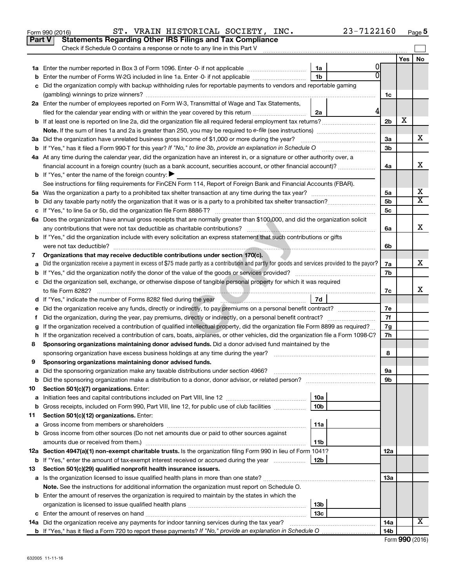| Yes<br>1a<br>1 <sub>b</sub><br>Enter the number of Forms W-2G included in line 1a. Enter -0- if not applicable<br>b<br>Did the organization comply with backup withholding rules for reportable payments to vendors and reportable gaming<br>1c<br>2a Enter the number of employees reported on Form W-3, Transmittal of Wage and Tax Statements,<br>4<br>filed for the calendar year ending with or within the year covered by this return <i>manumumumum</i><br>2a<br>X<br>2 <sub>b</sub><br>3a Did the organization have unrelated business gross income of \$1,000 or more during the year?<br>За<br>3 <sub>b</sub><br>4a At any time during the calendar year, did the organization have an interest in, or a signature or other authority over, a<br>financial account in a foreign country (such as a bank account, securities account, or other financial account)?<br>4a<br><b>b</b> If "Yes," enter the name of the foreign country: $\blacktriangleright$<br>See instructions for filing requirements for FinCEN Form 114, Report of Foreign Bank and Financial Accounts (FBAR).<br>5а<br>5b<br>b<br>5c<br>с<br>6a Does the organization have annual gross receipts that are normally greater than \$100,000, and did the organization solicit<br>6a<br>b If "Yes," did the organization include with every solicitation an express statement that such contributions or gifts<br>6b<br>Organizations that may receive deductible contributions under section 170(c).<br>7<br>Did the organization receive a payment in excess of \$75 made partly as a contribution and partly for goods and services provided to the payor?<br>7a<br>a<br>7b<br>c Did the organization sell, exchange, or otherwise dispose of tangible personal property for which it was required<br>7c<br>7d<br>d If "Yes," indicate the number of Forms 8282 filed during the year [100] [100] [100] [100] [100] [100] [100] [100] [100] [100] [100] [100] [100] [100] [100] [100] [100] [100] [100] [100] [100] [100] [100] [100] [100] [100<br>7е<br>е<br>7f<br>Did the organization, during the year, pay premiums, directly or indirectly, on a personal benefit contract?<br>t.<br>If the organization received a contribution of qualified intellectual property, did the organization file Form 8899 as required?<br>7g<br>7h<br>h If the organization received a contribution of cars, boats, airplanes, or other vehicles, did the organization file a Form 1098-C?<br>Sponsoring organizations maintaining donor advised funds. Did a donor advised fund maintained by the<br>8<br>8<br>Sponsoring organizations maintaining donor advised funds.<br>9<br>эа<br>9b<br><b>b</b> Did the sponsoring organization make a distribution to a donor, donor advisor, or related person?<br>Section 501(c)(7) organizations. Enter:<br>10<br>10a<br>а<br>10 <sub>b</sub><br>Gross receipts, included on Form 990, Part VIII, line 12, for public use of club facilities<br>b<br>Section 501(c)(12) organizations. Enter:<br>11<br>11a<br>а<br>b Gross income from other sources (Do not net amounts due or paid to other sources against<br>amounts due or received from them.)<br>11b |  | Part V<br><b>Statements Regarding Other IRS Filings and Tax Compliance</b><br>Check if Schedule O contains a response or note to any line in this Part V |  |  |     |  |                         |  |  |  |
|---------------------------------------------------------------------------------------------------------------------------------------------------------------------------------------------------------------------------------------------------------------------------------------------------------------------------------------------------------------------------------------------------------------------------------------------------------------------------------------------------------------------------------------------------------------------------------------------------------------------------------------------------------------------------------------------------------------------------------------------------------------------------------------------------------------------------------------------------------------------------------------------------------------------------------------------------------------------------------------------------------------------------------------------------------------------------------------------------------------------------------------------------------------------------------------------------------------------------------------------------------------------------------------------------------------------------------------------------------------------------------------------------------------------------------------------------------------------------------------------------------------------------------------------------------------------------------------------------------------------------------------------------------------------------------------------------------------------------------------------------------------------------------------------------------------------------------------------------------------------------------------------------------------------------------------------------------------------------------------------------------------------------------------------------------------------------------------------------------------------------------------------------------------------------------------------------------------------------------------------------------------------------------------------------------------------------------------------------------------------------------------------------------------------------------------------------------------------------------------------------------------------------------------------------------------------------------------------------------------------------------------------------------------------------------------------------------------------------------------------------------------------------------------------------------------------------------------------------------------------------------------------------------------------------------------------------------------------------------------------------------------------------------------------------------------------------------------------------------------------------------------------------------------------------|--|----------------------------------------------------------------------------------------------------------------------------------------------------------|--|--|-----|--|-------------------------|--|--|--|
|                                                                                                                                                                                                                                                                                                                                                                                                                                                                                                                                                                                                                                                                                                                                                                                                                                                                                                                                                                                                                                                                                                                                                                                                                                                                                                                                                                                                                                                                                                                                                                                                                                                                                                                                                                                                                                                                                                                                                                                                                                                                                                                                                                                                                                                                                                                                                                                                                                                                                                                                                                                                                                                                                                                                                                                                                                                                                                                                                                                                                                                                                                                                                                           |  |                                                                                                                                                          |  |  |     |  | <b>No</b>               |  |  |  |
|                                                                                                                                                                                                                                                                                                                                                                                                                                                                                                                                                                                                                                                                                                                                                                                                                                                                                                                                                                                                                                                                                                                                                                                                                                                                                                                                                                                                                                                                                                                                                                                                                                                                                                                                                                                                                                                                                                                                                                                                                                                                                                                                                                                                                                                                                                                                                                                                                                                                                                                                                                                                                                                                                                                                                                                                                                                                                                                                                                                                                                                                                                                                                                           |  |                                                                                                                                                          |  |  |     |  |                         |  |  |  |
|                                                                                                                                                                                                                                                                                                                                                                                                                                                                                                                                                                                                                                                                                                                                                                                                                                                                                                                                                                                                                                                                                                                                                                                                                                                                                                                                                                                                                                                                                                                                                                                                                                                                                                                                                                                                                                                                                                                                                                                                                                                                                                                                                                                                                                                                                                                                                                                                                                                                                                                                                                                                                                                                                                                                                                                                                                                                                                                                                                                                                                                                                                                                                                           |  |                                                                                                                                                          |  |  |     |  |                         |  |  |  |
|                                                                                                                                                                                                                                                                                                                                                                                                                                                                                                                                                                                                                                                                                                                                                                                                                                                                                                                                                                                                                                                                                                                                                                                                                                                                                                                                                                                                                                                                                                                                                                                                                                                                                                                                                                                                                                                                                                                                                                                                                                                                                                                                                                                                                                                                                                                                                                                                                                                                                                                                                                                                                                                                                                                                                                                                                                                                                                                                                                                                                                                                                                                                                                           |  |                                                                                                                                                          |  |  |     |  |                         |  |  |  |
|                                                                                                                                                                                                                                                                                                                                                                                                                                                                                                                                                                                                                                                                                                                                                                                                                                                                                                                                                                                                                                                                                                                                                                                                                                                                                                                                                                                                                                                                                                                                                                                                                                                                                                                                                                                                                                                                                                                                                                                                                                                                                                                                                                                                                                                                                                                                                                                                                                                                                                                                                                                                                                                                                                                                                                                                                                                                                                                                                                                                                                                                                                                                                                           |  |                                                                                                                                                          |  |  |     |  |                         |  |  |  |
|                                                                                                                                                                                                                                                                                                                                                                                                                                                                                                                                                                                                                                                                                                                                                                                                                                                                                                                                                                                                                                                                                                                                                                                                                                                                                                                                                                                                                                                                                                                                                                                                                                                                                                                                                                                                                                                                                                                                                                                                                                                                                                                                                                                                                                                                                                                                                                                                                                                                                                                                                                                                                                                                                                                                                                                                                                                                                                                                                                                                                                                                                                                                                                           |  |                                                                                                                                                          |  |  |     |  |                         |  |  |  |
|                                                                                                                                                                                                                                                                                                                                                                                                                                                                                                                                                                                                                                                                                                                                                                                                                                                                                                                                                                                                                                                                                                                                                                                                                                                                                                                                                                                                                                                                                                                                                                                                                                                                                                                                                                                                                                                                                                                                                                                                                                                                                                                                                                                                                                                                                                                                                                                                                                                                                                                                                                                                                                                                                                                                                                                                                                                                                                                                                                                                                                                                                                                                                                           |  |                                                                                                                                                          |  |  |     |  |                         |  |  |  |
|                                                                                                                                                                                                                                                                                                                                                                                                                                                                                                                                                                                                                                                                                                                                                                                                                                                                                                                                                                                                                                                                                                                                                                                                                                                                                                                                                                                                                                                                                                                                                                                                                                                                                                                                                                                                                                                                                                                                                                                                                                                                                                                                                                                                                                                                                                                                                                                                                                                                                                                                                                                                                                                                                                                                                                                                                                                                                                                                                                                                                                                                                                                                                                           |  |                                                                                                                                                          |  |  |     |  |                         |  |  |  |
|                                                                                                                                                                                                                                                                                                                                                                                                                                                                                                                                                                                                                                                                                                                                                                                                                                                                                                                                                                                                                                                                                                                                                                                                                                                                                                                                                                                                                                                                                                                                                                                                                                                                                                                                                                                                                                                                                                                                                                                                                                                                                                                                                                                                                                                                                                                                                                                                                                                                                                                                                                                                                                                                                                                                                                                                                                                                                                                                                                                                                                                                                                                                                                           |  |                                                                                                                                                          |  |  |     |  |                         |  |  |  |
|                                                                                                                                                                                                                                                                                                                                                                                                                                                                                                                                                                                                                                                                                                                                                                                                                                                                                                                                                                                                                                                                                                                                                                                                                                                                                                                                                                                                                                                                                                                                                                                                                                                                                                                                                                                                                                                                                                                                                                                                                                                                                                                                                                                                                                                                                                                                                                                                                                                                                                                                                                                                                                                                                                                                                                                                                                                                                                                                                                                                                                                                                                                                                                           |  |                                                                                                                                                          |  |  |     |  | x                       |  |  |  |
|                                                                                                                                                                                                                                                                                                                                                                                                                                                                                                                                                                                                                                                                                                                                                                                                                                                                                                                                                                                                                                                                                                                                                                                                                                                                                                                                                                                                                                                                                                                                                                                                                                                                                                                                                                                                                                                                                                                                                                                                                                                                                                                                                                                                                                                                                                                                                                                                                                                                                                                                                                                                                                                                                                                                                                                                                                                                                                                                                                                                                                                                                                                                                                           |  |                                                                                                                                                          |  |  |     |  |                         |  |  |  |
|                                                                                                                                                                                                                                                                                                                                                                                                                                                                                                                                                                                                                                                                                                                                                                                                                                                                                                                                                                                                                                                                                                                                                                                                                                                                                                                                                                                                                                                                                                                                                                                                                                                                                                                                                                                                                                                                                                                                                                                                                                                                                                                                                                                                                                                                                                                                                                                                                                                                                                                                                                                                                                                                                                                                                                                                                                                                                                                                                                                                                                                                                                                                                                           |  |                                                                                                                                                          |  |  |     |  |                         |  |  |  |
|                                                                                                                                                                                                                                                                                                                                                                                                                                                                                                                                                                                                                                                                                                                                                                                                                                                                                                                                                                                                                                                                                                                                                                                                                                                                                                                                                                                                                                                                                                                                                                                                                                                                                                                                                                                                                                                                                                                                                                                                                                                                                                                                                                                                                                                                                                                                                                                                                                                                                                                                                                                                                                                                                                                                                                                                                                                                                                                                                                                                                                                                                                                                                                           |  |                                                                                                                                                          |  |  |     |  | х                       |  |  |  |
|                                                                                                                                                                                                                                                                                                                                                                                                                                                                                                                                                                                                                                                                                                                                                                                                                                                                                                                                                                                                                                                                                                                                                                                                                                                                                                                                                                                                                                                                                                                                                                                                                                                                                                                                                                                                                                                                                                                                                                                                                                                                                                                                                                                                                                                                                                                                                                                                                                                                                                                                                                                                                                                                                                                                                                                                                                                                                                                                                                                                                                                                                                                                                                           |  |                                                                                                                                                          |  |  |     |  |                         |  |  |  |
|                                                                                                                                                                                                                                                                                                                                                                                                                                                                                                                                                                                                                                                                                                                                                                                                                                                                                                                                                                                                                                                                                                                                                                                                                                                                                                                                                                                                                                                                                                                                                                                                                                                                                                                                                                                                                                                                                                                                                                                                                                                                                                                                                                                                                                                                                                                                                                                                                                                                                                                                                                                                                                                                                                                                                                                                                                                                                                                                                                                                                                                                                                                                                                           |  |                                                                                                                                                          |  |  |     |  |                         |  |  |  |
|                                                                                                                                                                                                                                                                                                                                                                                                                                                                                                                                                                                                                                                                                                                                                                                                                                                                                                                                                                                                                                                                                                                                                                                                                                                                                                                                                                                                                                                                                                                                                                                                                                                                                                                                                                                                                                                                                                                                                                                                                                                                                                                                                                                                                                                                                                                                                                                                                                                                                                                                                                                                                                                                                                                                                                                                                                                                                                                                                                                                                                                                                                                                                                           |  |                                                                                                                                                          |  |  |     |  | х                       |  |  |  |
|                                                                                                                                                                                                                                                                                                                                                                                                                                                                                                                                                                                                                                                                                                                                                                                                                                                                                                                                                                                                                                                                                                                                                                                                                                                                                                                                                                                                                                                                                                                                                                                                                                                                                                                                                                                                                                                                                                                                                                                                                                                                                                                                                                                                                                                                                                                                                                                                                                                                                                                                                                                                                                                                                                                                                                                                                                                                                                                                                                                                                                                                                                                                                                           |  |                                                                                                                                                          |  |  |     |  | $\overline{\texttt{x}}$ |  |  |  |
|                                                                                                                                                                                                                                                                                                                                                                                                                                                                                                                                                                                                                                                                                                                                                                                                                                                                                                                                                                                                                                                                                                                                                                                                                                                                                                                                                                                                                                                                                                                                                                                                                                                                                                                                                                                                                                                                                                                                                                                                                                                                                                                                                                                                                                                                                                                                                                                                                                                                                                                                                                                                                                                                                                                                                                                                                                                                                                                                                                                                                                                                                                                                                                           |  |                                                                                                                                                          |  |  |     |  |                         |  |  |  |
|                                                                                                                                                                                                                                                                                                                                                                                                                                                                                                                                                                                                                                                                                                                                                                                                                                                                                                                                                                                                                                                                                                                                                                                                                                                                                                                                                                                                                                                                                                                                                                                                                                                                                                                                                                                                                                                                                                                                                                                                                                                                                                                                                                                                                                                                                                                                                                                                                                                                                                                                                                                                                                                                                                                                                                                                                                                                                                                                                                                                                                                                                                                                                                           |  |                                                                                                                                                          |  |  |     |  |                         |  |  |  |
|                                                                                                                                                                                                                                                                                                                                                                                                                                                                                                                                                                                                                                                                                                                                                                                                                                                                                                                                                                                                                                                                                                                                                                                                                                                                                                                                                                                                                                                                                                                                                                                                                                                                                                                                                                                                                                                                                                                                                                                                                                                                                                                                                                                                                                                                                                                                                                                                                                                                                                                                                                                                                                                                                                                                                                                                                                                                                                                                                                                                                                                                                                                                                                           |  |                                                                                                                                                          |  |  |     |  | х                       |  |  |  |
|                                                                                                                                                                                                                                                                                                                                                                                                                                                                                                                                                                                                                                                                                                                                                                                                                                                                                                                                                                                                                                                                                                                                                                                                                                                                                                                                                                                                                                                                                                                                                                                                                                                                                                                                                                                                                                                                                                                                                                                                                                                                                                                                                                                                                                                                                                                                                                                                                                                                                                                                                                                                                                                                                                                                                                                                                                                                                                                                                                                                                                                                                                                                                                           |  |                                                                                                                                                          |  |  |     |  |                         |  |  |  |
|                                                                                                                                                                                                                                                                                                                                                                                                                                                                                                                                                                                                                                                                                                                                                                                                                                                                                                                                                                                                                                                                                                                                                                                                                                                                                                                                                                                                                                                                                                                                                                                                                                                                                                                                                                                                                                                                                                                                                                                                                                                                                                                                                                                                                                                                                                                                                                                                                                                                                                                                                                                                                                                                                                                                                                                                                                                                                                                                                                                                                                                                                                                                                                           |  |                                                                                                                                                          |  |  |     |  |                         |  |  |  |
|                                                                                                                                                                                                                                                                                                                                                                                                                                                                                                                                                                                                                                                                                                                                                                                                                                                                                                                                                                                                                                                                                                                                                                                                                                                                                                                                                                                                                                                                                                                                                                                                                                                                                                                                                                                                                                                                                                                                                                                                                                                                                                                                                                                                                                                                                                                                                                                                                                                                                                                                                                                                                                                                                                                                                                                                                                                                                                                                                                                                                                                                                                                                                                           |  |                                                                                                                                                          |  |  |     |  | x                       |  |  |  |
|                                                                                                                                                                                                                                                                                                                                                                                                                                                                                                                                                                                                                                                                                                                                                                                                                                                                                                                                                                                                                                                                                                                                                                                                                                                                                                                                                                                                                                                                                                                                                                                                                                                                                                                                                                                                                                                                                                                                                                                                                                                                                                                                                                                                                                                                                                                                                                                                                                                                                                                                                                                                                                                                                                                                                                                                                                                                                                                                                                                                                                                                                                                                                                           |  |                                                                                                                                                          |  |  |     |  |                         |  |  |  |
|                                                                                                                                                                                                                                                                                                                                                                                                                                                                                                                                                                                                                                                                                                                                                                                                                                                                                                                                                                                                                                                                                                                                                                                                                                                                                                                                                                                                                                                                                                                                                                                                                                                                                                                                                                                                                                                                                                                                                                                                                                                                                                                                                                                                                                                                                                                                                                                                                                                                                                                                                                                                                                                                                                                                                                                                                                                                                                                                                                                                                                                                                                                                                                           |  |                                                                                                                                                          |  |  |     |  |                         |  |  |  |
|                                                                                                                                                                                                                                                                                                                                                                                                                                                                                                                                                                                                                                                                                                                                                                                                                                                                                                                                                                                                                                                                                                                                                                                                                                                                                                                                                                                                                                                                                                                                                                                                                                                                                                                                                                                                                                                                                                                                                                                                                                                                                                                                                                                                                                                                                                                                                                                                                                                                                                                                                                                                                                                                                                                                                                                                                                                                                                                                                                                                                                                                                                                                                                           |  |                                                                                                                                                          |  |  |     |  |                         |  |  |  |
|                                                                                                                                                                                                                                                                                                                                                                                                                                                                                                                                                                                                                                                                                                                                                                                                                                                                                                                                                                                                                                                                                                                                                                                                                                                                                                                                                                                                                                                                                                                                                                                                                                                                                                                                                                                                                                                                                                                                                                                                                                                                                                                                                                                                                                                                                                                                                                                                                                                                                                                                                                                                                                                                                                                                                                                                                                                                                                                                                                                                                                                                                                                                                                           |  |                                                                                                                                                          |  |  |     |  | х                       |  |  |  |
|                                                                                                                                                                                                                                                                                                                                                                                                                                                                                                                                                                                                                                                                                                                                                                                                                                                                                                                                                                                                                                                                                                                                                                                                                                                                                                                                                                                                                                                                                                                                                                                                                                                                                                                                                                                                                                                                                                                                                                                                                                                                                                                                                                                                                                                                                                                                                                                                                                                                                                                                                                                                                                                                                                                                                                                                                                                                                                                                                                                                                                                                                                                                                                           |  |                                                                                                                                                          |  |  |     |  |                         |  |  |  |
|                                                                                                                                                                                                                                                                                                                                                                                                                                                                                                                                                                                                                                                                                                                                                                                                                                                                                                                                                                                                                                                                                                                                                                                                                                                                                                                                                                                                                                                                                                                                                                                                                                                                                                                                                                                                                                                                                                                                                                                                                                                                                                                                                                                                                                                                                                                                                                                                                                                                                                                                                                                                                                                                                                                                                                                                                                                                                                                                                                                                                                                                                                                                                                           |  |                                                                                                                                                          |  |  |     |  |                         |  |  |  |
|                                                                                                                                                                                                                                                                                                                                                                                                                                                                                                                                                                                                                                                                                                                                                                                                                                                                                                                                                                                                                                                                                                                                                                                                                                                                                                                                                                                                                                                                                                                                                                                                                                                                                                                                                                                                                                                                                                                                                                                                                                                                                                                                                                                                                                                                                                                                                                                                                                                                                                                                                                                                                                                                                                                                                                                                                                                                                                                                                                                                                                                                                                                                                                           |  |                                                                                                                                                          |  |  |     |  |                         |  |  |  |
|                                                                                                                                                                                                                                                                                                                                                                                                                                                                                                                                                                                                                                                                                                                                                                                                                                                                                                                                                                                                                                                                                                                                                                                                                                                                                                                                                                                                                                                                                                                                                                                                                                                                                                                                                                                                                                                                                                                                                                                                                                                                                                                                                                                                                                                                                                                                                                                                                                                                                                                                                                                                                                                                                                                                                                                                                                                                                                                                                                                                                                                                                                                                                                           |  |                                                                                                                                                          |  |  |     |  |                         |  |  |  |
|                                                                                                                                                                                                                                                                                                                                                                                                                                                                                                                                                                                                                                                                                                                                                                                                                                                                                                                                                                                                                                                                                                                                                                                                                                                                                                                                                                                                                                                                                                                                                                                                                                                                                                                                                                                                                                                                                                                                                                                                                                                                                                                                                                                                                                                                                                                                                                                                                                                                                                                                                                                                                                                                                                                                                                                                                                                                                                                                                                                                                                                                                                                                                                           |  |                                                                                                                                                          |  |  |     |  |                         |  |  |  |
|                                                                                                                                                                                                                                                                                                                                                                                                                                                                                                                                                                                                                                                                                                                                                                                                                                                                                                                                                                                                                                                                                                                                                                                                                                                                                                                                                                                                                                                                                                                                                                                                                                                                                                                                                                                                                                                                                                                                                                                                                                                                                                                                                                                                                                                                                                                                                                                                                                                                                                                                                                                                                                                                                                                                                                                                                                                                                                                                                                                                                                                                                                                                                                           |  |                                                                                                                                                          |  |  |     |  |                         |  |  |  |
|                                                                                                                                                                                                                                                                                                                                                                                                                                                                                                                                                                                                                                                                                                                                                                                                                                                                                                                                                                                                                                                                                                                                                                                                                                                                                                                                                                                                                                                                                                                                                                                                                                                                                                                                                                                                                                                                                                                                                                                                                                                                                                                                                                                                                                                                                                                                                                                                                                                                                                                                                                                                                                                                                                                                                                                                                                                                                                                                                                                                                                                                                                                                                                           |  |                                                                                                                                                          |  |  |     |  |                         |  |  |  |
|                                                                                                                                                                                                                                                                                                                                                                                                                                                                                                                                                                                                                                                                                                                                                                                                                                                                                                                                                                                                                                                                                                                                                                                                                                                                                                                                                                                                                                                                                                                                                                                                                                                                                                                                                                                                                                                                                                                                                                                                                                                                                                                                                                                                                                                                                                                                                                                                                                                                                                                                                                                                                                                                                                                                                                                                                                                                                                                                                                                                                                                                                                                                                                           |  |                                                                                                                                                          |  |  |     |  |                         |  |  |  |
|                                                                                                                                                                                                                                                                                                                                                                                                                                                                                                                                                                                                                                                                                                                                                                                                                                                                                                                                                                                                                                                                                                                                                                                                                                                                                                                                                                                                                                                                                                                                                                                                                                                                                                                                                                                                                                                                                                                                                                                                                                                                                                                                                                                                                                                                                                                                                                                                                                                                                                                                                                                                                                                                                                                                                                                                                                                                                                                                                                                                                                                                                                                                                                           |  |                                                                                                                                                          |  |  |     |  |                         |  |  |  |
|                                                                                                                                                                                                                                                                                                                                                                                                                                                                                                                                                                                                                                                                                                                                                                                                                                                                                                                                                                                                                                                                                                                                                                                                                                                                                                                                                                                                                                                                                                                                                                                                                                                                                                                                                                                                                                                                                                                                                                                                                                                                                                                                                                                                                                                                                                                                                                                                                                                                                                                                                                                                                                                                                                                                                                                                                                                                                                                                                                                                                                                                                                                                                                           |  |                                                                                                                                                          |  |  |     |  |                         |  |  |  |
|                                                                                                                                                                                                                                                                                                                                                                                                                                                                                                                                                                                                                                                                                                                                                                                                                                                                                                                                                                                                                                                                                                                                                                                                                                                                                                                                                                                                                                                                                                                                                                                                                                                                                                                                                                                                                                                                                                                                                                                                                                                                                                                                                                                                                                                                                                                                                                                                                                                                                                                                                                                                                                                                                                                                                                                                                                                                                                                                                                                                                                                                                                                                                                           |  |                                                                                                                                                          |  |  |     |  |                         |  |  |  |
|                                                                                                                                                                                                                                                                                                                                                                                                                                                                                                                                                                                                                                                                                                                                                                                                                                                                                                                                                                                                                                                                                                                                                                                                                                                                                                                                                                                                                                                                                                                                                                                                                                                                                                                                                                                                                                                                                                                                                                                                                                                                                                                                                                                                                                                                                                                                                                                                                                                                                                                                                                                                                                                                                                                                                                                                                                                                                                                                                                                                                                                                                                                                                                           |  |                                                                                                                                                          |  |  |     |  |                         |  |  |  |
|                                                                                                                                                                                                                                                                                                                                                                                                                                                                                                                                                                                                                                                                                                                                                                                                                                                                                                                                                                                                                                                                                                                                                                                                                                                                                                                                                                                                                                                                                                                                                                                                                                                                                                                                                                                                                                                                                                                                                                                                                                                                                                                                                                                                                                                                                                                                                                                                                                                                                                                                                                                                                                                                                                                                                                                                                                                                                                                                                                                                                                                                                                                                                                           |  |                                                                                                                                                          |  |  |     |  |                         |  |  |  |
|                                                                                                                                                                                                                                                                                                                                                                                                                                                                                                                                                                                                                                                                                                                                                                                                                                                                                                                                                                                                                                                                                                                                                                                                                                                                                                                                                                                                                                                                                                                                                                                                                                                                                                                                                                                                                                                                                                                                                                                                                                                                                                                                                                                                                                                                                                                                                                                                                                                                                                                                                                                                                                                                                                                                                                                                                                                                                                                                                                                                                                                                                                                                                                           |  |                                                                                                                                                          |  |  |     |  |                         |  |  |  |
|                                                                                                                                                                                                                                                                                                                                                                                                                                                                                                                                                                                                                                                                                                                                                                                                                                                                                                                                                                                                                                                                                                                                                                                                                                                                                                                                                                                                                                                                                                                                                                                                                                                                                                                                                                                                                                                                                                                                                                                                                                                                                                                                                                                                                                                                                                                                                                                                                                                                                                                                                                                                                                                                                                                                                                                                                                                                                                                                                                                                                                                                                                                                                                           |  |                                                                                                                                                          |  |  |     |  |                         |  |  |  |
|                                                                                                                                                                                                                                                                                                                                                                                                                                                                                                                                                                                                                                                                                                                                                                                                                                                                                                                                                                                                                                                                                                                                                                                                                                                                                                                                                                                                                                                                                                                                                                                                                                                                                                                                                                                                                                                                                                                                                                                                                                                                                                                                                                                                                                                                                                                                                                                                                                                                                                                                                                                                                                                                                                                                                                                                                                                                                                                                                                                                                                                                                                                                                                           |  |                                                                                                                                                          |  |  |     |  |                         |  |  |  |
|                                                                                                                                                                                                                                                                                                                                                                                                                                                                                                                                                                                                                                                                                                                                                                                                                                                                                                                                                                                                                                                                                                                                                                                                                                                                                                                                                                                                                                                                                                                                                                                                                                                                                                                                                                                                                                                                                                                                                                                                                                                                                                                                                                                                                                                                                                                                                                                                                                                                                                                                                                                                                                                                                                                                                                                                                                                                                                                                                                                                                                                                                                                                                                           |  | 12a Section 4947(a)(1) non-exempt charitable trusts. Is the organization filing Form 990 in lieu of Form 1041?                                           |  |  | 12a |  |                         |  |  |  |
| <b>b</b> If "Yes," enter the amount of tax-exempt interest received or accrued during the year<br>12b                                                                                                                                                                                                                                                                                                                                                                                                                                                                                                                                                                                                                                                                                                                                                                                                                                                                                                                                                                                                                                                                                                                                                                                                                                                                                                                                                                                                                                                                                                                                                                                                                                                                                                                                                                                                                                                                                                                                                                                                                                                                                                                                                                                                                                                                                                                                                                                                                                                                                                                                                                                                                                                                                                                                                                                                                                                                                                                                                                                                                                                                     |  |                                                                                                                                                          |  |  |     |  |                         |  |  |  |
| Section 501(c)(29) qualified nonprofit health insurance issuers.<br>13                                                                                                                                                                                                                                                                                                                                                                                                                                                                                                                                                                                                                                                                                                                                                                                                                                                                                                                                                                                                                                                                                                                                                                                                                                                                                                                                                                                                                                                                                                                                                                                                                                                                                                                                                                                                                                                                                                                                                                                                                                                                                                                                                                                                                                                                                                                                                                                                                                                                                                                                                                                                                                                                                                                                                                                                                                                                                                                                                                                                                                                                                                    |  |                                                                                                                                                          |  |  |     |  |                         |  |  |  |
| a Is the organization licensed to issue qualified health plans in more than one state?<br>1За                                                                                                                                                                                                                                                                                                                                                                                                                                                                                                                                                                                                                                                                                                                                                                                                                                                                                                                                                                                                                                                                                                                                                                                                                                                                                                                                                                                                                                                                                                                                                                                                                                                                                                                                                                                                                                                                                                                                                                                                                                                                                                                                                                                                                                                                                                                                                                                                                                                                                                                                                                                                                                                                                                                                                                                                                                                                                                                                                                                                                                                                             |  |                                                                                                                                                          |  |  |     |  |                         |  |  |  |
| Note. See the instructions for additional information the organization must report on Schedule O.                                                                                                                                                                                                                                                                                                                                                                                                                                                                                                                                                                                                                                                                                                                                                                                                                                                                                                                                                                                                                                                                                                                                                                                                                                                                                                                                                                                                                                                                                                                                                                                                                                                                                                                                                                                                                                                                                                                                                                                                                                                                                                                                                                                                                                                                                                                                                                                                                                                                                                                                                                                                                                                                                                                                                                                                                                                                                                                                                                                                                                                                         |  |                                                                                                                                                          |  |  |     |  |                         |  |  |  |
| <b>b</b> Enter the amount of reserves the organization is required to maintain by the states in which the                                                                                                                                                                                                                                                                                                                                                                                                                                                                                                                                                                                                                                                                                                                                                                                                                                                                                                                                                                                                                                                                                                                                                                                                                                                                                                                                                                                                                                                                                                                                                                                                                                                                                                                                                                                                                                                                                                                                                                                                                                                                                                                                                                                                                                                                                                                                                                                                                                                                                                                                                                                                                                                                                                                                                                                                                                                                                                                                                                                                                                                                 |  |                                                                                                                                                          |  |  |     |  |                         |  |  |  |
| 13 <sub>b</sub><br>13 <sub>c</sub>                                                                                                                                                                                                                                                                                                                                                                                                                                                                                                                                                                                                                                                                                                                                                                                                                                                                                                                                                                                                                                                                                                                                                                                                                                                                                                                                                                                                                                                                                                                                                                                                                                                                                                                                                                                                                                                                                                                                                                                                                                                                                                                                                                                                                                                                                                                                                                                                                                                                                                                                                                                                                                                                                                                                                                                                                                                                                                                                                                                                                                                                                                                                        |  |                                                                                                                                                          |  |  |     |  |                         |  |  |  |
| 14a Did the organization receive any payments for indoor tanning services during the tax year?<br>14a                                                                                                                                                                                                                                                                                                                                                                                                                                                                                                                                                                                                                                                                                                                                                                                                                                                                                                                                                                                                                                                                                                                                                                                                                                                                                                                                                                                                                                                                                                                                                                                                                                                                                                                                                                                                                                                                                                                                                                                                                                                                                                                                                                                                                                                                                                                                                                                                                                                                                                                                                                                                                                                                                                                                                                                                                                                                                                                                                                                                                                                                     |  |                                                                                                                                                          |  |  |     |  | X                       |  |  |  |
| 14b                                                                                                                                                                                                                                                                                                                                                                                                                                                                                                                                                                                                                                                                                                                                                                                                                                                                                                                                                                                                                                                                                                                                                                                                                                                                                                                                                                                                                                                                                                                                                                                                                                                                                                                                                                                                                                                                                                                                                                                                                                                                                                                                                                                                                                                                                                                                                                                                                                                                                                                                                                                                                                                                                                                                                                                                                                                                                                                                                                                                                                                                                                                                                                       |  |                                                                                                                                                          |  |  |     |  |                         |  |  |  |

Form 990 (2016) Page ST. VRAIN HISTORICAL SOCIETY, INC. 23-7122160

| Form 990 (2016) |  |
|-----------------|--|
|-----------------|--|

**5**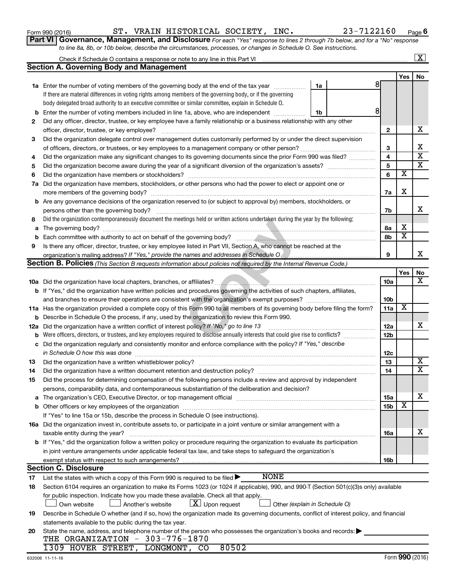|     | Part VI   Governance, Management, and Disclosure For each "Yes" response to lines 2 through 7b below, and for a "No" response                                     |                 |                         |                         |
|-----|-------------------------------------------------------------------------------------------------------------------------------------------------------------------|-----------------|-------------------------|-------------------------|
|     | to line 8a, 8b, or 10b below, describe the circumstances, processes, or changes in Schedule O. See instructions.                                                  |                 |                         |                         |
|     |                                                                                                                                                                   |                 |                         | $\boxed{\text{X}}$      |
|     | <b>Section A. Governing Body and Management</b>                                                                                                                   |                 |                         |                         |
|     |                                                                                                                                                                   |                 | Yes                     | No                      |
|     | 1a Enter the number of voting members of the governing body at the end of the tax year<br>1a                                                                      | 8               |                         |                         |
|     | If there are material differences in voting rights among members of the governing body, or if the governing                                                       |                 |                         |                         |
|     | body delegated broad authority to an executive committee or similar committee, explain in Schedule O.                                                             |                 |                         |                         |
| b   | Enter the number of voting members included in line 1a, above, who are independent<br>1b                                                                          | 81              |                         |                         |
| 2   | Did any officer, director, trustee, or key employee have a family relationship or a business relationship with any other                                          |                 |                         |                         |
|     | officer, director, trustee, or key employee?                                                                                                                      | $\mathbf{2}$    |                         | х                       |
| 3   | Did the organization delegate control over management duties customarily performed by or under the direct supervision                                             |                 |                         |                         |
|     |                                                                                                                                                                   | 3               |                         | X                       |
| 4   | Did the organization make any significant changes to its governing documents since the prior Form 990 was filed?                                                  | 4               |                         | $\overline{\mathbf{x}}$ |
| 5   |                                                                                                                                                                   | 5               |                         | $\overline{\textbf{x}}$ |
| 6   |                                                                                                                                                                   | 6               | х                       |                         |
| 7a  | Did the organization have members, stockholders, or other persons who had the power to elect or appoint one or                                                    |                 |                         |                         |
|     |                                                                                                                                                                   | 7a              | х                       |                         |
|     | <b>b</b> Are any governance decisions of the organization reserved to (or subject to approval by) members, stockholders, or                                       |                 |                         |                         |
|     | persons other than the governing body?                                                                                                                            | 7b              |                         | х                       |
| 8   | Did the organization contemporaneously document the meetings held or written actions undertaken during the year by the following:                                 |                 |                         |                         |
| а   |                                                                                                                                                                   | 8a              | х                       |                         |
| b   |                                                                                                                                                                   | 8b              | $\overline{\textbf{x}}$ |                         |
| 9   | Is there any officer, director, trustee, or key employee listed in Part VII, Section A, who cannot be reached at the                                              |                 |                         |                         |
|     | organization's mailing address? If "Yes," provide the names and addresses in Schedule O                                                                           | 9               |                         | х                       |
|     | <b>Section B. Policies</b> (This Section B requests information about policies not required by the Internal Revenue Code.)                                        |                 |                         |                         |
|     |                                                                                                                                                                   |                 | Yes                     | No<br>х                 |
|     |                                                                                                                                                                   | 10a             |                         |                         |
|     | <b>b</b> If "Yes," did the organization have written policies and procedures governing the activities of such chapters, affiliates,                               |                 |                         |                         |
|     |                                                                                                                                                                   | 10b             | х                       |                         |
|     | 11a Has the organization provided a complete copy of this Form 990 to all members of its governing body before filing the form?                                   | 11a             |                         |                         |
|     | <b>b</b> Describe in Schedule O the process, if any, used by the organization to review this Form 990.                                                            |                 |                         | х                       |
| 12a | Did the organization have a written conflict of interest policy? If "No," go to line 13                                                                           | 12a             |                         |                         |
| b   | Were officers, directors, or trustees, and key employees required to disclose annually interests that could give rise to conflicts?                               | 12 <sub>b</sub> |                         |                         |
|     | c Did the organization regularly and consistently monitor and enforce compliance with the policy? If "Yes," describe                                              |                 |                         |                         |
|     |                                                                                                                                                                   | 12c             |                         | X                       |
| 13  |                                                                                                                                                                   | 13              |                         | $\overline{\mathtt{x}}$ |
| 14  | Did the organization have a written document retention and destruction policy? [111] manufaction policy?                                                          | 14              |                         |                         |
| 15  | Did the process for determining compensation of the following persons include a review and approval by independent                                                |                 |                         |                         |
|     | persons, comparability data, and contemporaneous substantiation of the deliberation and decision?                                                                 |                 |                         | х                       |
| а   |                                                                                                                                                                   | 15a             | X                       |                         |
|     |                                                                                                                                                                   | 15b             |                         |                         |
|     | If "Yes" to line 15a or 15b, describe the process in Schedule O (see instructions).                                                                               |                 |                         |                         |
|     | 16a Did the organization invest in, contribute assets to, or participate in a joint venture or similar arrangement with a                                         |                 |                         | х                       |
|     | taxable entity during the year?<br>b If "Yes," did the organization follow a written policy or procedure requiring the organization to evaluate its participation | 16a             |                         |                         |
|     | in joint venture arrangements under applicable federal tax law, and take steps to safeguard the organization's                                                    |                 |                         |                         |
|     |                                                                                                                                                                   | 16b             |                         |                         |
|     | exempt status with respect to such arrangements?<br><b>Section C. Disclosure</b>                                                                                  |                 |                         |                         |
| 17  | <b>NONE</b><br>List the states with which a copy of this Form 990 is required to be filed >                                                                       |                 |                         |                         |
| 18  | Section 6104 requires an organization to make its Forms 1023 (or 1024 if applicable), 990, and 990-T (Section 501(c)(3)s only) available                          |                 |                         |                         |
|     | for public inspection. Indicate how you made these available. Check all that apply.                                                                               |                 |                         |                         |
|     | $\lfloor x \rfloor$ Upon request<br>Another's website<br>Other (explain in Schedule O)<br>Own website                                                             |                 |                         |                         |
| 19  | Describe in Schedule O whether (and if so, how) the organization made its governing documents, conflict of interest policy, and financial                         |                 |                         |                         |
|     | statements available to the public during the tax year.                                                                                                           |                 |                         |                         |
| 20  | State the name, address, and telephone number of the person who possesses the organization's books and records:                                                   |                 |                         |                         |
|     | THE ORGANIZATION - 303-776-1870                                                                                                                                   |                 |                         |                         |
|     | 1309 HOVER STREET, LONGMONT, CO<br>80502                                                                                                                          |                 |                         |                         |

Form 990 (2016) Page ST. VRAIN HISTORICAL SOCIETY, INC. 23-7122160

**6**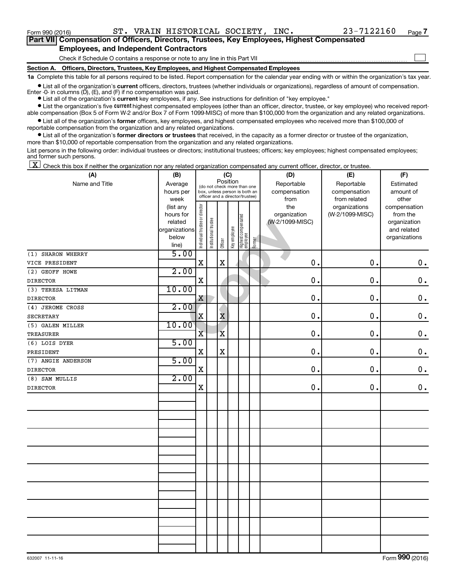$\Box$ 

| Part VII Compensation of Officers, Directors, Trustees, Key Employees, Highest Compensated |  |  |
|--------------------------------------------------------------------------------------------|--|--|
| <b>Employees, and Independent Contractors</b>                                              |  |  |

Check if Schedule O contains a response or note to any line in this Part VII

**Section A. Officers, Directors, Trustees, Key Employees, and Highest Compensated Employees**

**1a**  Complete this table for all persons required to be listed. Report compensation for the calendar year ending with or within the organization's tax year.

 $\bullet$  List all of the organization's current officers, directors, trustees (whether individuals or organizations), regardless of amount of compensation. Enter  $-0$ - in columns  $(D)$ ,  $(E)$ , and  $(F)$  if no compensation was paid.

**•** List all of the organization's **current** key employees, if any. See instructions for definition of "key employee."

**•** List the organization's five current highest compensated employees (other than an officer, director, trustee, or key employee) who received reportable compensation (Box 5 of Form W-2 and/or Box 7 of Form 1099-MISC) of more than \$100,000 from the organization and any related organizations.

**•** List all of the organization's former officers, key employees, and highest compensated employees who received more than \$100,000 of reportable compensation from the organization and any related organizations.

**•** List all of the organization's former directors or trustees that received, in the capacity as a former director or trustee of the organization, more than \$10,000 of reportable compensation from the organization and any related organizations.

List persons in the following order: individual trustees or directors; institutional trustees; officers; key employees; highest compensated employees; and former such persons.

 $\boxed{\textbf{X}}$  Check this box if neither the organization nor any related organization compensated any current officer, director, or trustee.

| (A)                | (B)            | (C)                                     |                       |                         |              |                                                                  |        | (D)             | (E)             | (F)           |
|--------------------|----------------|-----------------------------------------|-----------------------|-------------------------|--------------|------------------------------------------------------------------|--------|-----------------|-----------------|---------------|
| Name and Title     | Average        | Position<br>(do not check more than one |                       |                         |              |                                                                  |        | Reportable      | Reportable      | Estimated     |
|                    | hours per      |                                         |                       |                         |              | box, unless person is both an<br>officer and a director/trustee) |        | compensation    | compensation    | amount of     |
|                    | week           |                                         |                       |                         |              |                                                                  |        | from            | from related    | other         |
|                    | (list any      |                                         |                       |                         |              |                                                                  |        | the             | organizations   | compensation  |
|                    | hours for      |                                         |                       |                         |              |                                                                  |        | organization    | (W-2/1099-MISC) | from the      |
|                    | related        |                                         |                       |                         |              |                                                                  |        | (W-2/1099-MISC) |                 | organization  |
|                    | organizations  |                                         |                       |                         |              |                                                                  |        |                 |                 | and related   |
|                    | below<br>line) | Individual trustee or director          | Institutional trustee | Officer                 | Key employee | Highest compensated<br>employee                                  | Former |                 |                 | organizations |
| (1) SHARON WHERRY  | 5.00           |                                         |                       |                         |              |                                                                  |        |                 |                 |               |
| VICE PRESIDENT     |                | X                                       |                       | $\mathbf X$             |              |                                                                  |        | 0.              | 0.              | $\mathbf 0$ . |
| (2) GEOFF HOWE     | 2.00           |                                         |                       |                         |              |                                                                  |        |                 |                 |               |
| <b>DIRECTOR</b>    |                | $\rm X$                                 |                       |                         |              |                                                                  |        | 0.              | 0.              | $0$ .         |
| (3) TERESA LITMAN  | 10.00          |                                         |                       |                         |              |                                                                  |        |                 |                 |               |
| <b>DIRECTOR</b>    |                | X                                       |                       |                         |              |                                                                  |        | 0.              | $\mathbf 0$ .   | $\mathbf 0$ . |
| (4) JEROME CROSS   | 2.00           |                                         |                       |                         |              |                                                                  |        |                 |                 |               |
| <b>SECRETARY</b>   |                | X                                       |                       | $\bar{\textbf{x}}$      |              |                                                                  |        | 0.              | 0.              | $\mathbf 0$ . |
| (5) GALEN MILLER   | 10.00          |                                         |                       |                         |              |                                                                  |        |                 |                 |               |
| <b>TREASURER</b>   |                | $\overline{\mathbf{X}}$                 |                       | $\overline{\mathbf{X}}$ |              |                                                                  |        | 0.              | 0.              | $\mathbf 0$ . |
| (6) LOIS DYER      | 5.00           |                                         |                       |                         |              |                                                                  |        |                 |                 |               |
| PRESIDENT          |                | X                                       |                       | X                       |              |                                                                  |        | $\mathbf 0$ .   | 0.              | $0$ .         |
| (7) ANGIE ANDERSON | 5.00           |                                         |                       |                         |              |                                                                  |        |                 |                 |               |
| <b>DIRECTOR</b>    |                | $\mathbf X$                             |                       |                         |              |                                                                  |        | $\mathbf 0$ .   | 0.              | $\mathbf 0$ . |
| (8) SAM MULLIS     | 2.00           |                                         |                       |                         |              |                                                                  |        |                 |                 |               |
| <b>DIRECTOR</b>    |                | X                                       |                       |                         |              |                                                                  |        | $\mathbf 0$ .   | 0.              | 0.            |
|                    |                |                                         |                       |                         |              |                                                                  |        |                 |                 |               |
|                    |                |                                         |                       |                         |              |                                                                  |        |                 |                 |               |
|                    |                |                                         |                       |                         |              |                                                                  |        |                 |                 |               |
|                    |                |                                         |                       |                         |              |                                                                  |        |                 |                 |               |
|                    |                |                                         |                       |                         |              |                                                                  |        |                 |                 |               |
|                    |                |                                         |                       |                         |              |                                                                  |        |                 |                 |               |
|                    |                |                                         |                       |                         |              |                                                                  |        |                 |                 |               |
|                    |                |                                         |                       |                         |              |                                                                  |        |                 |                 |               |
|                    |                |                                         |                       |                         |              |                                                                  |        |                 |                 |               |
|                    |                |                                         |                       |                         |              |                                                                  |        |                 |                 |               |
|                    |                |                                         |                       |                         |              |                                                                  |        |                 |                 |               |
|                    |                |                                         |                       |                         |              |                                                                  |        |                 |                 |               |
|                    |                |                                         |                       |                         |              |                                                                  |        |                 |                 |               |
|                    |                |                                         |                       |                         |              |                                                                  |        |                 |                 |               |
|                    |                |                                         |                       |                         |              |                                                                  |        |                 |                 |               |
|                    |                |                                         |                       |                         |              |                                                                  |        |                 |                 |               |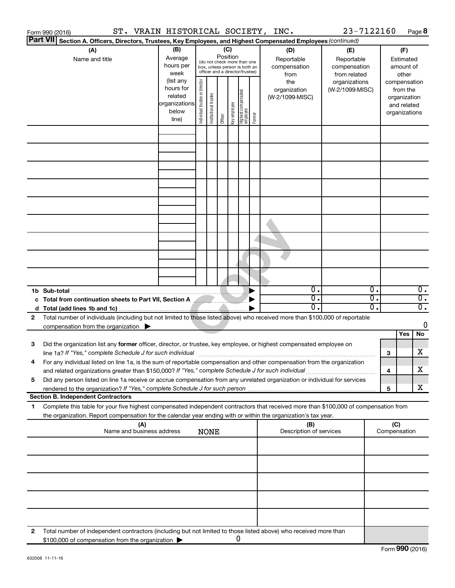|    | Form 990 (2016)                                                                                     |                                                                                            |     | ST. VRAIN HISTORICAL SOCIETY, INC. |                       |                                                                                                 |         |              |                                  |        |                                                                                                                                      | 23-7122160                                                                            |          |                                                                           | Page 8                               |
|----|-----------------------------------------------------------------------------------------------------|--------------------------------------------------------------------------------------------|-----|------------------------------------|-----------------------|-------------------------------------------------------------------------------------------------|---------|--------------|----------------------------------|--------|--------------------------------------------------------------------------------------------------------------------------------------|---------------------------------------------------------------------------------------|----------|---------------------------------------------------------------------------|--------------------------------------|
|    | <b>Part VII</b>                                                                                     |                                                                                            |     |                                    |                       |                                                                                                 |         |              |                                  |        | Section A. Officers, Directors, Trustees, Key Employees, and Highest Compensated Employees (continued)                               |                                                                                       |          |                                                                           |                                      |
|    | (A)                                                                                                 | (B)<br>Average<br>Name and title<br>hours per<br>week<br>(list any<br>hours for<br>related |     |                                    | director              | (do not check more than one<br>box, unless person is both an<br>officer and a director/trustee) | (C)     | Position     |                                  |        | (D)<br>Reportable<br>compensation<br>from<br>the<br>organization<br>(W-2/1099-MISC)                                                  | (E)<br>Reportable<br>compensation<br>from related<br>organizations<br>(W-2/1099-MISC) |          | (F)<br>Estimated<br>amount of<br>compensation<br>from the<br>organization | other                                |
|    |                                                                                                     |                                                                                            |     | organizations<br>below<br>line)    | Individual trustee or | Institutional trustee                                                                           | Officer | Key employee | Highest compensated<br> employee | Former |                                                                                                                                      |                                                                                       |          | organizations                                                             | and related                          |
|    |                                                                                                     |                                                                                            |     |                                    |                       |                                                                                                 |         |              |                                  |        |                                                                                                                                      |                                                                                       |          |                                                                           |                                      |
|    |                                                                                                     |                                                                                            |     |                                    |                       |                                                                                                 |         |              |                                  |        |                                                                                                                                      |                                                                                       |          |                                                                           |                                      |
|    |                                                                                                     |                                                                                            |     |                                    |                       |                                                                                                 |         |              |                                  |        |                                                                                                                                      |                                                                                       |          |                                                                           |                                      |
|    |                                                                                                     |                                                                                            |     |                                    |                       |                                                                                                 |         |              |                                  |        |                                                                                                                                      |                                                                                       |          |                                                                           |                                      |
|    | 1b Sub-total                                                                                        |                                                                                            |     |                                    |                       |                                                                                                 |         |              |                                  |        | σ.                                                                                                                                   |                                                                                       | Ο.       |                                                                           | $\overline{0}$ .                     |
|    | c Total from continuation sheets to Part VII, Section A                                             |                                                                                            |     |                                    |                       |                                                                                                 |         |              |                                  |        | σ.<br>О.                                                                                                                             |                                                                                       | σ.<br>σ. |                                                                           | $\overline{0}$ .<br>$\overline{0}$ . |
| 2  | compensation from the organization $\blacktriangleright$                                            |                                                                                            |     |                                    |                       |                                                                                                 |         |              |                                  |        | Total number of individuals (including but not limited to those listed above) who received more than \$100,000 of reportable         |                                                                                       |          |                                                                           | 0                                    |
| 3  |                                                                                                     |                                                                                            |     |                                    |                       |                                                                                                 |         |              |                                  |        | Did the organization list any former officer, director, or trustee, key employee, or highest compensated employee on                 |                                                                                       |          | Yes<br>3                                                                  | No<br>X                              |
|    | and related organizations greater than \$150,000? If "Yes," complete Schedule J for such individual |                                                                                            |     |                                    |                       |                                                                                                 |         |              |                                  |        | For any individual listed on line 1a, is the sum of reportable compensation and other compensation from the organization             |                                                                                       |          | 4                                                                         | X                                    |
| 5  |                                                                                                     |                                                                                            |     |                                    |                       |                                                                                                 |         |              |                                  |        | Did any person listed on line 1a receive or accrue compensation from any unrelated organization or individual for services           |                                                                                       |          | 5                                                                         | x                                    |
| 1. | <b>Section B. Independent Contractors</b>                                                           |                                                                                            |     |                                    |                       |                                                                                                 |         |              |                                  |        | Complete this table for your five highest compensated independent contractors that received more than \$100,000 of compensation from |                                                                                       |          |                                                                           |                                      |
|    |                                                                                                     |                                                                                            | (A) |                                    |                       |                                                                                                 |         |              |                                  |        | the organization. Report compensation for the calendar year ending with or within the organization's tax year.<br>(B)                |                                                                                       |          | (C)                                                                       |                                      |
|    |                                                                                                     | Name and business address                                                                  |     |                                    |                       | <b>NONE</b>                                                                                     |         |              |                                  |        | Description of services                                                                                                              |                                                                                       |          | Compensation                                                              |                                      |
|    |                                                                                                     |                                                                                            |     |                                    |                       |                                                                                                 |         |              |                                  |        |                                                                                                                                      |                                                                                       |          |                                                                           |                                      |
|    |                                                                                                     |                                                                                            |     |                                    |                       |                                                                                                 |         |              |                                  |        |                                                                                                                                      |                                                                                       |          |                                                                           |                                      |
|    |                                                                                                     |                                                                                            |     |                                    |                       |                                                                                                 |         |              |                                  |        |                                                                                                                                      |                                                                                       |          |                                                                           |                                      |
| 2  | \$100,000 of compensation from the organization                                                     |                                                                                            |     |                                    |                       |                                                                                                 |         |              | 0                                |        | Total number of independent contractors (including but not limited to those listed above) who received more than                     |                                                                                       |          |                                                                           |                                      |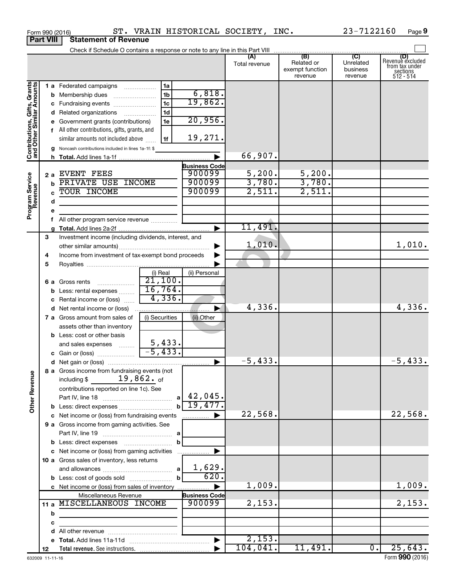|                                                           |     | Check if Schedule O contains a response or note to any line in this Part VIII       |                       |                      |               |                                                 |                                         |                                                                    |
|-----------------------------------------------------------|-----|-------------------------------------------------------------------------------------|-----------------------|----------------------|---------------|-------------------------------------------------|-----------------------------------------|--------------------------------------------------------------------|
|                                                           |     |                                                                                     |                       |                      | Total revenue | (B)<br>Related or<br>exempt function<br>revenue | (C)<br>Unrelated<br>business<br>revenue | (D)<br>Revenue excluded<br>from tax under<br>sections<br>512 - 514 |
|                                                           |     | <b>1 a</b> Federated campaigns                                                      | 1a                    |                      |               |                                                 |                                         |                                                                    |
|                                                           |     | <b>b</b> Membership dues                                                            | 1 <sub>b</sub>        | 6,818.               |               |                                                 |                                         |                                                                    |
|                                                           |     | c Fundraising events                                                                | 1 <sub>c</sub>        | 19,862.              |               |                                                 |                                         |                                                                    |
|                                                           |     | d Related organizations                                                             | 1 <sub>d</sub>        |                      |               |                                                 |                                         |                                                                    |
|                                                           |     | e Government grants (contributions)                                                 | 1e                    | 20,956.              |               |                                                 |                                         |                                                                    |
|                                                           |     | f All other contributions, gifts, grants, and                                       |                       |                      |               |                                                 |                                         |                                                                    |
|                                                           |     | similar amounts not included above                                                  | 1f                    | 19,271.              |               |                                                 |                                         |                                                                    |
|                                                           |     | g Noncash contributions included in lines 1a-1f: \$                                 |                       |                      |               |                                                 |                                         |                                                                    |
| Contributions, Gifts, Grants<br>and Other Similar Amounts |     |                                                                                     |                       |                      | 66,907.       |                                                 |                                         |                                                                    |
|                                                           |     |                                                                                     |                       | <b>Business Code</b> |               |                                                 |                                         |                                                                    |
|                                                           | 2 a | EVENT FEES                                                                          |                       | 900099               | 5,200.        | $\frac{5,200}{3,780}$                           |                                         |                                                                    |
|                                                           | b   | PRIVATE USE INCOME                                                                  |                       | 900099               | 3,780.        |                                                 |                                         |                                                                    |
|                                                           | Ċ   | TOUR INCOME                                                                         |                       | 900099               | 2,511.        | 2,511.                                          |                                         |                                                                    |
|                                                           | d   |                                                                                     |                       |                      |               |                                                 |                                         |                                                                    |
| Program Service<br>Revenue                                |     |                                                                                     |                       |                      |               |                                                 |                                         |                                                                    |
|                                                           |     | f All other program service revenue                                                 |                       |                      |               |                                                 |                                         |                                                                    |
|                                                           |     |                                                                                     |                       |                      | 11,491.       |                                                 |                                         |                                                                    |
|                                                           | 3   | Investment income (including dividends, interest, and                               |                       |                      |               |                                                 |                                         |                                                                    |
|                                                           |     |                                                                                     |                       |                      | 1,010.        |                                                 |                                         | 1,010.                                                             |
|                                                           | 4   | Income from investment of tax-exempt bond proceeds                                  |                       |                      |               |                                                 |                                         |                                                                    |
|                                                           | 5   |                                                                                     |                       |                      |               |                                                 |                                         |                                                                    |
|                                                           |     |                                                                                     | (i) Real              | (ii) Personal        |               |                                                 |                                         |                                                                    |
|                                                           |     | 6 a Gross rents                                                                     | $\overline{21,100}$ . |                      |               |                                                 |                                         |                                                                    |
|                                                           |     | <b>b</b> Less: rental expenses <i></i>                                              | 16,764.               |                      |               |                                                 |                                         |                                                                    |
|                                                           |     | c Rental income or (loss)                                                           | 4,336.                |                      |               |                                                 |                                         |                                                                    |
|                                                           |     | <b>d</b> Net rental income or (loss)                                                |                       |                      | 4,336.        |                                                 |                                         | 4,336.                                                             |
|                                                           |     | 7 a Gross amount from sales of                                                      | (i) Securities        | (ii) Other           |               |                                                 |                                         |                                                                    |
|                                                           |     | assets other than inventory<br><b>b</b> Less: cost or other basis                   |                       |                      |               |                                                 |                                         |                                                                    |
|                                                           |     |                                                                                     |                       |                      |               |                                                 |                                         |                                                                    |
|                                                           |     | and sales expenses                                                                  | 5,433.                |                      |               |                                                 |                                         |                                                                    |
|                                                           |     |                                                                                     | $-5,433.$             |                      |               |                                                 |                                         |                                                                    |
|                                                           |     |                                                                                     |                       |                      | $-5,433.$     |                                                 |                                         | $-5,433.$                                                          |
| g                                                         |     | 8 a Gross income from fundraising events (not<br>including $\frac{2}{3}$ 19,862. of |                       |                      |               |                                                 |                                         |                                                                    |
| Other Rever                                               |     | contributions reported on line 1c). See                                             |                       |                      |               |                                                 |                                         |                                                                    |
|                                                           |     |                                                                                     | a                     | 42,045.              |               |                                                 |                                         |                                                                    |
|                                                           |     |                                                                                     |                       | 19,477.              |               |                                                 |                                         |                                                                    |
|                                                           |     | c Net income or (loss) from fundraising events                                      |                       |                      | 22,568.       |                                                 |                                         | 22,568.                                                            |
|                                                           |     | 9 a Gross income from gaming activities. See                                        |                       |                      |               |                                                 |                                         |                                                                    |
|                                                           |     |                                                                                     |                       |                      |               |                                                 |                                         |                                                                    |
|                                                           |     | <b>b</b> Less: direct expenses                                                      |                       |                      |               |                                                 |                                         |                                                                    |
|                                                           |     | c Net income or (loss) from gaming activities                                       |                       |                      |               |                                                 |                                         |                                                                    |
|                                                           |     | 10 a Gross sales of inventory, less returns                                         |                       |                      |               |                                                 |                                         |                                                                    |
|                                                           |     |                                                                                     |                       | 1,629.               |               |                                                 |                                         |                                                                    |
|                                                           |     | <b>b</b> Less: cost of goods sold                                                   |                       | 620.                 |               |                                                 |                                         |                                                                    |
|                                                           |     | c Net income or (loss) from sales of inventory                                      |                       |                      | 1,009.        |                                                 |                                         | 1,009.                                                             |
|                                                           |     | Miscellaneous Revenue                                                               |                       | <b>Business Code</b> |               |                                                 |                                         |                                                                    |
|                                                           |     | 11 a MISCELLANEOUS INCOME                                                           |                       | 900099               | 2,153.        |                                                 |                                         | 2,153.                                                             |
|                                                           | b   | the control of the control of the control of                                        |                       |                      |               |                                                 |                                         |                                                                    |
|                                                           | c   |                                                                                     |                       |                      |               |                                                 |                                         |                                                                    |
|                                                           |     |                                                                                     |                       |                      |               |                                                 |                                         |                                                                    |
|                                                           |     |                                                                                     |                       |                      | 2,153.        |                                                 |                                         |                                                                    |
|                                                           | 12  |                                                                                     |                       |                      | 104,041.      | 11,491.                                         | $\overline{0}$ .                        | 25,643.                                                            |

**Porm 990 (2016)**<br>**Part VIII** Statement of Revenue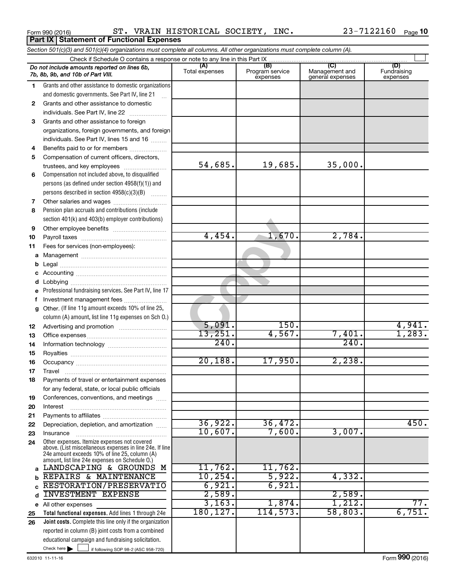Form 990 (2016) Page ST. VRAIN HISTORICAL SOCIETY, INC. 23-7122160

|              | Section 501(c)(3) and 501(c)(4) organizations must complete all columns. All other organizations must complete column (A). |                       |                                    |                                           |                                |
|--------------|----------------------------------------------------------------------------------------------------------------------------|-----------------------|------------------------------------|-------------------------------------------|--------------------------------|
|              |                                                                                                                            |                       |                                    |                                           |                                |
|              | Do not include amounts reported on lines 6b,<br>7b, 8b, 9b, and 10b of Part VIII.                                          | (A)<br>Total expenses | (B)<br>Program service<br>expenses | (C)<br>Management and<br>general expenses | (D)<br>Fundraising<br>expenses |
| 1.           | Grants and other assistance to domestic organizations                                                                      |                       |                                    |                                           |                                |
|              | and domestic governments. See Part IV, line 21<br>$\mathbf{r}$                                                             |                       |                                    |                                           |                                |
| $\mathbf{2}$ | Grants and other assistance to domestic                                                                                    |                       |                                    |                                           |                                |
|              | individuals. See Part IV, line 22                                                                                          |                       |                                    |                                           |                                |
| 3            | Grants and other assistance to foreign                                                                                     |                       |                                    |                                           |                                |
|              | organizations, foreign governments, and foreign                                                                            |                       |                                    |                                           |                                |
|              | individuals. See Part IV, lines 15 and 16                                                                                  |                       |                                    |                                           |                                |
| 4            | Benefits paid to or for members                                                                                            |                       |                                    |                                           |                                |
| 5            | Compensation of current officers, directors,                                                                               |                       |                                    |                                           |                                |
|              | trustees, and key employees                                                                                                | 54,685.               | 19,685.                            | 35,000.                                   |                                |
| 6            | Compensation not included above, to disqualified                                                                           |                       |                                    |                                           |                                |
|              | persons (as defined under section 4958(f)(1)) and                                                                          |                       |                                    |                                           |                                |
|              | persons described in section 4958(c)(3)(B)<br><b>Caracteri</b>                                                             |                       |                                    |                                           |                                |
| 7            | Pension plan accruals and contributions (include                                                                           |                       |                                    |                                           |                                |
| 8            |                                                                                                                            |                       |                                    |                                           |                                |
| 9            | section 401(k) and 403(b) employer contributions)                                                                          |                       |                                    |                                           |                                |
| 10           |                                                                                                                            | 4,454.                | 1,670.                             | 2,784.                                    |                                |
| 11           | Fees for services (non-employees):                                                                                         |                       |                                    |                                           |                                |
|              |                                                                                                                            |                       |                                    |                                           |                                |
| b            |                                                                                                                            |                       |                                    |                                           |                                |
| c            |                                                                                                                            |                       |                                    |                                           |                                |
| d            |                                                                                                                            |                       |                                    |                                           |                                |
| е            | Professional fundraising services. See Part IV, line 17                                                                    |                       |                                    |                                           |                                |
| f            | Investment management fees                                                                                                 |                       |                                    |                                           |                                |
| g            | Other. (If line 11g amount exceeds 10% of line 25,                                                                         |                       |                                    |                                           |                                |
|              | column (A) amount, list line 11g expenses on Sch 0.)                                                                       |                       |                                    |                                           |                                |
| 12           |                                                                                                                            | 5,091.                | 150.                               |                                           | 4,941.                         |
| 13           |                                                                                                                            | 13,251.               | 4,567.                             | 7,401.                                    | 1,283.                         |
| 14           |                                                                                                                            | 240.                  |                                    | 240.                                      |                                |
| 15           |                                                                                                                            |                       |                                    |                                           |                                |
| 16           |                                                                                                                            | 20,188.               | 17,950.                            | 2,238.                                    |                                |
| 17           |                                                                                                                            |                       |                                    |                                           |                                |
| 18           | Payments of travel or entertainment expenses                                                                               |                       |                                    |                                           |                                |
|              | for any federal, state, or local public officials                                                                          |                       |                                    |                                           |                                |
| 19           | Conferences, conventions, and meetings                                                                                     |                       |                                    |                                           |                                |
| 20           | Interest                                                                                                                   |                       |                                    |                                           |                                |
| 21<br>22     | Depreciation, depletion, and amortization                                                                                  | 36,922.               | 36,472.                            |                                           | 450.                           |
| 23           | Insurance                                                                                                                  | 10,607.               | 7,600.                             | 3,007.                                    |                                |
| 24           | Other expenses. Itemize expenses not covered                                                                               |                       |                                    |                                           |                                |
|              | above. (List miscellaneous expenses in line 24e. If line<br>24e amount exceeds 10% of line 25, column (A)                  |                       |                                    |                                           |                                |
|              | amount, list line 24e expenses on Schedule O.)<br>LANDSCAPING & GROUNDS M                                                  | 11,762.               | 11,762.                            |                                           |                                |
|              | REPAIRS & MAINTENANCE                                                                                                      | 10, 254.              | 5,922.                             | 4,332.                                    |                                |
| b            | RESTORATION/PRESERVATIO                                                                                                    | 6,921.                | 6,921.                             |                                           |                                |
| d            | <b>INVESTMENT EXPENSE</b>                                                                                                  | 2,589.                |                                    | 2,589.                                    |                                |
|              | e All other expenses                                                                                                       | 3,163.                | 1,874.                             | 1,212.                                    | 77.                            |
| 25           | Total functional expenses. Add lines 1 through 24e                                                                         | 180, 127.             | 114,573.                           | 58,803.                                   | 6,751.                         |
| 26           | Joint costs. Complete this line only if the organization                                                                   |                       |                                    |                                           |                                |
|              | reported in column (B) joint costs from a combined                                                                         |                       |                                    |                                           |                                |
|              | educational campaign and fundraising solicitation.                                                                         |                       |                                    |                                           |                                |
|              | Check here $\blacktriangleright$<br>if following SOP 98-2 (ASC 958-720)                                                    |                       |                                    |                                           |                                |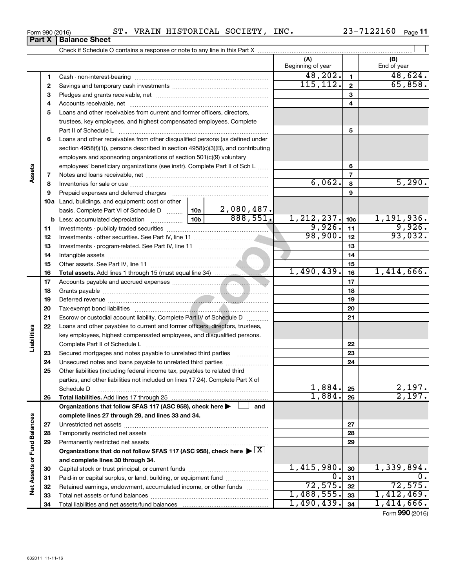| Form 990 (2016) | C <sub>Th</sub> | <b>AIN</b><br>VRA | HISTORICAL | SOCIETY | INC. | . .<br>οu<br>$\lambda$ . | Page |
|-----------------|-----------------|-------------------|------------|---------|------|--------------------------|------|
|                 |                 |                   |            |         |      |                          |      |

|                             |          |                                                                                                 |                 |                               | (A)<br>Beginning of year |                         | (B)<br>End of year |
|-----------------------------|----------|-------------------------------------------------------------------------------------------------|-----------------|-------------------------------|--------------------------|-------------------------|--------------------|
|                             | 1        |                                                                                                 |                 |                               | 48, 202.                 | $\mathbf{1}$            | 48,624.            |
|                             | 2        |                                                                                                 |                 |                               | 115, 112.                | $\overline{\mathbf{2}}$ | 65,858.            |
|                             | з        |                                                                                                 |                 |                               |                          | 3                       |                    |
|                             | 4        |                                                                                                 |                 |                               |                          | $\overline{\mathbf{4}}$ |                    |
|                             | 5        | Loans and other receivables from current and former officers, directors,                        |                 |                               |                          |                         |                    |
|                             |          | trustees, key employees, and highest compensated employees. Complete                            |                 |                               |                          |                         |                    |
|                             |          | Part II of Schedule L                                                                           |                 |                               |                          | 5                       |                    |
|                             | 6        | Loans and other receivables from other disqualified persons (as defined under                   |                 |                               |                          |                         |                    |
|                             |          | section 4958(f)(1)), persons described in section 4958(c)(3)(B), and contributing               |                 |                               |                          |                         |                    |
|                             |          | employers and sponsoring organizations of section 501(c)(9) voluntary                           |                 |                               |                          |                         |                    |
|                             |          | employees' beneficiary organizations (see instr). Complete Part II of Sch L                     |                 |                               |                          | 6                       |                    |
| Assets                      | 7        |                                                                                                 |                 |                               |                          | $\overline{7}$          |                    |
|                             | 8        |                                                                                                 |                 |                               | 6,062.                   | 8                       | 5,290.             |
|                             | 9        | Prepaid expenses and deferred charges                                                           |                 |                               |                          | 9                       |                    |
|                             |          | <b>10a</b> Land, buildings, and equipment: cost or other                                        |                 |                               |                          |                         |                    |
|                             |          | basis. Complete Part VI of Schedule D  10a                                                      |                 | $\frac{2,080,487.}{888,551.}$ |                          |                         |                    |
|                             |          | b Less: accumulated depreciation [11,11,11,11,11,11]                                            | 10 <sub>b</sub> |                               | 1, 212, 237.             | 10 <sub>c</sub>         | 1,191,936.         |
|                             | 11       |                                                                                                 |                 | 9,926.                        | 11                       | 9,926.                  |                    |
|                             | 12       |                                                                                                 | 98,900.         | 12                            | 93,032.                  |                         |                    |
|                             | 13       |                                                                                                 |                 | 13                            |                          |                         |                    |
|                             | 14       |                                                                                                 |                 |                               |                          | 14                      |                    |
|                             | 15       |                                                                                                 |                 |                               |                          | 15                      |                    |
|                             | 16       |                                                                                                 |                 |                               | 1,490,439.               | 16                      | 1,414,666.         |
|                             | 17       |                                                                                                 |                 |                               |                          | 17                      |                    |
|                             | 18       |                                                                                                 |                 |                               |                          | 18                      |                    |
|                             | 19       |                                                                                                 |                 | 19                            |                          |                         |                    |
|                             | 20       |                                                                                                 |                 | 20                            |                          |                         |                    |
|                             | 21       | Escrow or custodial account liability. Complete Part IV of Schedule D                           |                 |                               | 21                       |                         |                    |
| Liabilities                 | 22       | Loans and other payables to current and former officers, directors, trustees,                   |                 |                               |                          |                         |                    |
|                             |          | key employees, highest compensated employees, and disqualified persons.                         |                 |                               |                          |                         |                    |
|                             |          | Secured mortgages and notes payable to unrelated third parties <i>manumum</i>                   |                 |                               |                          | 22<br>23                |                    |
|                             | 23<br>24 | Unsecured notes and loans payable to unrelated third parties                                    |                 |                               |                          | 24                      |                    |
|                             | 25       | Other liabilities (including federal income tax, payables to related third                      |                 |                               |                          |                         |                    |
|                             |          | parties, and other liabilities not included on lines 17-24). Complete Part X of                 |                 |                               |                          |                         |                    |
|                             |          | Schedule D                                                                                      |                 |                               | 1,884.                   | 25                      | 2,197.             |
|                             | 26       |                                                                                                 |                 |                               | 1,884.                   | 26                      | 2,197.             |
|                             |          | Organizations that follow SFAS 117 (ASC 958), check here                                        |                 | and                           |                          |                         |                    |
|                             |          | complete lines 27 through 29, and lines 33 and 34.                                              |                 |                               |                          |                         |                    |
|                             | 27       |                                                                                                 |                 |                               |                          | 27                      |                    |
|                             | 28       |                                                                                                 |                 |                               |                          | 28                      |                    |
|                             | 29       | Permanently restricted net assets                                                               |                 |                               |                          | 29                      |                    |
|                             |          | Organizations that do not follow SFAS 117 (ASC 958), check here $\blacktriangleright \boxed{X}$ |                 |                               |                          |                         |                    |
|                             |          | and complete lines 30 through 34.                                                               |                 |                               |                          |                         |                    |
|                             | 30       |                                                                                                 |                 |                               | $1,415,980$ .            | 30                      | 1,339,894.         |
|                             | 31       | Paid-in or capital surplus, or land, building, or equipment fund                                |                 |                               | Ο.                       | 31                      |                    |
| Net Assets or Fund Balances | 32       | Retained earnings, endowment, accumulated income, or other funds                                |                 |                               | 72,575.                  | 32                      | 72,575.            |
|                             | 33       |                                                                                                 |                 |                               | 1,488,555.               | 33                      | 1,412,469.         |
|                             | 34       |                                                                                                 |                 |                               | 1,490,439.               | 34                      | 1,414,666.         |
|                             |          |                                                                                                 |                 |                               |                          |                         | Form 990 (2016)    |

### **Part X Balance Sheet**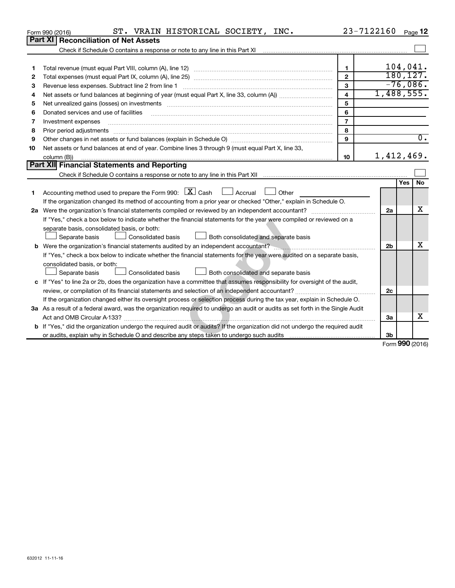|    | ST. VRAIN HISTORICAL SOCIETY, INC.<br>Form 990 (2016)                                                                                                                                                                         |                  | 23-7122160       |           | Page 12          |
|----|-------------------------------------------------------------------------------------------------------------------------------------------------------------------------------------------------------------------------------|------------------|------------------|-----------|------------------|
|    | <b>Part XI Reconciliation of Net Assets</b>                                                                                                                                                                                   |                  |                  |           |                  |
|    | Check if Schedule O contains a response or note to any line in this Part XI [11] [12] Check if Schedule O contains a response or note to any line in this Part XI                                                             |                  |                  |           |                  |
|    |                                                                                                                                                                                                                               |                  |                  |           |                  |
| 1  |                                                                                                                                                                                                                               | $\mathbf{1}$     |                  |           | 104,041.         |
| 2  |                                                                                                                                                                                                                               | $\overline{2}$   |                  | 180, 127. |                  |
| 3  | Revenue less expenses. Subtract line 2 from line 1                                                                                                                                                                            | 3                |                  |           | $-76,086.$       |
| 4  |                                                                                                                                                                                                                               | 4                | 1,488,555.       |           |                  |
| 5  | Net unrealized gains (losses) on investments [11] matter in the content of the state of the state of the state of the state of the state of the state of the state of the state of the state of the state of the state of the | 5                |                  |           |                  |
| 6  | Donated services and use of facilities                                                                                                                                                                                        | 6                |                  |           |                  |
| 7  | Investment expenses                                                                                                                                                                                                           | $\overline{7}$   |                  |           |                  |
| 8  | Prior period adjustments                                                                                                                                                                                                      | 8                |                  |           |                  |
| 9  |                                                                                                                                                                                                                               | 9                |                  |           | $\overline{0}$ . |
| 10 | Net assets or fund balances at end of year. Combine lines 3 through 9 (must equal Part X, line 33,                                                                                                                            |                  |                  |           |                  |
|    | column (B))                                                                                                                                                                                                                   | 10 <sup>10</sup> | 1,412,469.       |           |                  |
|    | <b>Part XII Financial Statements and Reporting</b>                                                                                                                                                                            |                  |                  |           |                  |
|    |                                                                                                                                                                                                                               |                  |                  |           |                  |
|    |                                                                                                                                                                                                                               |                  |                  | Yes       | No               |
| 1. | Accounting method used to prepare the Form 990: $X \subset X$ Cash<br>$\Box$ Accrual<br>  Other                                                                                                                               |                  |                  |           |                  |
|    | If the organization changed its method of accounting from a prior year or checked "Other," explain in Schedule O.                                                                                                             |                  |                  |           |                  |
|    |                                                                                                                                                                                                                               |                  | 2a               |           | X                |
|    | If "Yes," check a box below to indicate whether the financial statements for the year were compiled or reviewed on a                                                                                                          |                  |                  |           |                  |
|    | separate basis, consolidated basis, or both:                                                                                                                                                                                  |                  |                  |           |                  |
|    | Separate basis<br>Consolidated basis<br>Both consolidated and separate basis                                                                                                                                                  |                  |                  |           |                  |
|    |                                                                                                                                                                                                                               |                  | 2 <sub>b</sub>   |           | x                |
|    | If "Yes," check a box below to indicate whether the financial statements for the year were audited on a separate basis,                                                                                                       |                  |                  |           |                  |
|    | consolidated basis, or both:                                                                                                                                                                                                  |                  |                  |           |                  |
|    | Separate basis<br>Consolidated basis<br>Both consolidated and separate basis                                                                                                                                                  |                  |                  |           |                  |
|    | c If "Yes" to line 2a or 2b, does the organization have a committee that assumes responsibility for oversight of the audit,                                                                                                   |                  |                  |           |                  |
|    |                                                                                                                                                                                                                               |                  | 2c               |           |                  |
|    | If the organization changed either its oversight process or selection process during the tax year, explain in Schedule O.                                                                                                     |                  |                  |           |                  |
|    | 3a As a result of a federal award, was the organization required to undergo an audit or audits as set forth in the Single Audit                                                                                               |                  |                  |           |                  |
|    |                                                                                                                                                                                                                               |                  | 3a               |           | x                |
|    | <b>b</b> If "Yes," did the organization undergo the required audit or audits? If the organization did not undergo the required audit                                                                                          |                  |                  |           |                  |
|    |                                                                                                                                                                                                                               |                  | 3b               |           |                  |
|    |                                                                                                                                                                                                                               |                  | $T_{\text{num}}$ |           | QQQ              |

Form (2016) **990**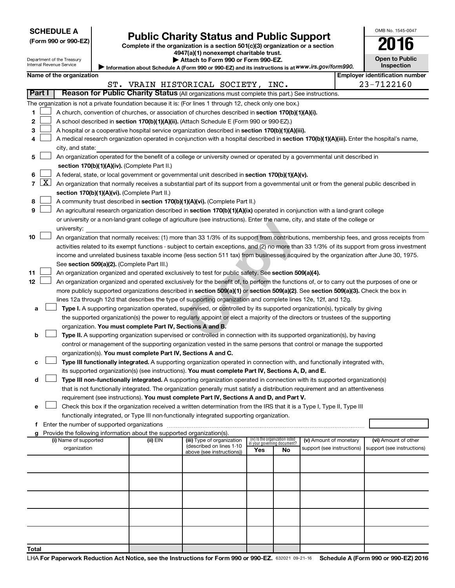Department of the Treasury Internal Revenue Service

| (Form 990 or 990-EZ |  |  |  |
|---------------------|--|--|--|
|---------------------|--|--|--|

# Form 990 or 990-EZ)<br>
Complete if the organization is a section 501(c)(3) organization or a section<br> **2016**

**4947(a)(1) nonexempt charitable trust. | Attach to Form 990 or Form 990-EZ.** 

| 20 .<br>It            |  |
|-----------------------|--|
| <b>Open to Public</b> |  |

OMB No. 1545-0047

|  | Namo of the ergenizatio |
|--|-------------------------|

Information about Schedule A (Form 990 or 990-EZ) and its instructions is at WWW.irs.gov/form990. **Inspection Name of the organization Name of the organization Name of the organization number Employer identification number** 

|                |                     |                                                                                                                                                                                                                                                      |          | ST. VRAIN HISTORICAL SOCIETY, INC.                     |                                 |    |                                                      | 23-7122160                                         |
|----------------|---------------------|------------------------------------------------------------------------------------------------------------------------------------------------------------------------------------------------------------------------------------------------------|----------|--------------------------------------------------------|---------------------------------|----|------------------------------------------------------|----------------------------------------------------|
| Part I         |                     | Reason for Public Charity Status (All organizations must complete this part.) See instructions.                                                                                                                                                      |          |                                                        |                                 |    |                                                      |                                                    |
|                |                     | The organization is not a private foundation because it is: (For lines 1 through 12, check only one box.)                                                                                                                                            |          |                                                        |                                 |    |                                                      |                                                    |
| 1              |                     | A church, convention of churches, or association of churches described in section 170(b)(1)(A)(i).                                                                                                                                                   |          |                                                        |                                 |    |                                                      |                                                    |
| 2              |                     | A school described in section 170(b)(1)(A)(ii). (Attach Schedule E (Form 990 or 990-EZ).)                                                                                                                                                            |          |                                                        |                                 |    |                                                      |                                                    |
| 3              |                     | A hospital or a cooperative hospital service organization described in section 170(b)(1)(A)(iii).                                                                                                                                                    |          |                                                        |                                 |    |                                                      |                                                    |
| 4              |                     | A medical research organization operated in conjunction with a hospital described in section 170(b)(1)(A)(iii). Enter the hospital's name,                                                                                                           |          |                                                        |                                 |    |                                                      |                                                    |
|                |                     | city, and state:                                                                                                                                                                                                                                     |          |                                                        |                                 |    |                                                      |                                                    |
| 5              |                     | An organization operated for the benefit of a college or university owned or operated by a governmental unit described in                                                                                                                            |          |                                                        |                                 |    |                                                      |                                                    |
|                |                     | section 170(b)(1)(A)(iv). (Complete Part II.)                                                                                                                                                                                                        |          |                                                        |                                 |    |                                                      |                                                    |
| 6              |                     | A federal, state, or local government or governmental unit described in section 170(b)(1)(A)(v).                                                                                                                                                     |          |                                                        |                                 |    |                                                      |                                                    |
| $\overline{7}$ | $\lfloor x \rfloor$ | An organization that normally receives a substantial part of its support from a governmental unit or from the general public described in                                                                                                            |          |                                                        |                                 |    |                                                      |                                                    |
|                |                     | section 170(b)(1)(A)(vi). (Complete Part II.)                                                                                                                                                                                                        |          |                                                        |                                 |    |                                                      |                                                    |
| 8              |                     | A community trust described in section 170(b)(1)(A)(vi). (Complete Part II.)                                                                                                                                                                         |          |                                                        |                                 |    |                                                      |                                                    |
| 9              |                     | An agricultural research organization described in section 170(b)(1)(A)(ix) operated in conjunction with a land-grant college                                                                                                                        |          |                                                        |                                 |    |                                                      |                                                    |
|                |                     | or university or a non-land-grant college of agriculture (see instructions). Enter the name, city, and state of the college or                                                                                                                       |          |                                                        |                                 |    |                                                      |                                                    |
|                |                     | university:                                                                                                                                                                                                                                          |          |                                                        |                                 |    |                                                      |                                                    |
| 10             |                     | An organization that normally receives: (1) more than 33 1/3% of its support from contributions, membership fees, and gross receipts from                                                                                                            |          |                                                        |                                 |    |                                                      |                                                    |
|                |                     | activities related to its exempt functions - subject to certain exceptions, and (2) no more than 33 1/3% of its support from gross investment                                                                                                        |          |                                                        |                                 |    |                                                      |                                                    |
|                |                     | income and unrelated business taxable income (less section 511 tax) from businesses acquired by the organization after June 30, 1975.                                                                                                                |          |                                                        |                                 |    |                                                      |                                                    |
|                |                     | See section 509(a)(2). (Complete Part III.)                                                                                                                                                                                                          |          |                                                        |                                 |    |                                                      |                                                    |
| 11             |                     | An organization organized and operated exclusively to test for public safety. See section 509(a)(4).                                                                                                                                                 |          |                                                        |                                 |    |                                                      |                                                    |
| 12             |                     | An organization organized and operated exclusively for the benefit of, to perform the functions of, or to carry out the purposes of one or                                                                                                           |          |                                                        |                                 |    |                                                      |                                                    |
|                |                     | more publicly supported organizations described in section 509(a)(1) or section 509(a)(2). See section 509(a)(3). Check the box in<br>lines 12a through 12d that describes the type of supporting organization and complete lines 12e, 12f, and 12g. |          |                                                        |                                 |    |                                                      |                                                    |
| а              |                     | Type I. A supporting organization operated, supervised, or controlled by its supported organization(s), typically by giving                                                                                                                          |          |                                                        |                                 |    |                                                      |                                                    |
|                |                     | the supported organization(s) the power to regularly appoint or elect a majority of the directors or trustees of the supporting                                                                                                                      |          |                                                        |                                 |    |                                                      |                                                    |
|                |                     | organization. You must complete Part IV, Sections A and B.                                                                                                                                                                                           |          |                                                        |                                 |    |                                                      |                                                    |
| b              |                     | Type II. A supporting organization supervised or controlled in connection with its supported organization(s), by having                                                                                                                              |          |                                                        |                                 |    |                                                      |                                                    |
|                |                     | control or management of the supporting organization vested in the same persons that control or manage the supported                                                                                                                                 |          |                                                        |                                 |    |                                                      |                                                    |
|                |                     | organization(s). You must complete Part IV, Sections A and C.                                                                                                                                                                                        |          |                                                        |                                 |    |                                                      |                                                    |
| с              |                     | Type III functionally integrated. A supporting organization operated in connection with, and functionally integrated with,                                                                                                                           |          |                                                        |                                 |    |                                                      |                                                    |
|                |                     | its supported organization(s) (see instructions). You must complete Part IV, Sections A, D, and E.                                                                                                                                                   |          |                                                        |                                 |    |                                                      |                                                    |
| d              |                     | Type III non-functionally integrated. A supporting organization operated in connection with its supported organization(s)                                                                                                                            |          |                                                        |                                 |    |                                                      |                                                    |
|                |                     | that is not functionally integrated. The organization generally must satisfy a distribution requirement and an attentiveness                                                                                                                         |          |                                                        |                                 |    |                                                      |                                                    |
|                |                     | requirement (see instructions). You must complete Part IV, Sections A and D, and Part V.                                                                                                                                                             |          |                                                        |                                 |    |                                                      |                                                    |
| е              |                     | Check this box if the organization received a written determination from the IRS that it is a Type I, Type II, Type III                                                                                                                              |          |                                                        |                                 |    |                                                      |                                                    |
|                |                     | functionally integrated, or Type III non-functionally integrated supporting organization.                                                                                                                                                            |          |                                                        |                                 |    |                                                      |                                                    |
| f              |                     | Enter the number of supported organizations                                                                                                                                                                                                          |          |                                                        |                                 |    |                                                      |                                                    |
| g              |                     | Provide the following information about the supported organization(s).                                                                                                                                                                               |          |                                                        | (iv) Is the organization listed |    |                                                      |                                                    |
|                |                     | (i) Name of supported<br>organization                                                                                                                                                                                                                | (ii) EIN | (iii) Type of organization<br>(described on lines 1-10 | in your governing document?     |    | (v) Amount of monetary<br>support (see instructions) | (vi) Amount of other<br>support (see instructions) |
|                |                     |                                                                                                                                                                                                                                                      |          | above (see instructions))                              | Yes                             | No |                                                      |                                                    |
|                |                     |                                                                                                                                                                                                                                                      |          |                                                        |                                 |    |                                                      |                                                    |
|                |                     |                                                                                                                                                                                                                                                      |          |                                                        |                                 |    |                                                      |                                                    |
|                |                     |                                                                                                                                                                                                                                                      |          |                                                        |                                 |    |                                                      |                                                    |
|                |                     |                                                                                                                                                                                                                                                      |          |                                                        |                                 |    |                                                      |                                                    |
|                |                     |                                                                                                                                                                                                                                                      |          |                                                        |                                 |    |                                                      |                                                    |
|                |                     |                                                                                                                                                                                                                                                      |          |                                                        |                                 |    |                                                      |                                                    |
|                |                     |                                                                                                                                                                                                                                                      |          |                                                        |                                 |    |                                                      |                                                    |
| Total          |                     |                                                                                                                                                                                                                                                      |          |                                                        |                                 |    |                                                      |                                                    |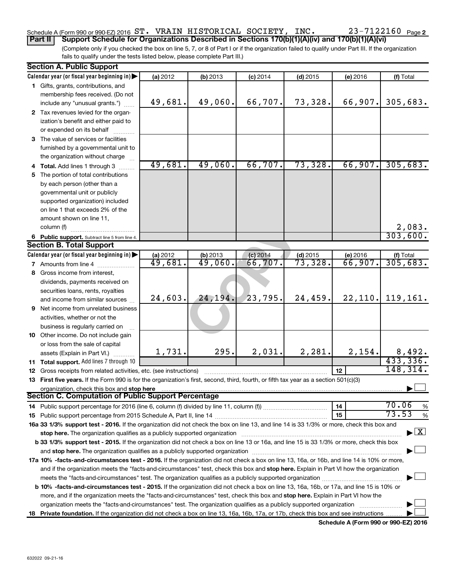### Schedule A (Form 990 or 990-EZ) 2016 Page ST. VRAIN HISTORICAL SOCIETY, INC. 23-7122160

**Part II Support Schedule for Organizations Described in Sections 170(b)(1)(A)(iv) and 170(b)(1)(A)(vi)**

(Complete only if you checked the box on line 5, 7, or 8 of Part I or if the organization failed to qualify under Part III. If the organization fails to qualify under the tests listed below, please complete Part III.)

| <b>Section A. Public Support</b>                                                                                                               |          |                       |            |            |          |                                    |
|------------------------------------------------------------------------------------------------------------------------------------------------|----------|-----------------------|------------|------------|----------|------------------------------------|
| Calendar year (or fiscal year beginning in)                                                                                                    | (a) 2012 | (b) 2013              | $(c)$ 2014 | $(d)$ 2015 | (e) 2016 | (f) Total                          |
| 1 Gifts, grants, contributions, and                                                                                                            |          |                       |            |            |          |                                    |
| membership fees received. (Do not                                                                                                              |          |                       |            |            |          |                                    |
| include any "unusual grants.")                                                                                                                 | 49,681.  | 49,060.               | 66,707.    | 73,328.    | 66,907.  | 305,683.                           |
| 2 Tax revenues levied for the organ-                                                                                                           |          |                       |            |            |          |                                    |
| ization's benefit and either paid to                                                                                                           |          |                       |            |            |          |                                    |
| or expended on its behalf                                                                                                                      |          |                       |            |            |          |                                    |
| 3 The value of services or facilities                                                                                                          |          |                       |            |            |          |                                    |
| furnished by a governmental unit to                                                                                                            |          |                       |            |            |          |                                    |
|                                                                                                                                                |          |                       |            |            |          |                                    |
| the organization without charge                                                                                                                | 49,681.  | 49,060.               | 66,707.    | 73,328.    | 66,907.  | 305,683.                           |
| 4 Total. Add lines 1 through 3                                                                                                                 |          |                       |            |            |          |                                    |
| 5 The portion of total contributions                                                                                                           |          |                       |            |            |          |                                    |
| by each person (other than a                                                                                                                   |          |                       |            |            |          |                                    |
| governmental unit or publicly                                                                                                                  |          |                       |            |            |          |                                    |
| supported organization) included                                                                                                               |          |                       |            |            |          |                                    |
| on line 1 that exceeds 2% of the                                                                                                               |          |                       |            |            |          |                                    |
| amount shown on line 11,                                                                                                                       |          |                       |            |            |          |                                    |
| column (f)                                                                                                                                     |          |                       |            |            |          | 2,083.                             |
| 6 Public support. Subtract line 5 from line 4.                                                                                                 |          |                       |            |            |          | 303,600.                           |
| <b>Section B. Total Support</b>                                                                                                                |          |                       |            |            |          |                                    |
| Calendar year (or fiscal year beginning in)                                                                                                    | (a) 2012 | $\frac{1}{49}$ , 060. | $(c)$ 2014 | $(d)$ 2015 | (e) 2016 | (f) Total                          |
| <b>7</b> Amounts from line 4                                                                                                                   | 49,681.  |                       | 66,707.    | 73,328.    | 66,907.  | 305,683.                           |
| 8 Gross income from interest,                                                                                                                  |          |                       |            |            |          |                                    |
| dividends, payments received on                                                                                                                |          |                       |            |            |          |                                    |
| securities loans, rents, royalties                                                                                                             |          |                       |            |            |          |                                    |
| and income from similar sources                                                                                                                | 24,603.  | 24,194.               | 23,795.    | 24,459.    | 22, 110. | 119, 161.                          |
| <b>9</b> Net income from unrelated business                                                                                                    |          |                       |            |            |          |                                    |
| activities, whether or not the                                                                                                                 |          |                       |            |            |          |                                    |
| business is regularly carried on                                                                                                               |          |                       |            |            |          |                                    |
| 10 Other income. Do not include gain                                                                                                           |          |                       |            |            |          |                                    |
| or loss from the sale of capital                                                                                                               |          |                       |            |            |          |                                    |
| assets (Explain in Part VI.)                                                                                                                   | 1,731.   | 295.                  | 2,031.     | 2,281.     | 2,154.   |                                    |
| 11 Total support. Add lines 7 through 10                                                                                                       |          |                       |            |            |          | $\frac{8,492}{433,336}$            |
| <b>12</b> Gross receipts from related activities, etc. (see instructions)                                                                      |          |                       |            |            | 12       | 148, 314.                          |
| 13 First five years. If the Form 990 is for the organization's first, second, third, fourth, or fifth tax year as a section 501(c)(3)          |          |                       |            |            |          |                                    |
| organization, check this box and stop here                                                                                                     |          |                       |            |            |          |                                    |
| <b>Section C. Computation of Public Support Percentage</b>                                                                                     |          |                       |            |            |          |                                    |
|                                                                                                                                                |          |                       |            |            | 14       | 70.06<br>%                         |
|                                                                                                                                                |          |                       |            |            | 15       | 73.53<br>%                         |
| 16a 33 1/3% support test - 2016. If the organization did not check the box on line 13, and line 14 is 33 1/3% or more, check this box and      |          |                       |            |            |          |                                    |
| stop here. The organization qualifies as a publicly supported organization manufaction manufacture or the organization                         |          |                       |            |            |          | $\blacktriangleright$ $\mathbf{X}$ |
| b 33 1/3% support test - 2015. If the organization did not check a box on line 13 or 16a, and line 15 is 33 1/3% or more, check this box       |          |                       |            |            |          |                                    |
|                                                                                                                                                |          |                       |            |            |          |                                    |
| 17a 10% -facts-and-circumstances test - 2016. If the organization did not check a box on line 13, 16a, or 16b, and line 14 is 10% or more,     |          |                       |            |            |          |                                    |
|                                                                                                                                                |          |                       |            |            |          |                                    |
| and if the organization meets the "facts-and-circumstances" test, check this box and stop here. Explain in Part VI how the organization        |          |                       |            |            |          |                                    |
|                                                                                                                                                |          |                       |            |            |          |                                    |
| <b>b 10%</b> -facts-and-circumstances test - 2015. If the organization did not check a box on line 13, 16a, 16b, or 17a, and line 15 is 10% or |          |                       |            |            |          |                                    |
| more, and if the organization meets the "facts-and-circumstances" test, check this box and stop here. Explain in Part VI how the               |          |                       |            |            |          |                                    |
| organization meets the "facts-and-circumstances" test. The organization qualifies as a publicly supported organization                         |          |                       |            |            |          |                                    |
| 18 Private foundation. If the organization did not check a box on line 13, 16a, 16b, 17a, or 17b, check this box and see instructions          |          |                       |            |            |          |                                    |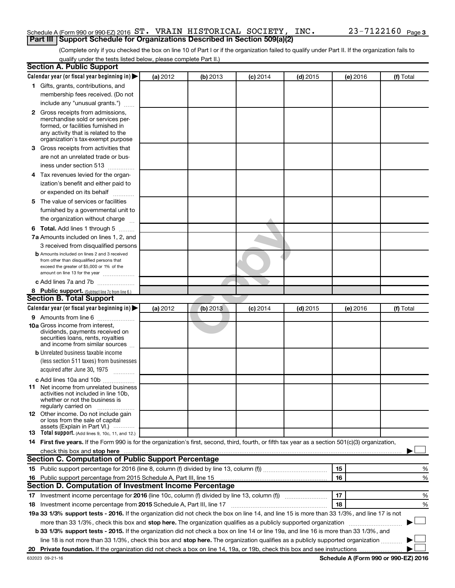#### Schedule A (Form 990 or 990-EZ) 2016 Page ST. VRAIN HISTORICAL SOCIETY, INC. 23-7122160**Part III | Support Schedule for Organizations Described in Section 509(a)(2)**

(Complete only if you checked the box on line 10 of Part I or if the organization failed to qualify under Part II. If the organization fails to qualify under the tests listed below, please complete Part II.)

| <b>Section A. Public Support</b>                                                                                                                                                                                                                             |          |          |                 |            |          |           |
|--------------------------------------------------------------------------------------------------------------------------------------------------------------------------------------------------------------------------------------------------------------|----------|----------|-----------------|------------|----------|-----------|
| Calendar year (or fiscal year beginning in)                                                                                                                                                                                                                  | (a) 2012 | (b) 2013 | <b>(c)</b> 2014 | $(d)$ 2015 | (e) 2016 | (f) Total |
| 1 Gifts, grants, contributions, and                                                                                                                                                                                                                          |          |          |                 |            |          |           |
| membership fees received. (Do not                                                                                                                                                                                                                            |          |          |                 |            |          |           |
| include any "unusual grants.")                                                                                                                                                                                                                               |          |          |                 |            |          |           |
| <b>2</b> Gross receipts from admissions,                                                                                                                                                                                                                     |          |          |                 |            |          |           |
| merchandise sold or services per-                                                                                                                                                                                                                            |          |          |                 |            |          |           |
| formed, or facilities furnished in                                                                                                                                                                                                                           |          |          |                 |            |          |           |
| any activity that is related to the<br>organization's tax-exempt purpose                                                                                                                                                                                     |          |          |                 |            |          |           |
| 3 Gross receipts from activities that                                                                                                                                                                                                                        |          |          |                 |            |          |           |
| are not an unrelated trade or bus-                                                                                                                                                                                                                           |          |          |                 |            |          |           |
|                                                                                                                                                                                                                                                              |          |          |                 |            |          |           |
| iness under section 513                                                                                                                                                                                                                                      |          |          |                 |            |          |           |
| 4 Tax revenues levied for the organ-                                                                                                                                                                                                                         |          |          |                 |            |          |           |
| ization's benefit and either paid to                                                                                                                                                                                                                         |          |          |                 |            |          |           |
| or expended on its behalf<br>.                                                                                                                                                                                                                               |          |          |                 |            |          |           |
| 5 The value of services or facilities                                                                                                                                                                                                                        |          |          |                 |            |          |           |
| furnished by a governmental unit to                                                                                                                                                                                                                          |          |          |                 |            |          |           |
| the organization without charge                                                                                                                                                                                                                              |          |          |                 |            |          |           |
| <b>6 Total.</b> Add lines 1 through 5                                                                                                                                                                                                                        |          |          |                 |            |          |           |
| 7a Amounts included on lines 1, 2, and                                                                                                                                                                                                                       |          |          |                 |            |          |           |
| 3 received from disqualified persons                                                                                                                                                                                                                         |          |          |                 |            |          |           |
| <b>b</b> Amounts included on lines 2 and 3 received                                                                                                                                                                                                          |          |          |                 |            |          |           |
| from other than disqualified persons that<br>exceed the greater of \$5,000 or 1% of the                                                                                                                                                                      |          |          |                 |            |          |           |
| amount on line 13 for the year                                                                                                                                                                                                                               |          |          |                 |            |          |           |
| c Add lines 7a and 7b                                                                                                                                                                                                                                        |          |          |                 |            |          |           |
| 8 Public support. (Subtract line 7c from line 6.)                                                                                                                                                                                                            |          |          |                 |            |          |           |
| <b>Section B. Total Support</b>                                                                                                                                                                                                                              |          |          |                 |            |          |           |
| Calendar year (or fiscal year beginning in)                                                                                                                                                                                                                  | (a) 2012 | (b) 2013 | $(c)$ 2014      | $(d)$ 2015 | (e) 2016 | (f) Total |
| <b>9</b> Amounts from line 6                                                                                                                                                                                                                                 |          |          |                 |            |          |           |
| <b>10a</b> Gross income from interest,                                                                                                                                                                                                                       |          |          |                 |            |          |           |
| dividends, payments received on                                                                                                                                                                                                                              |          |          |                 |            |          |           |
| securities loans, rents, royalties<br>and income from similar sources                                                                                                                                                                                        |          |          |                 |            |          |           |
| <b>b</b> Unrelated business taxable income                                                                                                                                                                                                                   |          |          |                 |            |          |           |
| (less section 511 taxes) from businesses                                                                                                                                                                                                                     |          |          |                 |            |          |           |
| acquired after June 30, 1975                                                                                                                                                                                                                                 |          |          |                 |            |          |           |
|                                                                                                                                                                                                                                                              |          |          |                 |            |          |           |
| c Add lines 10a and 10b                                                                                                                                                                                                                                      |          |          |                 |            |          |           |
| <b>11</b> Net income from unrelated business<br>activities not included in line 10b.                                                                                                                                                                         |          |          |                 |            |          |           |
| whether or not the business is                                                                                                                                                                                                                               |          |          |                 |            |          |           |
| regularly carried on                                                                                                                                                                                                                                         |          |          |                 |            |          |           |
| 12 Other income. Do not include gain<br>or loss from the sale of capital                                                                                                                                                                                     |          |          |                 |            |          |           |
| assets (Explain in Part VI.)                                                                                                                                                                                                                                 |          |          |                 |            |          |           |
| <b>13</b> Total support. (Add lines 9, 10c, 11, and 12.)                                                                                                                                                                                                     |          |          |                 |            |          |           |
| 14 First five years. If the Form 990 is for the organization's first, second, third, fourth, or fifth tax year as a section 501(c)(3) organization,                                                                                                          |          |          |                 |            |          |           |
| check this box and stop here <b>construction and construction</b> and stop here <b>constructed</b> and stop here <b>constructed</b> and <b>stop here construction</b> and <b>stop here construction</b> and <b>stop here constructed</b> and <b>stop her</b> |          |          |                 |            |          |           |
| <b>Section C. Computation of Public Support Percentage</b>                                                                                                                                                                                                   |          |          |                 |            |          |           |
|                                                                                                                                                                                                                                                              |          |          |                 |            | 15       | %         |
| 16 Public support percentage from 2015 Schedule A, Part III, line 15                                                                                                                                                                                         |          |          |                 |            | 16       | %         |
| Section D. Computation of Investment Income Percentage                                                                                                                                                                                                       |          |          |                 |            |          |           |
| 17 Investment income percentage for 2016 (line 10c, column (f) divided by line 13, column (f))                                                                                                                                                               |          |          |                 |            | 17       | %         |
| 18 Investment income percentage from 2015 Schedule A, Part III, line 17                                                                                                                                                                                      |          |          |                 |            | 18       | %         |
| 19a 33 1/3% support tests - 2016. If the organization did not check the box on line 14, and line 15 is more than 33 1/3%, and line 17 is not                                                                                                                 |          |          |                 |            |          |           |
| more than 33 1/3%, check this box and stop here. The organization qualifies as a publicly supported organization                                                                                                                                             |          |          |                 |            |          |           |
| b 33 1/3% support tests - 2015. If the organization did not check a box on line 14 or line 19a, and line 16 is more than 33 1/3%, and                                                                                                                        |          |          |                 |            |          |           |
| line 18 is not more than 33 1/3%, check this box and stop here. The organization qualifies as a publicly supported organization                                                                                                                              |          |          |                 |            |          |           |
|                                                                                                                                                                                                                                                              |          |          |                 |            |          |           |
|                                                                                                                                                                                                                                                              |          |          |                 |            |          |           |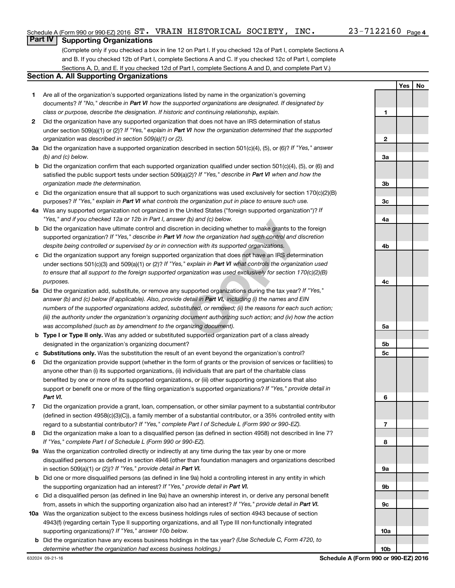**1**

**2**

**3a**

**Yes No**

#### **Part IV Supporting Organizations**

(Complete only if you checked a box in line 12 on Part I. If you checked 12a of Part I, complete Sections A and B. If you checked 12b of Part I, complete Sections A and C. If you checked 12c of Part I, complete Sections A, D, and E. If you checked 12d of Part I, complete Sections A and D, and complete Part V.)

#### **Section A. All Supporting Organizations**

- **1** Are all of the organization's supported organizations listed by name in the organization's governing documents? If "No," describe in Part VI how the supported organizations are designated. If designated by *class or purpose, describe the designation. If historic and continuing relationship, explain.*
- **2** Did the organization have any supported organization that does not have an IRS determination of status under section 509(a)(1) or (2)? If "Yes," explain in Part VI how the organization determined that the supported *organization was described in section 509(a)(1) or (2).*
- **3a** Did the organization have a supported organization described in section 501(c)(4), (5), or (6)? If "Yes," answer *(b) and (c) below.*
- **b** Did the organization confirm that each supported organization qualified under section 501(c)(4), (5), or (6) and satisfied the public support tests under section 509(a)(2)? If "Yes," describe in Part VI when and how the *organization made the determination.*
- **c** Did the organization ensure that all support to such organizations was used exclusively for section 170(c)(2)(B) purposes? If "Yes," explain in Part VI what controls the organization put in place to ensure such use.
- **4 a** *If* Was any supported organization not organized in the United States ("foreign supported organization")? *"Yes," and if you checked 12a or 12b in Part I, answer (b) and (c) below.*
- **b** Did the organization have ultimate control and discretion in deciding whether to make grants to the foreign supported organization? If "Yes," describe in Part VI how the organization had such control and discretion *despite being controlled or supervised by or in connection with its supported organizations.*
- **c** Did the organization support any foreign supported organization that does not have an IRS determination under sections 501(c)(3) and 509(a)(1) or (2)? If "Yes," explain in Part VI what controls the organization used *to ensure that all support to the foreign supported organization was used exclusively for section 170(c)(2)(B) purposes.*
- r (b) and (c) below.<br>
tion in deciding whether to make grants to the fo<br>
how the organization had such control and discre<br>
cetion with its supported organizations.<br>
Fragmization that does not have an IRS determine<br>
" expla **5a** Did the organization add, substitute, or remove any supported organizations during the tax year? If "Yes," answer (b) and (c) below (if applicable). Also, provide detail in Part VI, including (i) the names and EIN *numbers of the supported organizations added, substituted, or removed; (ii) the reasons for each such action; (iii) the authority under the organization's organizing document authorizing such action; and (iv) how the action was accomplished (such as by amendment to the organizing document).*
- **b Type I or Type II only.** Was any added or substituted supported organization part of a class already designated in the organization's organizing document?
- **c Substitutions only.**  Was the substitution the result of an event beyond the organization's control?
- **6** Did the organization provide support (whether in the form of grants or the provision of services or facilities) to support or benefit one or more of the filing organization's supported organizations? If "Yes," provide detail in anyone other than (i) its supported organizations, (ii) individuals that are part of the charitable class benefited by one or more of its supported organizations, or (iii) other supporting organizations that also *Part VI.*
- **7** Did the organization provide a grant, loan, compensation, or other similar payment to a substantial contributor regard to a substantial contributor? If "Yes," complete Part I of Schedule L (Form 990 or 990-EZ). (defined in section 4958(c)(3)(C)), a family member of a substantial contributor, or a 35% controlled entity with
- **8** Did the organization make a loan to a disqualified person (as defined in section 4958) not described in line 7? *If "Yes," complete Part I of Schedule L (Form 990 or 990-EZ).*
- **9 a** Was the organization controlled directly or indirectly at any time during the tax year by one or more in section 509(a)(1) or (2))? If "Yes," provide detail in Part VI. disqualified persons as defined in section 4946 (other than foundation managers and organizations described
- **b** Did one or more disqualified persons (as defined in line 9a) hold a controlling interest in any entity in which the supporting organization had an interest? If "Yes," provide detail in Part VI.
- **c** Did a disqualified person (as defined in line 9a) have an ownership interest in, or derive any personal benefit from, assets in which the supporting organization also had an interest? If "Yes," provide detail in Part VI.
- **10 a** Was the organization subject to the excess business holdings rules of section 4943 because of section supporting organizations)? If "Yes," answer 10b below. 4943(f) (regarding certain Type II supporting organizations, and all Type III non-functionally integrated
- **b** Did the organization have any excess business holdings in the tax year? (Use Schedule C, Form 4720, to *determine whether the organization had excess business holdings.)*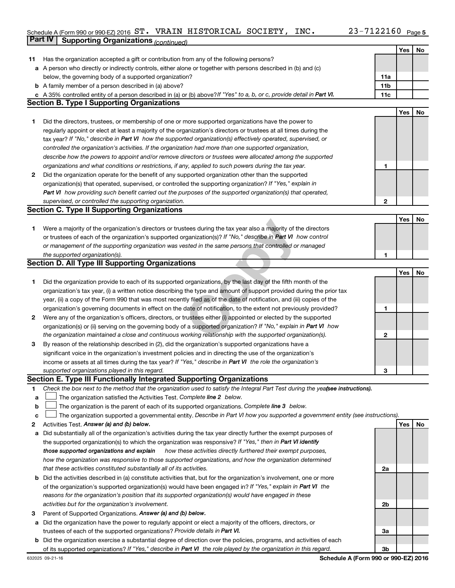#### Schedule A (Form 990 or 990-EZ) 2016 Page ST. VRAIN HISTORICAL SOCIETY, INC. 23-7122160**Part IV Supporting Organizations** *(continued)*

|    |                                                                                                                                 |              | Yes | No |
|----|---------------------------------------------------------------------------------------------------------------------------------|--------------|-----|----|
| 11 | Has the organization accepted a gift or contribution from any of the following persons?                                         |              |     |    |
|    | a A person who directly or indirectly controls, either alone or together with persons described in (b) and (c)                  |              |     |    |
|    | below, the governing body of a supported organization?                                                                          | 11a          |     |    |
|    | <b>b</b> A family member of a person described in (a) above?                                                                    | 11b          |     |    |
|    | c A 35% controlled entity of a person described in (a) or (b) above? If "Yes" to a, b, or c, provide detail in Part VI.         | 11c          |     |    |
|    | <b>Section B. Type I Supporting Organizations</b>                                                                               |              |     |    |
|    |                                                                                                                                 |              | Yes | No |
| 1  | Did the directors, trustees, or membership of one or more supported organizations have the power to                             |              |     |    |
|    | regularly appoint or elect at least a majority of the organization's directors or trustees at all times during the              |              |     |    |
|    | tax year? If "No," describe in Part VI how the supported organization(s) effectively operated, supervised, or                   |              |     |    |
|    | controlled the organization's activities. If the organization had more than one supported organization,                         |              |     |    |
|    | describe how the powers to appoint and/or remove directors or trustees were allocated among the supported                       |              |     |    |
|    |                                                                                                                                 | 1            |     |    |
|    | organizations and what conditions or restrictions, if any, applied to such powers during the tax year.                          |              |     |    |
| 2  | Did the organization operate for the benefit of any supported organization other than the supported                             |              |     |    |
|    | organization(s) that operated, supervised, or controlled the supporting organization? If "Yes," explain in                      |              |     |    |
|    | Part VI how providing such benefit carried out the purposes of the supported organization(s) that operated,                     |              |     |    |
|    | supervised, or controlled the supporting organization.                                                                          | $\mathbf{2}$ |     |    |
|    | <b>Section C. Type II Supporting Organizations</b>                                                                              |              |     |    |
|    |                                                                                                                                 |              | Yes | No |
| 1. | Were a majority of the organization's directors or trustees during the tax year also a majority of the directors                |              |     |    |
|    | or trustees of each of the organization's supported organization(s)? If "No," describe in Part VI how control                   |              |     |    |
|    | or management of the supporting organization was vested in the same persons that controlled or managed                          |              |     |    |
|    | the supported organization(s).                                                                                                  | 1            |     |    |
|    | <b>Section D. All Type III Supporting Organizations</b>                                                                         |              |     |    |
|    |                                                                                                                                 |              | Yes | No |
| 1  | Did the organization provide to each of its supported organizations, by the last day of the fifth month of the                  |              |     |    |
|    | organization's tax year, (i) a written notice describing the type and amount of support provided during the prior tax           |              |     |    |
|    | year, (ii) a copy of the Form 990 that was most recently filed as of the date of notification, and (iii) copies of the          |              |     |    |
|    | organization's governing documents in effect on the date of notification, to the extent not previously provided?                | 1            |     |    |
| 2  | Were any of the organization's officers, directors, or trustees either (i) appointed or elected by the supported                |              |     |    |
|    | organization(s) or (ii) serving on the governing body of a supported organization? If "No," explain in Part VI how              |              |     |    |
|    | the organization maintained a close and continuous working relationship with the supported organization(s).                     | $\mathbf 2$  |     |    |
| 3  | By reason of the relationship described in (2), did the organization's supported organizations have a                           |              |     |    |
|    | significant voice in the organization's investment policies and in directing the use of the organization's                      |              |     |    |
|    | income or assets at all times during the tax year? If "Yes," describe in Part VI the role the organization's                    |              |     |    |
|    | supported organizations played in this regard.                                                                                  | 3            |     |    |
|    | Section E. Type III Functionally Integrated Supporting Organizations                                                            |              |     |    |
| 1. | Check the box next to the method that the organization used to satisfy the Integral Part Test during the yealsee instructions). |              |     |    |
| a  | The organization satisfied the Activities Test. Complete line 2 below.                                                          |              |     |    |
| b  | The organization is the parent of each of its supported organizations. Complete line 3 below.                                   |              |     |    |
| c  | The organization supported a governmental entity. Describe in Part VI how you supported a government entity (see instructions). |              |     |    |
| 2  | Activities Test. Answer (a) and (b) below.                                                                                      |              | Yes | No |
| a  | Did substantially all of the organization's activities during the tax year directly further the exempt purposes of              |              |     |    |
|    | the supported organization(s) to which the organization was responsive? If "Yes," then in Part VI identify                      |              |     |    |
|    | those supported organizations and explain<br>how these activities directly furthered their exempt purposes,                     |              |     |    |
|    | how the organization was responsive to those supported organizations, and how the organization determined                       |              |     |    |
|    | that these activities constituted substantially all of its activities.                                                          | 2a           |     |    |
|    | <b>b</b> Did the activities described in (a) constitute activities that, but for the organization's involvement, one or more    |              |     |    |
|    | of the organization's supported organization(s) would have been engaged in? If "Yes," explain in Part VI the                    |              |     |    |
|    |                                                                                                                                 |              |     |    |
|    | reasons for the organization's position that its supported organization(s) would have engaged in these                          |              |     |    |
|    | activities but for the organization's involvement.                                                                              | 2b           |     |    |
| з  | Parent of Supported Organizations. Answer (a) and (b) below.                                                                    |              |     |    |
| a  | Did the organization have the power to regularly appoint or elect a majority of the officers, directors, or                     |              |     |    |
|    | trustees of each of the supported organizations? Provide details in Part VI.                                                    | За           |     |    |
|    | <b>b</b> Did the organization exercise a substantial degree of direction over the policies, programs, and activities of each    |              |     |    |
|    | of its supported organizations? If "Yes," describe in Part VI the role played by the organization in this regard.               | 3b           |     |    |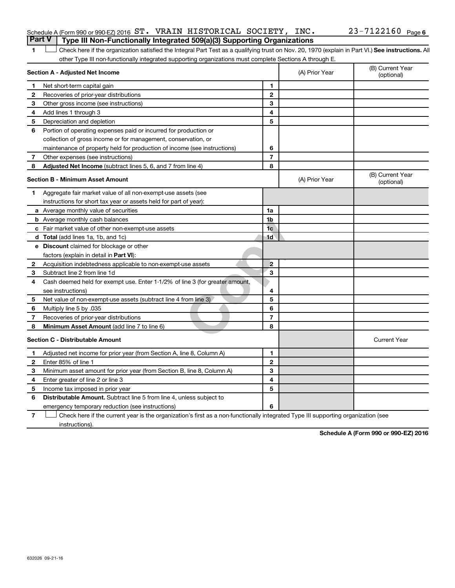|  | Schedule A (Form 990 or 990-EZ) 2016 $ST.$ VRAIN HISTORICAL SOCIETY, INC.               |  |  | 23-7122160 <sub>Page 6</sub> |  |
|--|-----------------------------------------------------------------------------------------|--|--|------------------------------|--|
|  | <b>Part V</b>   Type III Non-Functionally Integrated 509(a)(3) Supporting Organizations |  |  |                              |  |

1 **Letter See instructions.** All Check here if the organization satisfied the Integral Part Test as a qualifying trust on Nov. 20, 1970 (explain in Part VI.) See instructions. All other Type III non-functionally integrated supporting organizations must complete Sections A through E.

|              | Section A - Adjusted Net Income                                              |                | (A) Prior Year | (B) Current Year<br>(optional) |
|--------------|------------------------------------------------------------------------------|----------------|----------------|--------------------------------|
| 1            | Net short-term capital gain                                                  | 1              |                |                                |
| 2            | Recoveries of prior-year distributions                                       | $\mathbf{2}$   |                |                                |
| 3            | Other gross income (see instructions)                                        | 3              |                |                                |
| 4            | Add lines 1 through 3                                                        | 4              |                |                                |
| 5            | Depreciation and depletion                                                   | 5              |                |                                |
| 6            | Portion of operating expenses paid or incurred for production or             |                |                |                                |
|              | collection of gross income or for management, conservation, or               |                |                |                                |
|              | maintenance of property held for production of income (see instructions)     | 6              |                |                                |
| 7            | Other expenses (see instructions)                                            | $\overline{7}$ |                |                                |
| 8            | Adjusted Net Income (subtract lines 5, 6, and 7 from line 4)                 | 8              |                |                                |
|              | <b>Section B - Minimum Asset Amount</b>                                      |                | (A) Prior Year | (B) Current Year<br>(optional) |
| 1.           | Aggregate fair market value of all non-exempt-use assets (see                |                |                |                                |
|              | instructions for short tax year or assets held for part of year):            |                |                |                                |
|              | a Average monthly value of securities                                        | 1a             |                |                                |
|              | <b>b</b> Average monthly cash balances                                       | 1b             |                |                                |
|              | c Fair market value of other non-exempt-use assets                           | 1 <sub>c</sub> |                |                                |
|              | d Total (add lines 1a, 1b, and 1c)                                           | 1d             |                |                                |
|              | <b>e</b> Discount claimed for blockage or other                              |                |                |                                |
|              | factors (explain in detail in <b>Part VI</b> ):                              |                |                |                                |
| 2            | Acquisition indebtedness applicable to non-exempt-use assets                 | $\overline{2}$ |                |                                |
| З            | Subtract line 2 from line 1d                                                 | 3              |                |                                |
| 4            | Cash deemed held for exempt use. Enter 1-1/2% of line 3 (for greater amount, |                |                |                                |
|              | see instructions)                                                            | 4              |                |                                |
| 5            | Net value of non-exempt-use assets (subtract line 4 from line 3)             | 5              |                |                                |
| 6            | Multiply line 5 by .035                                                      | 6              |                |                                |
| 7            | Recoveries of prior-year distributions                                       | 7              |                |                                |
| 8            | Minimum Asset Amount (add line 7 to line 6)                                  | 8              |                |                                |
|              | <b>Section C - Distributable Amount</b>                                      |                |                | <b>Current Year</b>            |
| $\mathbf 1$  | Adjusted net income for prior year (from Section A, line 8, Column A)        | 1              |                |                                |
| $\mathbf{2}$ | Enter 85% of line 1                                                          | $\mathbf{2}$   |                |                                |
| 3            | Minimum asset amount for prior year (from Section B, line 8, Column A)       | 3              |                |                                |
| 4            | Enter greater of line 2 or line 3                                            | 4              |                |                                |
| 5            | Income tax imposed in prior year                                             | 5              |                |                                |
| 6            | <b>Distributable Amount.</b> Subtract line 5 from line 4, unless subject to  |                |                |                                |
|              | emergency temporary reduction (see instructions)                             | 6              |                |                                |
|              |                                                                              |                |                |                                |

**7** Check here if the current year is the organization's first as a non-functionally integrated Type III supporting organization (see † instructions).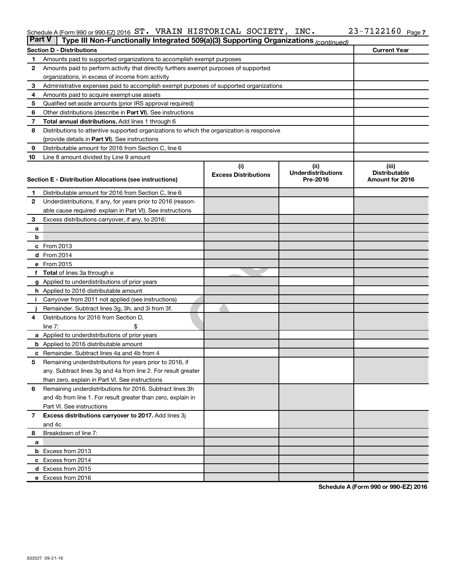#### Schedule A (Form 990 or 990-EZ) 2016 ST. VRAIN HISTORICAL SOCIETY, INC.  $Z3-1122160$  Page ST. VRAIN HISTORICAL SOCIETY, INC. 23-7122160

| <b>Part V</b>  | Type III Non-Functionally Integrated 509(a)(3) Supporting Organizations (continued)        |                             |                                       |                                         |  |  |  |  |  |
|----------------|--------------------------------------------------------------------------------------------|-----------------------------|---------------------------------------|-----------------------------------------|--|--|--|--|--|
|                | <b>Section D - Distributions</b>                                                           |                             |                                       | <b>Current Year</b>                     |  |  |  |  |  |
| 1              | Amounts paid to supported organizations to accomplish exempt purposes                      |                             |                                       |                                         |  |  |  |  |  |
| 2              | Amounts paid to perform activity that directly furthers exempt purposes of supported       |                             |                                       |                                         |  |  |  |  |  |
|                | organizations, in excess of income from activity                                           |                             |                                       |                                         |  |  |  |  |  |
| 3              | Administrative expenses paid to accomplish exempt purposes of supported organizations      |                             |                                       |                                         |  |  |  |  |  |
| 4              | Amounts paid to acquire exempt-use assets                                                  |                             |                                       |                                         |  |  |  |  |  |
| 5              | Qualified set-aside amounts (prior IRS approval required)                                  |                             |                                       |                                         |  |  |  |  |  |
| 6              | Other distributions (describe in Part VI). See instructions                                |                             |                                       |                                         |  |  |  |  |  |
| 7              | <b>Total annual distributions.</b> Add lines 1 through 6                                   |                             |                                       |                                         |  |  |  |  |  |
| 8              | Distributions to attentive supported organizations to which the organization is responsive |                             |                                       |                                         |  |  |  |  |  |
|                | (provide details in Part VI). See instructions                                             |                             |                                       |                                         |  |  |  |  |  |
| 9              | Distributable amount for 2016 from Section C, line 6                                       |                             |                                       |                                         |  |  |  |  |  |
| 10             | Line 8 amount divided by Line 9 amount                                                     |                             |                                       |                                         |  |  |  |  |  |
|                |                                                                                            | (i)                         | (ii)                                  | (iii)                                   |  |  |  |  |  |
|                | Section E - Distribution Allocations (see instructions)                                    | <b>Excess Distributions</b> | <b>Underdistributions</b><br>Pre-2016 | <b>Distributable</b><br>Amount for 2016 |  |  |  |  |  |
|                |                                                                                            |                             |                                       |                                         |  |  |  |  |  |
| 1              | Distributable amount for 2016 from Section C, line 6                                       |                             |                                       |                                         |  |  |  |  |  |
| $\mathbf{2}$   | Underdistributions, if any, for years prior to 2016 (reason-                               |                             |                                       |                                         |  |  |  |  |  |
|                | able cause required- explain in Part VI). See instructions                                 |                             |                                       |                                         |  |  |  |  |  |
| 3              | Excess distributions carryover, if any, to 2016:                                           |                             |                                       |                                         |  |  |  |  |  |
| а              |                                                                                            |                             |                                       |                                         |  |  |  |  |  |
| b              |                                                                                            |                             |                                       |                                         |  |  |  |  |  |
|                | c From 2013                                                                                |                             |                                       |                                         |  |  |  |  |  |
|                | <b>d</b> From 2014                                                                         |                             |                                       |                                         |  |  |  |  |  |
|                | e From 2015                                                                                |                             |                                       |                                         |  |  |  |  |  |
|                | f Total of lines 3a through e                                                              |                             |                                       |                                         |  |  |  |  |  |
|                | <b>g</b> Applied to underdistributions of prior years                                      |                             |                                       |                                         |  |  |  |  |  |
|                | <b>h</b> Applied to 2016 distributable amount                                              |                             |                                       |                                         |  |  |  |  |  |
|                | Carryover from 2011 not applied (see instructions)                                         |                             |                                       |                                         |  |  |  |  |  |
|                | Remainder. Subtract lines 3g, 3h, and 3i from 3f.                                          |                             |                                       |                                         |  |  |  |  |  |
| 4              | Distributions for 2016 from Section D,                                                     |                             |                                       |                                         |  |  |  |  |  |
|                | $line 7$ :                                                                                 |                             |                                       |                                         |  |  |  |  |  |
|                | a Applied to underdistributions of prior years                                             |                             |                                       |                                         |  |  |  |  |  |
|                | <b>b</b> Applied to 2016 distributable amount                                              |                             |                                       |                                         |  |  |  |  |  |
| с              | Remainder. Subtract lines 4a and 4b from 4                                                 |                             |                                       |                                         |  |  |  |  |  |
| 5              | Remaining underdistributions for years prior to 2016, if                                   |                             |                                       |                                         |  |  |  |  |  |
|                | any. Subtract lines 3g and 4a from line 2. For result greater                              |                             |                                       |                                         |  |  |  |  |  |
|                | than zero, explain in Part VI. See instructions                                            |                             |                                       |                                         |  |  |  |  |  |
| 6              | Remaining underdistributions for 2016. Subtract lines 3h                                   |                             |                                       |                                         |  |  |  |  |  |
|                | and 4b from line 1. For result greater than zero, explain in                               |                             |                                       |                                         |  |  |  |  |  |
|                | Part VI. See instructions                                                                  |                             |                                       |                                         |  |  |  |  |  |
| $\overline{7}$ | Excess distributions carryover to 2017. Add lines 3j                                       |                             |                                       |                                         |  |  |  |  |  |
|                | and 4c                                                                                     |                             |                                       |                                         |  |  |  |  |  |
| 8              | Breakdown of line 7:                                                                       |                             |                                       |                                         |  |  |  |  |  |
| a              |                                                                                            |                             |                                       |                                         |  |  |  |  |  |
|                | <b>b</b> Excess from 2013                                                                  |                             |                                       |                                         |  |  |  |  |  |
|                | c Excess from 2014                                                                         |                             |                                       |                                         |  |  |  |  |  |
|                | d Excess from 2015                                                                         |                             |                                       |                                         |  |  |  |  |  |
|                | e Excess from 2016                                                                         |                             |                                       |                                         |  |  |  |  |  |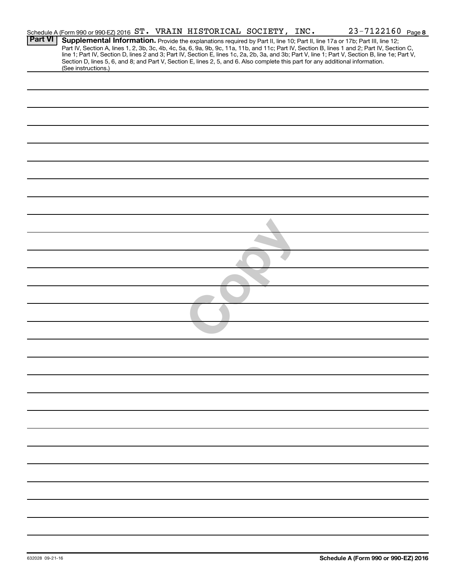|                | Schedule A (Form 990 or 990-EZ) 2016 ST. VRAIN HISTORICAL SOCIETY, INC.                                                                                |  |  |  | 23-7122160 Page 8                                                                                                                                                                                                                                                                                |  |
|----------------|--------------------------------------------------------------------------------------------------------------------------------------------------------|--|--|--|--------------------------------------------------------------------------------------------------------------------------------------------------------------------------------------------------------------------------------------------------------------------------------------------------|--|
| <b>Part VI</b> |                                                                                                                                                        |  |  |  | Supplemental Information. Provide the explanations required by Part II, line 10; Part II, line 17a or 17b; Part III, line 12;                                                                                                                                                                    |  |
|                |                                                                                                                                                        |  |  |  | Part IV, Section A, lines 1, 2, 3b, 3c, 4b, 4c, 5a, 6, 9a, 9b, 9c, 11a, 11b, and 11c; Part IV, Section B, lines 1 and 2; Part IV, Section C,<br>line 1; Part IV, Section D, lines 2 and 3; Part IV, Section E, lines 1c, 2a, 2b, 3a, and 3b; Part V, line 1; Part V, Section B, line 1e; Part V, |  |
|                | Section D, lines 5, 6, and 8; and Part V, Section E, lines 2, 5, and 6. Also complete this part for any additional information.<br>(See instructions.) |  |  |  |                                                                                                                                                                                                                                                                                                  |  |
|                |                                                                                                                                                        |  |  |  |                                                                                                                                                                                                                                                                                                  |  |
|                |                                                                                                                                                        |  |  |  |                                                                                                                                                                                                                                                                                                  |  |
|                |                                                                                                                                                        |  |  |  |                                                                                                                                                                                                                                                                                                  |  |
|                |                                                                                                                                                        |  |  |  |                                                                                                                                                                                                                                                                                                  |  |
|                |                                                                                                                                                        |  |  |  |                                                                                                                                                                                                                                                                                                  |  |
|                |                                                                                                                                                        |  |  |  |                                                                                                                                                                                                                                                                                                  |  |
|                |                                                                                                                                                        |  |  |  |                                                                                                                                                                                                                                                                                                  |  |
|                |                                                                                                                                                        |  |  |  |                                                                                                                                                                                                                                                                                                  |  |
|                |                                                                                                                                                        |  |  |  |                                                                                                                                                                                                                                                                                                  |  |
|                |                                                                                                                                                        |  |  |  |                                                                                                                                                                                                                                                                                                  |  |
|                |                                                                                                                                                        |  |  |  |                                                                                                                                                                                                                                                                                                  |  |
|                |                                                                                                                                                        |  |  |  |                                                                                                                                                                                                                                                                                                  |  |
|                |                                                                                                                                                        |  |  |  |                                                                                                                                                                                                                                                                                                  |  |
|                |                                                                                                                                                        |  |  |  |                                                                                                                                                                                                                                                                                                  |  |
|                |                                                                                                                                                        |  |  |  |                                                                                                                                                                                                                                                                                                  |  |
|                |                                                                                                                                                        |  |  |  |                                                                                                                                                                                                                                                                                                  |  |
|                |                                                                                                                                                        |  |  |  |                                                                                                                                                                                                                                                                                                  |  |
|                |                                                                                                                                                        |  |  |  |                                                                                                                                                                                                                                                                                                  |  |
|                |                                                                                                                                                        |  |  |  |                                                                                                                                                                                                                                                                                                  |  |
|                |                                                                                                                                                        |  |  |  |                                                                                                                                                                                                                                                                                                  |  |
|                |                                                                                                                                                        |  |  |  |                                                                                                                                                                                                                                                                                                  |  |
|                |                                                                                                                                                        |  |  |  |                                                                                                                                                                                                                                                                                                  |  |
|                |                                                                                                                                                        |  |  |  |                                                                                                                                                                                                                                                                                                  |  |
|                |                                                                                                                                                        |  |  |  |                                                                                                                                                                                                                                                                                                  |  |
|                |                                                                                                                                                        |  |  |  |                                                                                                                                                                                                                                                                                                  |  |
|                |                                                                                                                                                        |  |  |  |                                                                                                                                                                                                                                                                                                  |  |
|                |                                                                                                                                                        |  |  |  |                                                                                                                                                                                                                                                                                                  |  |
|                |                                                                                                                                                        |  |  |  |                                                                                                                                                                                                                                                                                                  |  |
|                |                                                                                                                                                        |  |  |  |                                                                                                                                                                                                                                                                                                  |  |
|                |                                                                                                                                                        |  |  |  |                                                                                                                                                                                                                                                                                                  |  |
|                |                                                                                                                                                        |  |  |  |                                                                                                                                                                                                                                                                                                  |  |
|                |                                                                                                                                                        |  |  |  |                                                                                                                                                                                                                                                                                                  |  |
|                |                                                                                                                                                        |  |  |  |                                                                                                                                                                                                                                                                                                  |  |
|                |                                                                                                                                                        |  |  |  |                                                                                                                                                                                                                                                                                                  |  |
|                |                                                                                                                                                        |  |  |  |                                                                                                                                                                                                                                                                                                  |  |
|                |                                                                                                                                                        |  |  |  |                                                                                                                                                                                                                                                                                                  |  |
|                |                                                                                                                                                        |  |  |  |                                                                                                                                                                                                                                                                                                  |  |
|                |                                                                                                                                                        |  |  |  |                                                                                                                                                                                                                                                                                                  |  |
|                |                                                                                                                                                        |  |  |  |                                                                                                                                                                                                                                                                                                  |  |
|                |                                                                                                                                                        |  |  |  |                                                                                                                                                                                                                                                                                                  |  |
|                |                                                                                                                                                        |  |  |  |                                                                                                                                                                                                                                                                                                  |  |
|                |                                                                                                                                                        |  |  |  |                                                                                                                                                                                                                                                                                                  |  |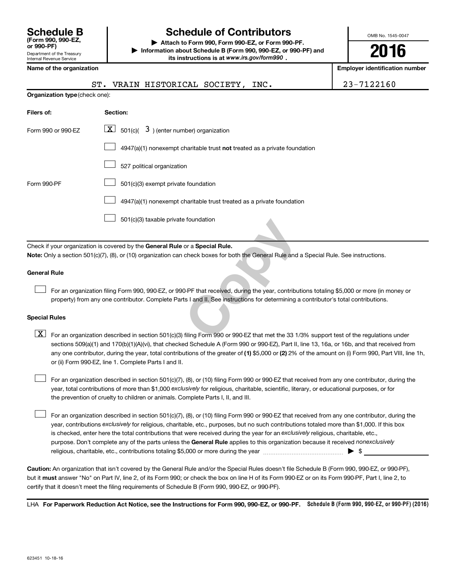| <b>Schedule B</b><br>(Form 990, 990-EZ,<br>or 990-PF)         |
|---------------------------------------------------------------|
| Department of the Treasury<br><b>Internal Revenue Service</b> |

# **Schedule of Contributors**

**or 990-PF) | Attach to Form 990, Form 990-EZ, or Form 990-PF. | Information about Schedule B (Form 990, 990-EZ, or 990-PF) and** its instructions is at www.irs.gov/form990.

OMB No. 1545-0047

**2016**

**Employer identification number** 

|  | Name of the organization |  |  |  |  |  |  |
|--|--------------------------|--|--|--|--|--|--|
|--|--------------------------|--|--|--|--|--|--|

|  | . VRAIN HISTORICAL SOCIETY, INC. |  |  |
|--|----------------------------------|--|--|
|  |                                  |  |  |

23 - 7122160

| <b>Organization type (check one):</b>                                              |  |  |  |  |  |
|------------------------------------------------------------------------------------|--|--|--|--|--|
| Section:                                                                           |  |  |  |  |  |
| $\lfloor x \rfloor$ 501(c)( 3) (enter number) organization                         |  |  |  |  |  |
| $4947(a)(1)$ nonexempt charitable trust <b>not</b> treated as a private foundation |  |  |  |  |  |
| 527 political organization                                                         |  |  |  |  |  |
| 501(c)(3) exempt private foundation                                                |  |  |  |  |  |
| 4947(a)(1) nonexempt charitable trust treated as a private foundation              |  |  |  |  |  |
| 501(c)(3) taxable private foundation                                               |  |  |  |  |  |
|                                                                                    |  |  |  |  |  |

Check if your organization is covered by the General Rule or a Special Rule. **Note:**  Only a section 501(c)(7), (8), or (10) organization can check boxes for both the General Rule and a Special Rule. See instructions.

#### **General Rule**

 $\Box$ 

Foundation<br>
or a **Special Rule.**<br>
check boxes for both the General Rule and a Sp<br>
D-PF that received, during the year, contributions<br>
ts I and II. See instructions for determining a con<br>
filing Form 990 or 990-EZ that met For an organization filing Form 990, 990-EZ, or 990-PF that received, during the year, contributions totaling \$5,000 or more (in money or property) from any one contributor. Complete Parts I and II. See instructions for determining a contributor's total contributions.

#### **Special Rules**

any one contributor, during the year, total contributions of the greater of **(1)** \$5,000 or **(2)** 2% of the amount on (i) Form 990, Part VIII, line 1h,  $\boxed{\text{X}}$  For an organization described in section 501(c)(3) filing Form 990 or 990-EZ that met the 33 1/3% support test of the regulations under sections 509(a)(1) and 170(b)(1)(A)(vi), that checked Schedule A (Form 990 or 990-EZ), Part II, line 13, 16a, or 16b, and that received from or (ii) Form 990-EZ, line 1. Complete Parts I and II.

year, total contributions of more than \$1,000 *exclusively* for religious, charitable, scientific, literary, or educational purposes, or for For an organization described in section 501(c)(7), (8), or (10) filing Form 990 or 990-EZ that received from any one contributor, during the the prevention of cruelty to children or animals. Complete Parts I, II, and III.  $\Box$ 

purpose. Don't complete any of the parts unless the General Rule applies to this organization because it received nonexclusively year, contributions exclusively for religious, charitable, etc., purposes, but no such contributions totaled more than \$1,000. If this box is checked, enter here the total contributions that were received during the year for an exclusively religious, charitable, etc., For an organization described in section 501(c)(7), (8), or (10) filing Form 990 or 990-EZ that received from any one contributor, during the religious, charitable, etc., contributions totaling \$5,000 or more during the year  $\ldots$  $\ldots$  $\ldots$  $\ldots$  $\ldots$  $\ldots$  $\Box$ 

**Caution:**  An organization that isn't covered by the General Rule and/or the Special Rules doesn't file Schedule B (Form 990, 990-EZ, or 990-PF),  **must** but it answer "No" on Part IV, line 2, of its Form 990; or check the box on line H of its Form 990-EZ or on its Form 990-PF, Part I, line 2, to certify that it doesn't meet the filing requirements of Schedule B (Form 990, 990-EZ, or 990-PF).

LHA For Paperwork Reduction Act Notice, see the Instructions for Form 990, 990-EZ, or 990-PF. Schedule B (Form 990, 990-EZ, or 990-PF) (2016)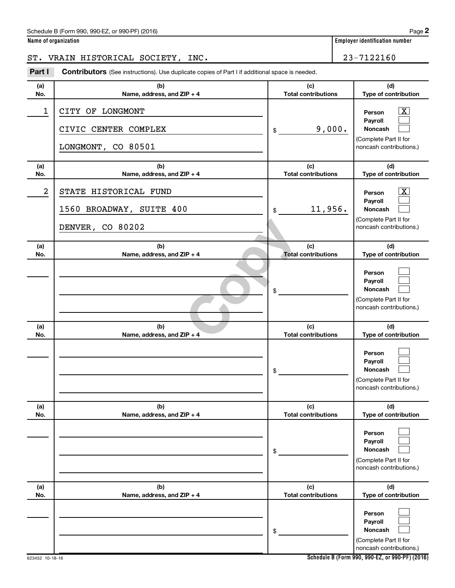#### Schedule B (Form 990, 990-EZ, or 990-PF) (2016)

**Name of organization Employer identification number**

ST. VRAIN HISTORICAL SOCIETY, INC. 23-7122160

Part I Contributors (See instructions). Use duplicate copies of Part I if additional space is needed.

| (a)        | (b)                                                                   | (c)                               | (d)                                                                                                                |
|------------|-----------------------------------------------------------------------|-----------------------------------|--------------------------------------------------------------------------------------------------------------------|
| No.        | Name, address, and ZIP + 4                                            | <b>Total contributions</b>        | Type of contribution                                                                                               |
| 1          | CITY OF LONGMONT<br>CIVIC CENTER COMPLEX<br>LONGMONT, CO 80501        | 9,000.<br>\$                      | $\overline{\mathbf{x}}$<br>Person<br>Payroll<br>Noncash<br>(Complete Part II for<br>noncash contributions.)        |
| (a)<br>No. | (b)<br>Name, address, and ZIP + 4                                     | (c)<br><b>Total contributions</b> | (d)<br>Type of contribution                                                                                        |
| 2          | STATE HISTORICAL FUND<br>1560 BROADWAY, SUITE 400<br>DENVER, CO 80202 | 11,956.<br>\$                     | $\overline{\mathbf{x}}$<br>Person<br>Payroll<br><b>Noncash</b><br>(Complete Part II for<br>noncash contributions.) |
| (a)<br>No. | (b)<br>Name, address, and ZIP + 4                                     | (c)<br><b>Total contributions</b> | (d)<br>Type of contribution                                                                                        |
|            |                                                                       | \$                                | Person<br>Payroll<br><b>Noncash</b><br>(Complete Part II for<br>noncash contributions.)                            |
| (a)<br>No. | (b)<br>Name, address, and ZIP + 4                                     | (c)<br><b>Total contributions</b> | (d)<br>Type of contribution                                                                                        |
|            |                                                                       | \$                                | Person<br>Payroll<br><b>Noncash</b><br>(Complete Part II for<br>noncash contributions.)                            |
| (a)<br>No. | (b)<br>Name, address, and ZIP + 4                                     | (c)<br><b>Total contributions</b> | (d)<br>Type of contribution                                                                                        |
|            |                                                                       | \$                                | Person<br>Payroll<br><b>Noncash</b><br>(Complete Part II for<br>noncash contributions.)                            |
| (a)<br>No. | (b)<br>Name, address, and ZIP + 4                                     | (c)<br><b>Total contributions</b> | (d)<br>Type of contribution                                                                                        |
|            |                                                                       | \$                                | Person<br>Payroll<br>Noncash<br>(Complete Part II for<br>noncash contributions.)                                   |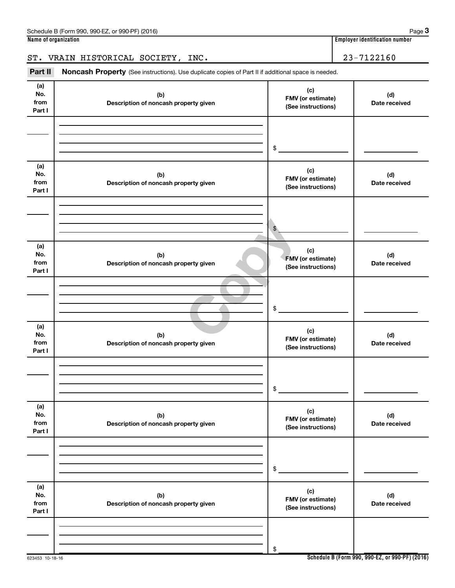ST. VRAIN HISTORICAL SOCIETY, INC. 23-7122160

Part II Noncash Property (See instructions). Use duplicate copies of Part II if additional space is needed.

| (a)<br>No.<br>from<br>Part I | (b)<br>Description of noncash property given | (c)<br>FMV (or estimate)<br>(See instructions) | (d)<br>Date received |
|------------------------------|----------------------------------------------|------------------------------------------------|----------------------|
|                              |                                              | \$                                             |                      |
| (a)<br>No.<br>from<br>Part I | (b)<br>Description of noncash property given | (c)<br>FMV (or estimate)<br>(See instructions) | (d)<br>Date received |
|                              |                                              | $\mathfrak{L}$                                 |                      |
| (a)<br>No.<br>from<br>Part I | (b)<br>Description of noncash property given | (c)<br>FMV (or estimate)<br>(See instructions) | (d)<br>Date received |
|                              |                                              | \$                                             |                      |
| (a)<br>No.<br>from<br>Part I | (b)<br>Description of noncash property given | (c)<br>FMV (or estimate)<br>(See instructions) | (d)<br>Date received |
|                              |                                              | \$                                             |                      |
| (a)<br>No.<br>from<br>Part I | (b)<br>Description of noncash property given | (c)<br>FMV (or estimate)<br>(See instructions) | (d)<br>Date received |
|                              |                                              | $\$$                                           |                      |
| (a)<br>No.<br>from<br>Part I | (b)<br>Description of noncash property given | (c)<br>FMV (or estimate)<br>(See instructions) | (d)<br>Date received |
|                              |                                              | \$                                             |                      |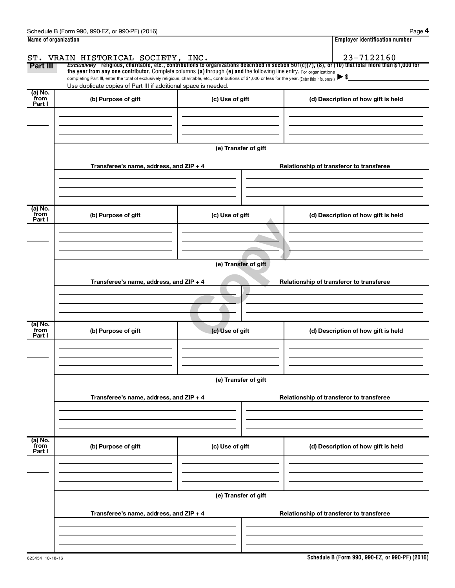|                      | Schedule B (Form 990, 990-EZ, or 990-PF) (2016)                                                                                                                                                                             |                      | Page 4                                                                                                                                                              |  |  |  |  |  |
|----------------------|-----------------------------------------------------------------------------------------------------------------------------------------------------------------------------------------------------------------------------|----------------------|---------------------------------------------------------------------------------------------------------------------------------------------------------------------|--|--|--|--|--|
| Name of organization |                                                                                                                                                                                                                             |                      | <b>Employer identification number</b>                                                                                                                               |  |  |  |  |  |
|                      |                                                                                                                                                                                                                             |                      |                                                                                                                                                                     |  |  |  |  |  |
| Part III             | ST. VRAIN HISTORICAL SOCIETY, INC.                                                                                                                                                                                          |                      | 23-7122160<br>Exclusively religious, charitable, etc., contributions to organizations described in section 501(c)(7), (8), or (10) that total more than \$1,000 for |  |  |  |  |  |
|                      | the year from any one contributor. Complete columns (a) through (e) and the following line entry. For organizations                                                                                                         |                      |                                                                                                                                                                     |  |  |  |  |  |
|                      | completing Part III, enter the total of exclusively religious, charitable, etc., contributions of \$1,000 or less for the year. (Enter this info. once.)<br>Use duplicate copies of Part III if additional space is needed. |                      |                                                                                                                                                                     |  |  |  |  |  |
| (a) No.<br>from      |                                                                                                                                                                                                                             |                      |                                                                                                                                                                     |  |  |  |  |  |
| Part I               | (b) Purpose of gift                                                                                                                                                                                                         | (c) Use of gift      | (d) Description of how gift is held                                                                                                                                 |  |  |  |  |  |
|                      |                                                                                                                                                                                                                             |                      |                                                                                                                                                                     |  |  |  |  |  |
|                      |                                                                                                                                                                                                                             |                      |                                                                                                                                                                     |  |  |  |  |  |
|                      |                                                                                                                                                                                                                             |                      |                                                                                                                                                                     |  |  |  |  |  |
|                      |                                                                                                                                                                                                                             | (e) Transfer of gift |                                                                                                                                                                     |  |  |  |  |  |
|                      |                                                                                                                                                                                                                             |                      |                                                                                                                                                                     |  |  |  |  |  |
|                      | Transferee's name, address, and ZIP + 4                                                                                                                                                                                     |                      | Relationship of transferor to transferee                                                                                                                            |  |  |  |  |  |
|                      |                                                                                                                                                                                                                             |                      |                                                                                                                                                                     |  |  |  |  |  |
|                      |                                                                                                                                                                                                                             |                      |                                                                                                                                                                     |  |  |  |  |  |
|                      |                                                                                                                                                                                                                             |                      |                                                                                                                                                                     |  |  |  |  |  |
| (a) No.              |                                                                                                                                                                                                                             |                      |                                                                                                                                                                     |  |  |  |  |  |
| from<br>Part I       | (b) Purpose of gift                                                                                                                                                                                                         | (c) Use of gift      | (d) Description of how gift is held                                                                                                                                 |  |  |  |  |  |
|                      |                                                                                                                                                                                                                             |                      |                                                                                                                                                                     |  |  |  |  |  |
|                      |                                                                                                                                                                                                                             |                      |                                                                                                                                                                     |  |  |  |  |  |
|                      |                                                                                                                                                                                                                             |                      |                                                                                                                                                                     |  |  |  |  |  |
|                      |                                                                                                                                                                                                                             |                      |                                                                                                                                                                     |  |  |  |  |  |
|                      | (e) Transfer of gift                                                                                                                                                                                                        |                      |                                                                                                                                                                     |  |  |  |  |  |
|                      | Transferee's name, address, and ZIP + 4<br>Relationship of transferor to transferee                                                                                                                                         |                      |                                                                                                                                                                     |  |  |  |  |  |
|                      |                                                                                                                                                                                                                             |                      |                                                                                                                                                                     |  |  |  |  |  |
|                      |                                                                                                                                                                                                                             |                      |                                                                                                                                                                     |  |  |  |  |  |
|                      |                                                                                                                                                                                                                             |                      |                                                                                                                                                                     |  |  |  |  |  |
|                      |                                                                                                                                                                                                                             |                      |                                                                                                                                                                     |  |  |  |  |  |
| (a) No.<br>from      | (b) Purpose of gift                                                                                                                                                                                                         | (c) Use of gift      | (d) Description of how gift is held                                                                                                                                 |  |  |  |  |  |
| Part I               |                                                                                                                                                                                                                             |                      |                                                                                                                                                                     |  |  |  |  |  |
|                      |                                                                                                                                                                                                                             |                      |                                                                                                                                                                     |  |  |  |  |  |
|                      |                                                                                                                                                                                                                             |                      |                                                                                                                                                                     |  |  |  |  |  |
|                      |                                                                                                                                                                                                                             |                      |                                                                                                                                                                     |  |  |  |  |  |
|                      |                                                                                                                                                                                                                             | (e) Transfer of gift |                                                                                                                                                                     |  |  |  |  |  |
|                      |                                                                                                                                                                                                                             |                      |                                                                                                                                                                     |  |  |  |  |  |
|                      | Transferee's name, address, and ZIP + 4                                                                                                                                                                                     |                      | Relationship of transferor to transferee                                                                                                                            |  |  |  |  |  |
|                      |                                                                                                                                                                                                                             |                      |                                                                                                                                                                     |  |  |  |  |  |
|                      |                                                                                                                                                                                                                             |                      |                                                                                                                                                                     |  |  |  |  |  |
|                      |                                                                                                                                                                                                                             |                      |                                                                                                                                                                     |  |  |  |  |  |
| (a) No.<br>from      | (b) Purpose of gift                                                                                                                                                                                                         | (c) Use of gift      | (d) Description of how gift is held                                                                                                                                 |  |  |  |  |  |
| Part I               |                                                                                                                                                                                                                             |                      |                                                                                                                                                                     |  |  |  |  |  |
|                      |                                                                                                                                                                                                                             |                      |                                                                                                                                                                     |  |  |  |  |  |
|                      |                                                                                                                                                                                                                             |                      |                                                                                                                                                                     |  |  |  |  |  |
|                      |                                                                                                                                                                                                                             |                      |                                                                                                                                                                     |  |  |  |  |  |
|                      | (e) Transfer of gift                                                                                                                                                                                                        |                      |                                                                                                                                                                     |  |  |  |  |  |
|                      |                                                                                                                                                                                                                             |                      |                                                                                                                                                                     |  |  |  |  |  |
|                      | Transferee's name, address, and ZIP + 4                                                                                                                                                                                     |                      | Relationship of transferor to transferee                                                                                                                            |  |  |  |  |  |
|                      |                                                                                                                                                                                                                             |                      |                                                                                                                                                                     |  |  |  |  |  |
|                      |                                                                                                                                                                                                                             |                      |                                                                                                                                                                     |  |  |  |  |  |
|                      |                                                                                                                                                                                                                             |                      |                                                                                                                                                                     |  |  |  |  |  |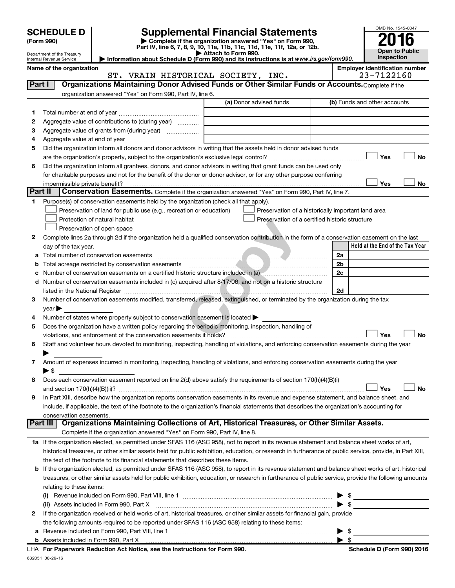|         | <b>SCHEDULE D</b>                                                                     |  |                                                                     |                                                                           | <b>Supplemental Financial Statements</b>                                                                                                                                                                                                |  |    |                                       | OMB No. 1545-0047                   |
|---------|---------------------------------------------------------------------------------------|--|---------------------------------------------------------------------|---------------------------------------------------------------------------|-----------------------------------------------------------------------------------------------------------------------------------------------------------------------------------------------------------------------------------------|--|----|---------------------------------------|-------------------------------------|
|         | (Form 990)                                                                            |  |                                                                     |                                                                           | Complete if the organization answered "Yes" on Form 990,<br>Part IV, line 6, 7, 8, 9, 10, 11a, 11b, 11c, 11d, 11e, 11f, 12a, or 12b.                                                                                                    |  |    |                                       |                                     |
|         | Department of the Treasury                                                            |  |                                                                     | Attach to Form 990.                                                       | Information about Schedule D (Form 990) and its instructions is at www.irs.gov/form990.                                                                                                                                                 |  |    |                                       | <b>Open to Public</b><br>Inspection |
|         | Internal Revenue Service<br>Name of the organization                                  |  |                                                                     |                                                                           |                                                                                                                                                                                                                                         |  |    | <b>Employer identification number</b> |                                     |
|         |                                                                                       |  |                                                                     | ST. VRAIN HISTORICAL SOCIETY, INC.                                        |                                                                                                                                                                                                                                         |  |    | 23-7122160                            |                                     |
| Part I  |                                                                                       |  |                                                                     |                                                                           | Organizations Maintaining Donor Advised Funds or Other Similar Funds or Accounts. Complete if the                                                                                                                                       |  |    |                                       |                                     |
|         |                                                                                       |  | organization answered "Yes" on Form 990, Part IV, line 6.           |                                                                           |                                                                                                                                                                                                                                         |  |    |                                       |                                     |
|         |                                                                                       |  |                                                                     |                                                                           | (a) Donor advised funds                                                                                                                                                                                                                 |  |    | (b) Funds and other accounts          |                                     |
| 1.      |                                                                                       |  |                                                                     |                                                                           |                                                                                                                                                                                                                                         |  |    |                                       |                                     |
| 2       | Aggregate value of contributions to (during year)                                     |  |                                                                     |                                                                           |                                                                                                                                                                                                                                         |  |    |                                       |                                     |
| 3       |                                                                                       |  |                                                                     |                                                                           |                                                                                                                                                                                                                                         |  |    |                                       |                                     |
| 4       |                                                                                       |  |                                                                     |                                                                           |                                                                                                                                                                                                                                         |  |    |                                       |                                     |
| 5       |                                                                                       |  |                                                                     |                                                                           | Did the organization inform all donors and donor advisors in writing that the assets held in donor advised funds                                                                                                                        |  |    |                                       |                                     |
|         |                                                                                       |  |                                                                     |                                                                           |                                                                                                                                                                                                                                         |  |    | Yes                                   | No                                  |
| 6       |                                                                                       |  |                                                                     |                                                                           | Did the organization inform all grantees, donors, and donor advisors in writing that grant funds can be used only<br>for charitable purposes and not for the benefit of the donor or donor advisor, or for any other purpose conferring |  |    |                                       |                                     |
|         | impermissible private benefit?                                                        |  |                                                                     |                                                                           |                                                                                                                                                                                                                                         |  |    | Yes                                   | No                                  |
| Part II |                                                                                       |  |                                                                     |                                                                           | Conservation Easements. Complete if the organization answered "Yes" on Form 990, Part IV, line 7.                                                                                                                                       |  |    |                                       |                                     |
| 1.      | Purpose(s) of conservation easements held by the organization (check all that apply). |  |                                                                     |                                                                           |                                                                                                                                                                                                                                         |  |    |                                       |                                     |
|         |                                                                                       |  | Preservation of land for public use (e.g., recreation or education) |                                                                           | Preservation of a historically important land area                                                                                                                                                                                      |  |    |                                       |                                     |
|         | Protection of natural habitat                                                         |  |                                                                     |                                                                           | Preservation of a certified historic structure                                                                                                                                                                                          |  |    |                                       |                                     |
|         | Preservation of open space                                                            |  |                                                                     |                                                                           |                                                                                                                                                                                                                                         |  |    |                                       |                                     |
| 2       |                                                                                       |  |                                                                     |                                                                           | Complete lines 2a through 2d if the organization held a qualified conservation contribution in the form of a conservation easement on the last                                                                                          |  |    |                                       |                                     |
|         | day of the tax year.                                                                  |  |                                                                     |                                                                           |                                                                                                                                                                                                                                         |  |    | Held at the End of the Tax Year       |                                     |
| а       |                                                                                       |  |                                                                     |                                                                           |                                                                                                                                                                                                                                         |  | 2a |                                       |                                     |
| b       |                                                                                       |  |                                                                     |                                                                           |                                                                                                                                                                                                                                         |  | 2b |                                       |                                     |
|         |                                                                                       |  |                                                                     |                                                                           |                                                                                                                                                                                                                                         |  | 2c |                                       |                                     |
| d       |                                                                                       |  |                                                                     |                                                                           | Number of conservation easements included in (c) acquired after 8/17/06, and not on a historic structure                                                                                                                                |  | 2d |                                       |                                     |
| 3       |                                                                                       |  |                                                                     |                                                                           | Number of conservation easements modified, transferred, released, extinguished, or terminated by the organization during the tax                                                                                                        |  |    |                                       |                                     |
|         | year                                                                                  |  |                                                                     |                                                                           |                                                                                                                                                                                                                                         |  |    |                                       |                                     |
| 4       | Number of states where property subject to conservation easement is located           |  |                                                                     |                                                                           |                                                                                                                                                                                                                                         |  |    |                                       |                                     |
| 5       |                                                                                       |  |                                                                     |                                                                           | Does the organization have a written policy regarding the periodic monitoring, inspection, handling of                                                                                                                                  |  |    |                                       |                                     |
|         | violations, and enforcement of the conservation easements it holds?                   |  |                                                                     |                                                                           |                                                                                                                                                                                                                                         |  |    | Yes                                   | <b>No</b>                           |
| 6       |                                                                                       |  |                                                                     |                                                                           | Staff and volunteer hours devoted to monitoring, inspecting, handling of violations, and enforcing conservation easements during the year                                                                                               |  |    |                                       |                                     |
|         |                                                                                       |  |                                                                     |                                                                           |                                                                                                                                                                                                                                         |  |    |                                       |                                     |
| 7       |                                                                                       |  |                                                                     |                                                                           | Amount of expenses incurred in monitoring, inspecting, handling of violations, and enforcing conservation easements during the year                                                                                                     |  |    |                                       |                                     |
|         | ▶ \$                                                                                  |  |                                                                     |                                                                           |                                                                                                                                                                                                                                         |  |    |                                       |                                     |
| 8       |                                                                                       |  |                                                                     |                                                                           | Does each conservation easement reported on line 2(d) above satisfy the requirements of section 170(h)(4)(B)(i)                                                                                                                         |  |    | Yes                                   | No                                  |
| 9       |                                                                                       |  |                                                                     |                                                                           | In Part XIII, describe how the organization reports conservation easements in its revenue and expense statement, and balance sheet, and                                                                                                 |  |    |                                       |                                     |
|         |                                                                                       |  |                                                                     |                                                                           | include, if applicable, the text of the footnote to the organization's financial statements that describes the organization's accounting for                                                                                            |  |    |                                       |                                     |
|         | conservation easements.                                                               |  |                                                                     |                                                                           |                                                                                                                                                                                                                                         |  |    |                                       |                                     |
|         | Part III                                                                              |  |                                                                     |                                                                           | Organizations Maintaining Collections of Art, Historical Treasures, or Other Similar Assets.                                                                                                                                            |  |    |                                       |                                     |
|         |                                                                                       |  |                                                                     | Complete if the organization answered "Yes" on Form 990, Part IV, line 8. |                                                                                                                                                                                                                                         |  |    |                                       |                                     |
|         |                                                                                       |  |                                                                     |                                                                           | 1a If the organization elected, as permitted under SFAS 116 (ASC 958), not to report in its revenue statement and balance sheet works of art,                                                                                           |  |    |                                       |                                     |
|         |                                                                                       |  |                                                                     |                                                                           | historical treasures, or other similar assets held for public exhibition, education, or research in furtherance of public service, provide, in Part XIII,                                                                               |  |    |                                       |                                     |
|         | the text of the footnote to its financial statements that describes these items.      |  |                                                                     |                                                                           |                                                                                                                                                                                                                                         |  |    |                                       |                                     |
| b       |                                                                                       |  |                                                                     |                                                                           | If the organization elected, as permitted under SFAS 116 (ASC 958), to report in its revenue statement and balance sheet works of art, historical                                                                                       |  |    |                                       |                                     |
|         |                                                                                       |  |                                                                     |                                                                           | treasures, or other similar assets held for public exhibition, education, or research in furtherance of public service, provide the following amounts                                                                                   |  |    |                                       |                                     |
|         | relating to these items:                                                              |  |                                                                     |                                                                           |                                                                                                                                                                                                                                         |  |    |                                       |                                     |
|         | (ii) Assets included in Form 990, Part X                                              |  |                                                                     |                                                                           |                                                                                                                                                                                                                                         |  |    | \$                                    |                                     |
| 2       |                                                                                       |  |                                                                     |                                                                           | If the organization received or held works of art, historical treasures, or other similar assets for financial gain, provide                                                                                                            |  |    |                                       |                                     |
|         |                                                                                       |  |                                                                     |                                                                           | the following amounts required to be reported under SFAS 116 (ASC 958) relating to these items:                                                                                                                                         |  |    |                                       |                                     |
|         | a Revenue included on Form 990, Part VIII, line 1                                     |  |                                                                     |                                                                           |                                                                                                                                                                                                                                         |  |    | - \$                                  |                                     |

| <b>b</b> Assets included in Form 990. Part X                               |                            |
|----------------------------------------------------------------------------|----------------------------|
| LHA For Paperwork Reduction Act Notice, see the Instructions for Form 990. | Schedule D (Form 990) 2016 |
| 632051 08-29-16                                                            |                            |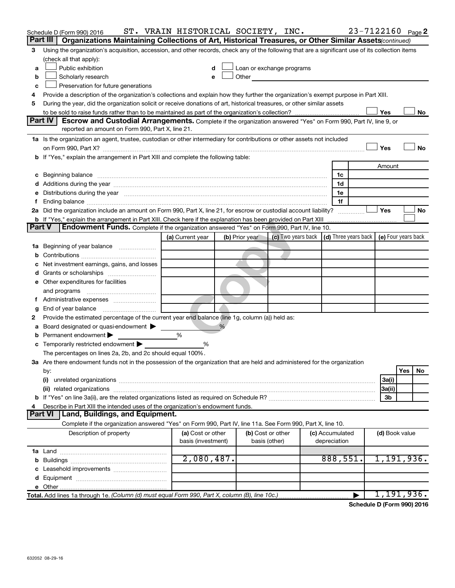|               | Schedule D (Form 990) 2016                                                                                                                                                                                                           | ST. VRAIN HISTORICAL SOCIETY, INC.      |                |                                                                                                                                                                                                                               |                                 | 23-7122160 Page 2                                                           |
|---------------|--------------------------------------------------------------------------------------------------------------------------------------------------------------------------------------------------------------------------------------|-----------------------------------------|----------------|-------------------------------------------------------------------------------------------------------------------------------------------------------------------------------------------------------------------------------|---------------------------------|-----------------------------------------------------------------------------|
|               | Part III  <br>Organizations Maintaining Collections of Art, Historical Treasures, or Other Similar Assets (continued)                                                                                                                |                                         |                |                                                                                                                                                                                                                               |                                 |                                                                             |
| 3             | Using the organization's acquisition, accession, and other records, check any of the following that are a significant use of its collection items                                                                                    |                                         |                |                                                                                                                                                                                                                               |                                 |                                                                             |
|               | (check all that apply):                                                                                                                                                                                                              |                                         |                |                                                                                                                                                                                                                               |                                 |                                                                             |
| a             | Public exhibition                                                                                                                                                                                                                    | d                                       |                | Loan or exchange programs                                                                                                                                                                                                     |                                 |                                                                             |
| b             | Scholarly research                                                                                                                                                                                                                   | e                                       |                | Other and the contract of the contract of the contract of the contract of the contract of the contract of the contract of the contract of the contract of the contract of the contract of the contract of the contract of the |                                 |                                                                             |
| c             | Preservation for future generations                                                                                                                                                                                                  |                                         |                |                                                                                                                                                                                                                               |                                 |                                                                             |
| 4             | Provide a description of the organization's collections and explain how they further the organization's exempt purpose in Part XIII.                                                                                                 |                                         |                |                                                                                                                                                                                                                               |                                 |                                                                             |
| 5             | During the year, did the organization solicit or receive donations of art, historical treasures, or other similar assets                                                                                                             |                                         |                |                                                                                                                                                                                                                               |                                 |                                                                             |
|               |                                                                                                                                                                                                                                      |                                         |                |                                                                                                                                                                                                                               |                                 | Yes<br>No                                                                   |
|               | Part IV<br>Escrow and Custodial Arrangements. Complete if the organization answered "Yes" on Form 990, Part IV, line 9, or<br>reported an amount on Form 990, Part X, line 21.                                                       |                                         |                |                                                                                                                                                                                                                               |                                 |                                                                             |
|               | 1a Is the organization an agent, trustee, custodian or other intermediary for contributions or other assets not included                                                                                                             |                                         |                |                                                                                                                                                                                                                               |                                 |                                                                             |
|               |                                                                                                                                                                                                                                      |                                         |                |                                                                                                                                                                                                                               |                                 | Yes<br>No                                                                   |
|               | b If "Yes," explain the arrangement in Part XIII and complete the following table:                                                                                                                                                   |                                         |                |                                                                                                                                                                                                                               |                                 |                                                                             |
|               |                                                                                                                                                                                                                                      |                                         |                |                                                                                                                                                                                                                               |                                 | Amount                                                                      |
|               | c Beginning balance <b>contract to the contract of the contract of the contract of the contract of the contract of the contract of the contract of the contract of the contract of the contract of the contract of the contract </b> |                                         |                |                                                                                                                                                                                                                               | 1c                              |                                                                             |
|               |                                                                                                                                                                                                                                      |                                         |                |                                                                                                                                                                                                                               | 1d                              |                                                                             |
|               | e Distributions during the year manufactured and continuum control of the control of the control of the state of the control of the control of the control of the control of the control of the control of the control of the        |                                         |                |                                                                                                                                                                                                                               | 1е                              |                                                                             |
|               |                                                                                                                                                                                                                                      |                                         |                |                                                                                                                                                                                                                               | 1f                              |                                                                             |
|               | 2a Did the organization include an amount on Form 990, Part X, line 21, for escrow or custodial account liability?                                                                                                                   |                                         |                |                                                                                                                                                                                                                               |                                 | Yes<br>No                                                                   |
|               |                                                                                                                                                                                                                                      |                                         |                |                                                                                                                                                                                                                               |                                 |                                                                             |
| <b>Part V</b> | <b>Endowment Funds.</b> Complete if the organization answered "Yes" on Form 990, Part IV, line 10.                                                                                                                                   |                                         |                |                                                                                                                                                                                                                               |                                 |                                                                             |
|               |                                                                                                                                                                                                                                      | (a) Current year                        | (b) Prior year |                                                                                                                                                                                                                               |                                 | (c) Two years back $\vert$ (d) Three years back $\vert$ (e) Four years back |
|               | 1a Beginning of year balance                                                                                                                                                                                                         |                                         |                |                                                                                                                                                                                                                               |                                 |                                                                             |
| b             |                                                                                                                                                                                                                                      |                                         |                |                                                                                                                                                                                                                               |                                 |                                                                             |
|               | Net investment earnings, gains, and losses                                                                                                                                                                                           |                                         |                |                                                                                                                                                                                                                               |                                 |                                                                             |
|               |                                                                                                                                                                                                                                      |                                         |                |                                                                                                                                                                                                                               |                                 |                                                                             |
|               | e Other expenditures for facilities                                                                                                                                                                                                  |                                         |                |                                                                                                                                                                                                                               |                                 |                                                                             |
|               | and programs                                                                                                                                                                                                                         |                                         |                |                                                                                                                                                                                                                               |                                 |                                                                             |
|               |                                                                                                                                                                                                                                      |                                         |                |                                                                                                                                                                                                                               |                                 |                                                                             |
| g             |                                                                                                                                                                                                                                      |                                         |                |                                                                                                                                                                                                                               |                                 |                                                                             |
| 2             | Provide the estimated percentage of the current year end balance (line 1g, column (a)) held as:                                                                                                                                      |                                         |                |                                                                                                                                                                                                                               |                                 |                                                                             |
|               | a Board designated or quasi-endowment                                                                                                                                                                                                |                                         | %              |                                                                                                                                                                                                                               |                                 |                                                                             |
| b             | Permanent endowment                                                                                                                                                                                                                  | %                                       |                |                                                                                                                                                                                                                               |                                 |                                                                             |
|               | <b>c</b> Temporarily restricted endowment $\blacktriangleright$                                                                                                                                                                      | %                                       |                |                                                                                                                                                                                                                               |                                 |                                                                             |
|               | The percentages on lines 2a, 2b, and 2c should equal 100%.                                                                                                                                                                           |                                         |                |                                                                                                                                                                                                                               |                                 |                                                                             |
|               | 3a Are there endowment funds not in the possession of the organization that are held and administered for the organization                                                                                                           |                                         |                |                                                                                                                                                                                                                               |                                 |                                                                             |
|               | by:                                                                                                                                                                                                                                  |                                         |                |                                                                                                                                                                                                                               |                                 | Yes<br>No                                                                   |
|               | (i)                                                                                                                                                                                                                                  |                                         |                |                                                                                                                                                                                                                               |                                 | 3a(i)                                                                       |
|               |                                                                                                                                                                                                                                      |                                         |                |                                                                                                                                                                                                                               |                                 | 3a(ii)                                                                      |
|               |                                                                                                                                                                                                                                      |                                         |                |                                                                                                                                                                                                                               |                                 | 3b                                                                          |
| 4             | Describe in Part XIII the intended uses of the organization's endowment funds.                                                                                                                                                       |                                         |                |                                                                                                                                                                                                                               |                                 |                                                                             |
|               | Land, Buildings, and Equipment.<br><b>Part VI</b>                                                                                                                                                                                    |                                         |                |                                                                                                                                                                                                                               |                                 |                                                                             |
|               | Complete if the organization answered "Yes" on Form 990, Part IV, line 11a. See Form 990, Part X, line 10.                                                                                                                           |                                         |                |                                                                                                                                                                                                                               |                                 |                                                                             |
|               | Description of property                                                                                                                                                                                                              | (a) Cost or other<br>basis (investment) |                | (b) Cost or other<br>basis (other)                                                                                                                                                                                            | (c) Accumulated<br>depreciation | (d) Book value                                                              |
|               |                                                                                                                                                                                                                                      |                                         |                |                                                                                                                                                                                                                               |                                 |                                                                             |
|               |                                                                                                                                                                                                                                      | 2,080,487.                              |                |                                                                                                                                                                                                                               | 888,551.                        | 1,191,936.                                                                  |
|               |                                                                                                                                                                                                                                      |                                         |                |                                                                                                                                                                                                                               |                                 |                                                                             |
|               |                                                                                                                                                                                                                                      |                                         |                |                                                                                                                                                                                                                               |                                 |                                                                             |
|               |                                                                                                                                                                                                                                      |                                         |                |                                                                                                                                                                                                                               |                                 |                                                                             |
|               | Total. Add lines 1a through 1e. (Column (d) must equal Form 990, Part X, column (B), line 10c.)                                                                                                                                      |                                         |                |                                                                                                                                                                                                                               | ▶                               | 1,191,936.                                                                  |

**Schedule D (Form 990) 2016**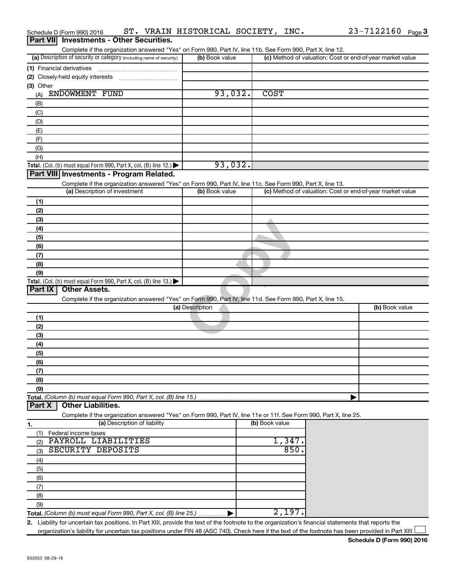| Schedule D (Form 990) 2016<br><b>Investments - Other Securities.</b><br>  Part VII                                                                   | ST. VRAIN HISTORICAL SOCIETY, INC. |                | 23-7122160 Page 3                                         |
|------------------------------------------------------------------------------------------------------------------------------------------------------|------------------------------------|----------------|-----------------------------------------------------------|
| Complete if the organization answered "Yes" on Form 990, Part IV, line 11b. See Form 990, Part X, line 12.                                           |                                    |                |                                                           |
| (a) Description of security or category (including name of security)                                                                                 | (b) Book value                     |                | (c) Method of valuation: Cost or end-of-year market value |
|                                                                                                                                                      |                                    |                |                                                           |
| (2) Closely-held equity interests                                                                                                                    |                                    |                |                                                           |
| (3) Other                                                                                                                                            |                                    |                |                                                           |
| ENDOWMENT FUND<br>(A)                                                                                                                                | 93,032.                            | <b>COST</b>    |                                                           |
| (B)                                                                                                                                                  |                                    |                |                                                           |
| (C)                                                                                                                                                  |                                    |                |                                                           |
| (D)                                                                                                                                                  |                                    |                |                                                           |
| (E)                                                                                                                                                  |                                    |                |                                                           |
| (F)<br>(G)                                                                                                                                           |                                    |                |                                                           |
| (H)                                                                                                                                                  |                                    |                |                                                           |
| Total. (Col. (b) must equal Form 990, Part X, col. (B) line 12.) $\blacktriangleright$                                                               | 93,032.                            |                |                                                           |
| Part VIII Investments - Program Related.                                                                                                             |                                    |                |                                                           |
| Complete if the organization answered "Yes" on Form 990, Part IV, line 11c. See Form 990, Part X, line 13.                                           |                                    |                |                                                           |
| (a) Description of investment                                                                                                                        | (b) Book value                     |                | (c) Method of valuation: Cost or end-of-year market value |
| (1)                                                                                                                                                  |                                    |                |                                                           |
| (2)                                                                                                                                                  |                                    |                |                                                           |
| (3)                                                                                                                                                  |                                    |                |                                                           |
| (4)                                                                                                                                                  |                                    |                |                                                           |
| (5)                                                                                                                                                  |                                    |                |                                                           |
| (6)                                                                                                                                                  |                                    |                |                                                           |
| (7)                                                                                                                                                  |                                    |                |                                                           |
| (8)                                                                                                                                                  |                                    |                |                                                           |
| (9)                                                                                                                                                  |                                    |                |                                                           |
| Total. (Col. (b) must equal Form 990, Part X, col. (B) line 13.) $\blacktriangleright$<br><b>Part IX</b><br><b>Other Assets.</b>                     |                                    |                |                                                           |
| Complete if the organization answered "Yes" on Form 990, Part IV, line 11d. See Form 990, Part X, line 15.                                           |                                    |                |                                                           |
|                                                                                                                                                      | (a) Description                    |                | (b) Book value                                            |
| (1)                                                                                                                                                  |                                    |                |                                                           |
| (2)                                                                                                                                                  |                                    |                |                                                           |
| (3)                                                                                                                                                  |                                    |                |                                                           |
| (4)                                                                                                                                                  |                                    |                |                                                           |
| (5)                                                                                                                                                  |                                    |                |                                                           |
| (6)                                                                                                                                                  |                                    |                |                                                           |
| (7)                                                                                                                                                  |                                    |                |                                                           |
| (8)                                                                                                                                                  |                                    |                |                                                           |
| (9)                                                                                                                                                  |                                    |                |                                                           |
| Total. (Column (b) must equal Form 990, Part X, col. (B) line 15.)                                                                                   |                                    |                |                                                           |
| <b>Other Liabilities.</b><br>  Part X                                                                                                                |                                    |                |                                                           |
| Complete if the organization answered "Yes" on Form 990, Part IV, line 11e or 11f. See Form 990, Part X, line 25.                                    |                                    |                |                                                           |
| (a) Description of liability<br>1.                                                                                                                   |                                    | (b) Book value |                                                           |
| Federal income taxes<br>(1)                                                                                                                          |                                    | 1,347          |                                                           |
| PAYROLL LIABILITIES<br>(2)<br>SECURITY DEPOSITS                                                                                                      |                                    | 850            |                                                           |
| (3)                                                                                                                                                  |                                    |                |                                                           |
| (4)                                                                                                                                                  |                                    |                |                                                           |
| (5)                                                                                                                                                  |                                    |                |                                                           |
| (6)<br>(7)                                                                                                                                           |                                    |                |                                                           |
| (8)                                                                                                                                                  |                                    |                |                                                           |
| (9)                                                                                                                                                  |                                    |                |                                                           |
| Total. (Column (b) must equal Form 990, Part X, col. (B) line 25.)                                                                                   |                                    | 2,197.         |                                                           |
| 2. Liability for uncertain tax positions. In Part XIII, provide the text of the footnote to the organization's financial statements that reports the |                                    |                |                                                           |

organization's liability for uncertain tax positions under FIN 48 (ASC 740). Check here if the text of the footnote has been provided in Part XIII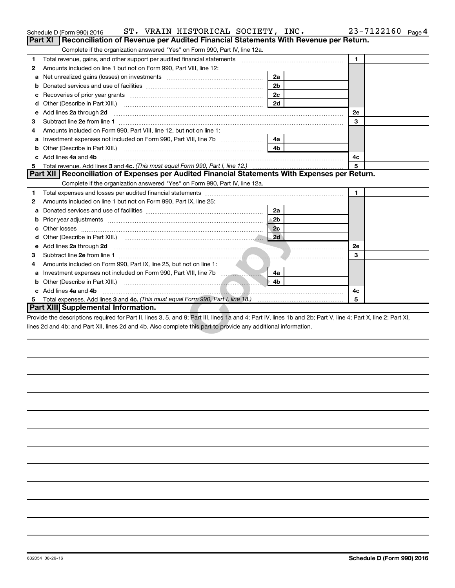| <b>Part XI</b> | ST. VRAIN HISTORICAL SOCIETY, INC.<br>Schedule D (Form 990) 2016<br>Reconciliation of Revenue per Audited Financial Statements With Revenue per Return.                                                                                                                          |                | $23 - 7122160$ Page 4 |
|----------------|----------------------------------------------------------------------------------------------------------------------------------------------------------------------------------------------------------------------------------------------------------------------------------|----------------|-----------------------|
|                | Complete if the organization answered "Yes" on Form 990, Part IV, line 12a.                                                                                                                                                                                                      |                |                       |
| 1              | Total revenue, gains, and other support per audited financial statements [11,111] [11] Total revenue, gains, and other support per audited financial statements                                                                                                                  |                | $\mathbf{1}$          |
| 2              | Amounts included on line 1 but not on Form 990, Part VIII, line 12:                                                                                                                                                                                                              |                |                       |
| a              | Net unrealized gains (losses) on investments [111] [12] matter contracts and the unrealized gains (losses) on investments [11] matter contracts and the unrealized gains (losses) on investments [11] matter contracts and the                                                   | 2a             |                       |
| b              |                                                                                                                                                                                                                                                                                  | 2 <sub>b</sub> |                       |
| с              | Recoveries of prior year grants [11,111] Recoveries of prior year grants [11,111] Recoveries of prior year grants                                                                                                                                                                | 2 <sub>c</sub> |                       |
| d              | Other (Describe in Part XIII.)                                                                                                                                                                                                                                                   | 2d             |                       |
| е              | Add lines 2a through 2d                                                                                                                                                                                                                                                          |                | 2е                    |
| З              |                                                                                                                                                                                                                                                                                  |                | 3                     |
| 4              | Amounts included on Form 990, Part VIII, line 12, but not on line 1:                                                                                                                                                                                                             |                |                       |
| a              |                                                                                                                                                                                                                                                                                  | 4a             |                       |
|                |                                                                                                                                                                                                                                                                                  | 4b             |                       |
|                | Add lines 4a and 4b                                                                                                                                                                                                                                                              |                | 4с                    |
| 5              |                                                                                                                                                                                                                                                                                  |                | 5                     |
|                | Part XII   Reconciliation of Expenses per Audited Financial Statements With Expenses per Return.                                                                                                                                                                                 |                |                       |
|                | Complete if the organization answered "Yes" on Form 990, Part IV, line 12a.                                                                                                                                                                                                      |                |                       |
| 1              |                                                                                                                                                                                                                                                                                  |                | $\blacksquare$        |
| 2              | Amounts included on line 1 but not on Form 990, Part IX, line 25:                                                                                                                                                                                                                |                |                       |
| a              |                                                                                                                                                                                                                                                                                  | 2a             |                       |
| b              |                                                                                                                                                                                                                                                                                  | 2 <sub>b</sub> |                       |
| c              | Other losses                                                                                                                                                                                                                                                                     | 2c             |                       |
| d              |                                                                                                                                                                                                                                                                                  | 2d             |                       |
| е              | Add lines 2a through 2d <b>minimum contracts</b> and the set of the set of the set of the set of the set of the set of the set of the set of the set of the set of the set of the set of the set of the set of the set of the set o                                              |                | 2е                    |
| 3              |                                                                                                                                                                                                                                                                                  |                | 3                     |
| 4              | Amounts included on Form 990, Part IX, line 25, but not on line 1:                                                                                                                                                                                                               |                |                       |
| a              |                                                                                                                                                                                                                                                                                  | 4a             |                       |
|                |                                                                                                                                                                                                                                                                                  | 4b             |                       |
|                | c Add lines 4a and 4b                                                                                                                                                                                                                                                            |                | 4c                    |
| 5              |                                                                                                                                                                                                                                                                                  |                | 5                     |
|                | Part XIII Supplemental Information.                                                                                                                                                                                                                                              |                |                       |
|                | Provide the descriptions required for Part II, lines 3, 5, and 9; Part III, lines 1a and 4; Part IV, lines 1b and 2b; Part V, line 4; Part X, line 2; Part XI,<br>lines 2d and 4b; and Part XII, lines 2d and 4b. Also complete this part to provide any additional information. |                |                       |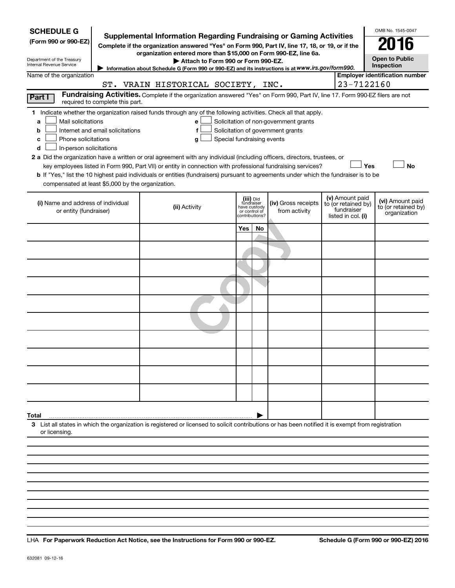| <b>SCHEDULE G</b><br>(Form 990 or 990-EZ)<br>Department of the Treasury<br>Internal Revenue Service                                                                                                                                                                                                                                                                                                                                                                                                                                                                                                                                                                                        | Supplemental Information Regarding Fundraising or Gaming Activities<br>Complete if the organization answered "Yes" on Form 990, Part IV, line 17, 18, or 19, or if the<br>organization entered more than \$15,000 on Form 990-EZ, line 6a.<br>Attach to Form 990 or Form 990-EZ.<br>Information about Schedule G (Form 990 or 990-EZ) and its instructions is at WWW.irs.gov/form990. |                               |                                           |                                                                            |                                                                            | OMB No. 1545-0047<br><b>Open to Public</b><br><b>Inspection</b> |
|--------------------------------------------------------------------------------------------------------------------------------------------------------------------------------------------------------------------------------------------------------------------------------------------------------------------------------------------------------------------------------------------------------------------------------------------------------------------------------------------------------------------------------------------------------------------------------------------------------------------------------------------------------------------------------------------|---------------------------------------------------------------------------------------------------------------------------------------------------------------------------------------------------------------------------------------------------------------------------------------------------------------------------------------------------------------------------------------|-------------------------------|-------------------------------------------|----------------------------------------------------------------------------|----------------------------------------------------------------------------|-----------------------------------------------------------------|
| Name of the organization                                                                                                                                                                                                                                                                                                                                                                                                                                                                                                                                                                                                                                                                   | ST. VRAIN HISTORICAL SOCIETY, INC.                                                                                                                                                                                                                                                                                                                                                    |                               |                                           |                                                                            | 23-7122160                                                                 | <b>Employer identification number</b>                           |
| Part I<br>required to complete this part.                                                                                                                                                                                                                                                                                                                                                                                                                                                                                                                                                                                                                                                  | Fundraising Activities. Complete if the organization answered "Yes" on Form 990, Part IV, line 17. Form 990-EZ filers are not                                                                                                                                                                                                                                                         |                               |                                           |                                                                            |                                                                            |                                                                 |
| 1 Indicate whether the organization raised funds through any of the following activities. Check all that apply.<br>Mail solicitations<br>a<br>Internet and email solicitations<br>b<br>Phone solicitations<br>c<br>In-person solicitations<br>d<br>2 a Did the organization have a written or oral agreement with any individual (including officers, directors, trustees, or<br>key employees listed in Form 990, Part VII) or entity in connection with professional fundraising services?<br>b If "Yes," list the 10 highest paid individuals or entities (fundraisers) pursuant to agreements under which the fundraiser is to be<br>compensated at least \$5,000 by the organization. | е<br>f<br>Special fundraising events<br>g                                                                                                                                                                                                                                                                                                                                             |                               |                                           | Solicitation of non-government grants<br>Solicitation of government grants | Yes                                                                        | <b>No</b>                                                       |
| (i) Name and address of individual<br>or entity (fundraiser)                                                                                                                                                                                                                                                                                                                                                                                                                                                                                                                                                                                                                               | (ii) Activity                                                                                                                                                                                                                                                                                                                                                                         | have custody<br>or control of | (iii) Did<br>fundraiser<br>contributions? | (iv) Gross receipts<br>from activity                                       | (v) Amount paid<br>to (or retained by)<br>fundraiser<br>listed in col. (i) | (vi) Amount paid<br>to (or retained by)<br>organization         |
|                                                                                                                                                                                                                                                                                                                                                                                                                                                                                                                                                                                                                                                                                            |                                                                                                                                                                                                                                                                                                                                                                                       | <b>Yes</b>                    | No                                        |                                                                            |                                                                            |                                                                 |
|                                                                                                                                                                                                                                                                                                                                                                                                                                                                                                                                                                                                                                                                                            |                                                                                                                                                                                                                                                                                                                                                                                       |                               |                                           |                                                                            |                                                                            |                                                                 |
|                                                                                                                                                                                                                                                                                                                                                                                                                                                                                                                                                                                                                                                                                            |                                                                                                                                                                                                                                                                                                                                                                                       |                               |                                           |                                                                            |                                                                            |                                                                 |
|                                                                                                                                                                                                                                                                                                                                                                                                                                                                                                                                                                                                                                                                                            |                                                                                                                                                                                                                                                                                                                                                                                       |                               |                                           |                                                                            |                                                                            |                                                                 |
|                                                                                                                                                                                                                                                                                                                                                                                                                                                                                                                                                                                                                                                                                            |                                                                                                                                                                                                                                                                                                                                                                                       |                               |                                           |                                                                            |                                                                            |                                                                 |
|                                                                                                                                                                                                                                                                                                                                                                                                                                                                                                                                                                                                                                                                                            |                                                                                                                                                                                                                                                                                                                                                                                       |                               |                                           |                                                                            |                                                                            |                                                                 |
| Total<br>3 List all states in which the organization is registered or licensed to solicit contributions or has been notified it is exempt from registration                                                                                                                                                                                                                                                                                                                                                                                                                                                                                                                                |                                                                                                                                                                                                                                                                                                                                                                                       |                               |                                           |                                                                            |                                                                            |                                                                 |
| or licensing.                                                                                                                                                                                                                                                                                                                                                                                                                                                                                                                                                                                                                                                                              |                                                                                                                                                                                                                                                                                                                                                                                       |                               |                                           |                                                                            |                                                                            |                                                                 |

**For Paperwork Reduction Act Notice, see the Instructions for Form 990 or 990-EZ. Schedule G (Form 990 or 990-EZ) 2016** LHA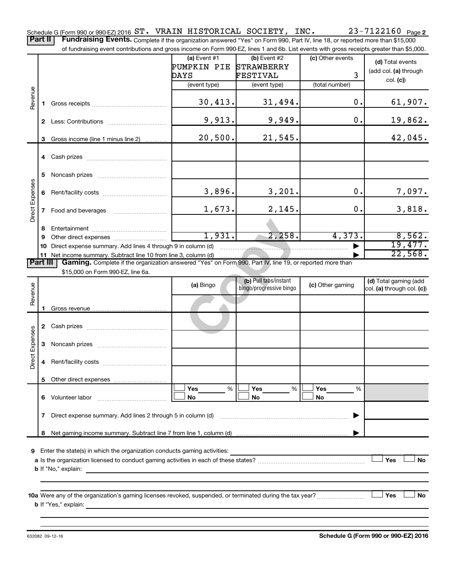23-7122160 Page 2 Schedule G (Form 990 or 990-EZ) 2016  $\texttt{ST\text{-}VRAIN \; HISTORICAL \; SOCIENT}$  ,  $\texttt{INC\text{-} } 23\text{-}7122160 \;$  Page Part II | Fundraising Events. Complete if the organization answered "Yes" on Form 990, Part IV, line 18, or reported more than \$15,000

of fundraising event contributions and gross income on Form 990-EZ, lines 1 and 6b. List events with gross receipts greater than \$5,000.

| OF RINGLASHIY EVENT CONTINUUDIS AND YNOS INCOME ON FOND YSD-LL, IINES 'FAND OD. LIST EVENTS WITH YNOS FECEIDIS YNEAER THAN PJ,000. |                |                                                                                                          |                |                         |                  |                            |  |  |
|------------------------------------------------------------------------------------------------------------------------------------|----------------|----------------------------------------------------------------------------------------------------------|----------------|-------------------------|------------------|----------------------------|--|--|
|                                                                                                                                    |                |                                                                                                          | (a) Event $#1$ | $(b)$ Event #2          | (c) Other events | (d) Total events           |  |  |
|                                                                                                                                    |                |                                                                                                          | PUMPKIN PIE    | <b>STRAWBERRY</b>       |                  |                            |  |  |
|                                                                                                                                    |                |                                                                                                          | DAYS           | FESTIVAL                | 3                | (add col. (a) through      |  |  |
|                                                                                                                                    |                |                                                                                                          | (event type)   | (event type)            | (total number)   | col. (c)                   |  |  |
| Revenue                                                                                                                            |                |                                                                                                          |                |                         |                  |                            |  |  |
|                                                                                                                                    |                |                                                                                                          | 30,413.        | 31,494.                 | 0.               | 61,907.                    |  |  |
|                                                                                                                                    | 1.             |                                                                                                          |                |                         |                  |                            |  |  |
|                                                                                                                                    |                |                                                                                                          | 9,913.         | 9,949.                  | 0.               |                            |  |  |
|                                                                                                                                    |                |                                                                                                          |                |                         |                  | 19,862.                    |  |  |
|                                                                                                                                    |                |                                                                                                          |                |                         |                  |                            |  |  |
|                                                                                                                                    | 3              | Gross income (line 1 minus line 2)                                                                       | 20,500.        | 21,545.                 |                  | 42,045.                    |  |  |
|                                                                                                                                    |                |                                                                                                          |                |                         |                  |                            |  |  |
|                                                                                                                                    |                |                                                                                                          |                |                         |                  |                            |  |  |
|                                                                                                                                    |                |                                                                                                          |                |                         |                  |                            |  |  |
|                                                                                                                                    | 5              |                                                                                                          |                |                         |                  |                            |  |  |
|                                                                                                                                    |                |                                                                                                          |                |                         |                  |                            |  |  |
|                                                                                                                                    | 6              |                                                                                                          | 3,896.         | 3,201.                  | $0$ .            | 7,097.                     |  |  |
| <b>Direct Expenses</b>                                                                                                             |                |                                                                                                          |                |                         |                  |                            |  |  |
|                                                                                                                                    | $\overline{7}$ |                                                                                                          | 1,673.         | 2,145.                  | 0.               | 3,818.                     |  |  |
|                                                                                                                                    |                |                                                                                                          |                |                         |                  |                            |  |  |
|                                                                                                                                    | 8              |                                                                                                          |                |                         |                  |                            |  |  |
|                                                                                                                                    | 9              |                                                                                                          | 1,931.         | 2, 258.                 | 4,373.           | 8,562.                     |  |  |
|                                                                                                                                    | 10             | Direct expense summary. Add lines 4 through 9 in column (d)                                              |                |                         |                  | 19,477.                    |  |  |
|                                                                                                                                    |                |                                                                                                          |                |                         |                  | 22,568.                    |  |  |
| Part III                                                                                                                           |                | Gaming. Complete if the organization answered "Yes" on Form 990, Part IV, line 19, or reported more than |                |                         |                  |                            |  |  |
|                                                                                                                                    |                | \$15,000 on Form 990-EZ, line 6a.                                                                        |                |                         |                  |                            |  |  |
|                                                                                                                                    |                |                                                                                                          |                | (b) Pull tabs/instant   |                  | (d) Total gaming (add      |  |  |
|                                                                                                                                    |                |                                                                                                          | (a) Bingo      | bingo/progressive bingo | (c) Other gaming | col. (a) through col. (c)) |  |  |
| Revenue                                                                                                                            |                |                                                                                                          |                |                         |                  |                            |  |  |
|                                                                                                                                    |                |                                                                                                          |                |                         |                  |                            |  |  |
|                                                                                                                                    | 1.             |                                                                                                          |                |                         |                  |                            |  |  |
| Direct Expenses                                                                                                                    |                |                                                                                                          |                |                         |                  |                            |  |  |
|                                                                                                                                    |                |                                                                                                          |                |                         |                  |                            |  |  |
|                                                                                                                                    |                |                                                                                                          |                |                         |                  |                            |  |  |
|                                                                                                                                    | 3              |                                                                                                          |                |                         |                  |                            |  |  |
|                                                                                                                                    |                |                                                                                                          |                |                         |                  |                            |  |  |
|                                                                                                                                    |                |                                                                                                          |                |                         |                  |                            |  |  |
|                                                                                                                                    |                |                                                                                                          |                |                         |                  |                            |  |  |

**9** Enter the state(s) in which the organization conducts gaming activities:

**8** Net gaming income summary. Subtract line 7 from line 1, column (d)

| a Is the organization licensed to conduct gaming activities in each of these states? |  | Yes | No |
|--------------------------------------------------------------------------------------|--|-----|----|
| <b>b</b> If "No." explain:                                                           |  |     |    |

**Yes Yes Yes** % % % † † † **No No No**

 $|\Box$  No  $|\Box$  No  $|\Box$ 

|

**10 a Yes No** Were any of the organization's gaming licenses revoked, suspended, or terminated during the tax year? ~~~~~~~~~ † † **b** If "Yes," explain:

**7** Direct expense summary. Add lines 2 through 5 in column (d) ~~~~~~~~~~~~~~~~~~~~~~~~ |

632082 09-12-16

**5** Other direct expenses

**6** Volunteer labor ~~~~~~~~~~~~~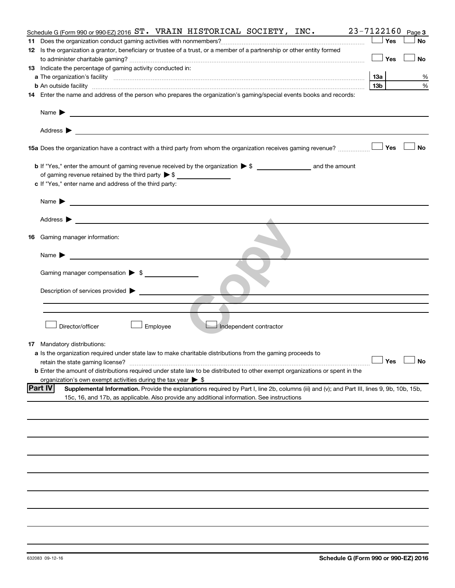|                            | 23-7122160<br>Schedule G (Form 990 or 990-EZ) 2016 $ST.$ VRAIN HISTORICAL SOCIETY, INC.                                                     |                 |     | Page 3               |  |  |  |  |
|----------------------------|---------------------------------------------------------------------------------------------------------------------------------------------|-----------------|-----|----------------------|--|--|--|--|
|                            |                                                                                                                                             |                 | Yes | No                   |  |  |  |  |
|                            | 12 Is the organization a grantor, beneficiary or trustee of a trust, or a member of a partnership or other entity formed                    |                 |     |                      |  |  |  |  |
|                            |                                                                                                                                             |                 | Yes | No                   |  |  |  |  |
|                            | 13 Indicate the percentage of gaming activity conducted in:                                                                                 |                 |     |                      |  |  |  |  |
|                            |                                                                                                                                             | 1За             |     | %                    |  |  |  |  |
|                            |                                                                                                                                             | 13 <sub>b</sub> |     | %                    |  |  |  |  |
|                            | 14 Enter the name and address of the person who prepares the organization's gaming/special events books and records:                        |                 |     |                      |  |  |  |  |
|                            |                                                                                                                                             |                 |     |                      |  |  |  |  |
| Name $\blacktriangleright$ | <u>and the contract of the contract of the contract of the contract of the contract of the contract of the contract of</u>                  |                 |     |                      |  |  |  |  |
|                            |                                                                                                                                             |                 |     |                      |  |  |  |  |
|                            | 15a Does the organization have a contract with a third party from whom the organization receives gaming revenue?                            |                 | Yes | <b>No</b>            |  |  |  |  |
|                            |                                                                                                                                             |                 |     |                      |  |  |  |  |
|                            | of gaming revenue retained by the third party $\triangleright$ \$                                                                           |                 |     |                      |  |  |  |  |
|                            | c If "Yes," enter name and address of the third party:                                                                                      |                 |     |                      |  |  |  |  |
|                            |                                                                                                                                             |                 |     |                      |  |  |  |  |
| Name $\blacktriangleright$ | <u> 1989 - Johann Stein, marwolaethau a bhann an t-Amhainn an t-Amhainn an t-Amhainn an t-Amhainn an t-Amhainn an</u>                       |                 |     |                      |  |  |  |  |
|                            | Address $\blacktriangleright$                                                                                                               |                 |     |                      |  |  |  |  |
|                            |                                                                                                                                             |                 |     |                      |  |  |  |  |
|                            | <b>16</b> Gaming manager information:                                                                                                       |                 |     |                      |  |  |  |  |
| Name $\blacktriangleright$ | <u> 1989 - Johann Barbara, martxa a</u>                                                                                                     |                 |     |                      |  |  |  |  |
|                            | Gaming manager compensation $\triangleright$ \$                                                                                             |                 |     |                      |  |  |  |  |
|                            | Description of services provided >                                                                                                          |                 |     |                      |  |  |  |  |
|                            |                                                                                                                                             |                 |     |                      |  |  |  |  |
|                            |                                                                                                                                             |                 |     |                      |  |  |  |  |
|                            | Director/officer<br>Employee<br>Independent contractor                                                                                      |                 |     |                      |  |  |  |  |
|                            | <b>17</b> Mandatory distributions:                                                                                                          |                 |     |                      |  |  |  |  |
|                            | <b>a</b> Is the organization required under state law to make charitable distributions from the gaming proceeds to                          |                 |     |                      |  |  |  |  |
|                            |                                                                                                                                             |                 |     | $\Box$ Yes $\Box$ No |  |  |  |  |
|                            | <b>b</b> Enter the amount of distributions required under state law to be distributed to other exempt organizations or spent in the         |                 |     |                      |  |  |  |  |
|                            | organization's own exempt activities during the tax year $\triangleright$ \$                                                                |                 |     |                      |  |  |  |  |
| <b>Part IV</b>             | Supplemental Information. Provide the explanations required by Part I, line 2b, columns (iii) and (v); and Part III, lines 9, 9b, 10b, 15b, |                 |     |                      |  |  |  |  |
|                            | 15c, 16, and 17b, as applicable. Also provide any additional information. See instructions                                                  |                 |     |                      |  |  |  |  |
|                            |                                                                                                                                             |                 |     |                      |  |  |  |  |
|                            |                                                                                                                                             |                 |     |                      |  |  |  |  |
|                            |                                                                                                                                             |                 |     |                      |  |  |  |  |
|                            |                                                                                                                                             |                 |     |                      |  |  |  |  |
|                            |                                                                                                                                             |                 |     |                      |  |  |  |  |
|                            |                                                                                                                                             |                 |     |                      |  |  |  |  |
|                            |                                                                                                                                             |                 |     |                      |  |  |  |  |
|                            |                                                                                                                                             |                 |     |                      |  |  |  |  |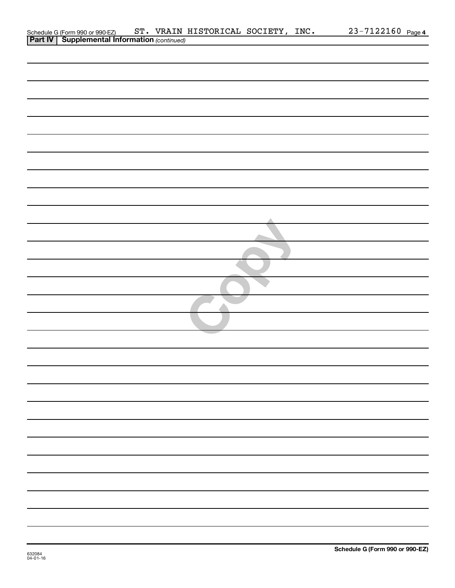| Schedule G (Form 990 or 990-EZ) ST. VRAIN<br><b>Part IV</b> Supplemental Information (continued) |  | ST. VRAIN HISTORICAL SOCIETY, INC. |  | 23-7122160 Page 4 |  |
|--------------------------------------------------------------------------------------------------|--|------------------------------------|--|-------------------|--|
|                                                                                                  |  |                                    |  |                   |  |
|                                                                                                  |  |                                    |  |                   |  |
|                                                                                                  |  |                                    |  |                   |  |
|                                                                                                  |  |                                    |  |                   |  |
|                                                                                                  |  |                                    |  |                   |  |
|                                                                                                  |  |                                    |  |                   |  |
|                                                                                                  |  |                                    |  |                   |  |
|                                                                                                  |  |                                    |  |                   |  |
|                                                                                                  |  |                                    |  |                   |  |
|                                                                                                  |  |                                    |  |                   |  |
|                                                                                                  |  |                                    |  |                   |  |
|                                                                                                  |  |                                    |  |                   |  |
|                                                                                                  |  |                                    |  |                   |  |
|                                                                                                  |  |                                    |  |                   |  |
|                                                                                                  |  |                                    |  |                   |  |
|                                                                                                  |  |                                    |  |                   |  |
|                                                                                                  |  |                                    |  |                   |  |
|                                                                                                  |  |                                    |  |                   |  |
|                                                                                                  |  |                                    |  |                   |  |
|                                                                                                  |  |                                    |  |                   |  |
|                                                                                                  |  |                                    |  |                   |  |
|                                                                                                  |  |                                    |  |                   |  |
|                                                                                                  |  |                                    |  |                   |  |
|                                                                                                  |  |                                    |  |                   |  |
|                                                                                                  |  |                                    |  |                   |  |
|                                                                                                  |  |                                    |  |                   |  |
|                                                                                                  |  |                                    |  |                   |  |
|                                                                                                  |  |                                    |  |                   |  |
|                                                                                                  |  |                                    |  |                   |  |
|                                                                                                  |  |                                    |  |                   |  |
|                                                                                                  |  |                                    |  |                   |  |
|                                                                                                  |  |                                    |  |                   |  |
|                                                                                                  |  |                                    |  |                   |  |
|                                                                                                  |  |                                    |  |                   |  |
|                                                                                                  |  |                                    |  |                   |  |
|                                                                                                  |  |                                    |  |                   |  |
|                                                                                                  |  |                                    |  |                   |  |
|                                                                                                  |  |                                    |  |                   |  |
|                                                                                                  |  |                                    |  |                   |  |
|                                                                                                  |  |                                    |  |                   |  |
|                                                                                                  |  |                                    |  |                   |  |
|                                                                                                  |  |                                    |  |                   |  |
|                                                                                                  |  |                                    |  |                   |  |
|                                                                                                  |  |                                    |  |                   |  |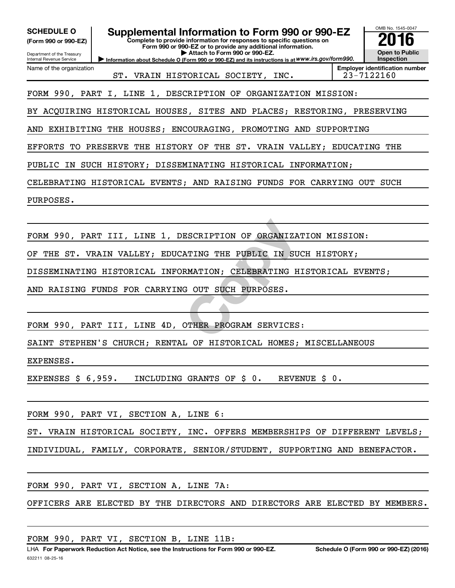| Supplemental Information to Form 990 or 990-EZ<br><b>SCHEDULE O</b><br>Complete to provide information for responses to specific questions on<br>(Form 990 or 990-EZ)<br>Form 990 or 990-EZ or to provide any additional information.<br>Attach to Form 990 or 990-EZ.<br>Department of the Treasury<br>Information about Schedule O (Form 990 or 990-EZ) and its instructions is at WWW.irs.gov/form990.<br>Internal Revenue Service | OMB No. 1545-0047<br><b>Open to Public</b><br><b>Inspection</b>             |  |  |  |  |  |  |
|---------------------------------------------------------------------------------------------------------------------------------------------------------------------------------------------------------------------------------------------------------------------------------------------------------------------------------------------------------------------------------------------------------------------------------------|-----------------------------------------------------------------------------|--|--|--|--|--|--|
| Name of the organization<br>ST. VRAIN HISTORICAL SOCIETY, INC.                                                                                                                                                                                                                                                                                                                                                                        | <b>Employer identification number</b><br>23-7122160                         |  |  |  |  |  |  |
| FORM 990, PART I, LINE 1, DESCRIPTION OF ORGANIZATION MISSION:                                                                                                                                                                                                                                                                                                                                                                        |                                                                             |  |  |  |  |  |  |
| BY ACQUIRING HISTORICAL HOUSES, SITES AND PLACES; RESTORING, PRESERVING                                                                                                                                                                                                                                                                                                                                                               |                                                                             |  |  |  |  |  |  |
| EXHIBITING THE HOUSES; ENCOURAGING, PROMOTING AND SUPPORTING<br>AND                                                                                                                                                                                                                                                                                                                                                                   |                                                                             |  |  |  |  |  |  |
| EFFORTS<br>TO PRESERVE THE HISTORY OF THE ST. VRAIN VALLEY; EDUCATING THE                                                                                                                                                                                                                                                                                                                                                             |                                                                             |  |  |  |  |  |  |
| IN SUCH HISTORY; DISSEMINATING HISTORICAL INFORMATION;<br>PUBLIC                                                                                                                                                                                                                                                                                                                                                                      |                                                                             |  |  |  |  |  |  |
| CELEBRATING HISTORICAL EVENTS; AND RAISING FUNDS FOR CARRYING OUT SUCH                                                                                                                                                                                                                                                                                                                                                                |                                                                             |  |  |  |  |  |  |
| PURPOSES.                                                                                                                                                                                                                                                                                                                                                                                                                             |                                                                             |  |  |  |  |  |  |
|                                                                                                                                                                                                                                                                                                                                                                                                                                       |                                                                             |  |  |  |  |  |  |
| FORM 990, PART III, LINE 1, DESCRIPTION OF ORGANIZATION MISSION:                                                                                                                                                                                                                                                                                                                                                                      |                                                                             |  |  |  |  |  |  |
| THE ST. VRAIN VALLEY; EDUCATING THE PUBLIC IN SUCH HISTORY;<br>ОF                                                                                                                                                                                                                                                                                                                                                                     |                                                                             |  |  |  |  |  |  |
| DISSEMINATING HISTORICAL INFORMATION; CELEBRATING HISTORICAL EVENTS;                                                                                                                                                                                                                                                                                                                                                                  |                                                                             |  |  |  |  |  |  |
| AND RAISING FUNDS FOR CARRYING OUT SUCH PURPOSES.                                                                                                                                                                                                                                                                                                                                                                                     |                                                                             |  |  |  |  |  |  |
|                                                                                                                                                                                                                                                                                                                                                                                                                                       |                                                                             |  |  |  |  |  |  |
| FORM 990, PART III, LINE 4D, OTHER PROGRAM SERVICES:                                                                                                                                                                                                                                                                                                                                                                                  |                                                                             |  |  |  |  |  |  |
| SAINT STEPHEN'S CHURCH; RENTAL OF HISTORICAL HOMES; MISCELLANEOUS                                                                                                                                                                                                                                                                                                                                                                     |                                                                             |  |  |  |  |  |  |
| EXPENSES.                                                                                                                                                                                                                                                                                                                                                                                                                             |                                                                             |  |  |  |  |  |  |
| EXPENSES $\frac{1}{5}$ 6,959. INCLUDING GRANTS OF $\frac{1}{5}$ 0. REVENUE $\frac{1}{5}$ 0.                                                                                                                                                                                                                                                                                                                                           |                                                                             |  |  |  |  |  |  |
|                                                                                                                                                                                                                                                                                                                                                                                                                                       |                                                                             |  |  |  |  |  |  |
| FORM 990, PART VI, SECTION A, LINE 6:                                                                                                                                                                                                                                                                                                                                                                                                 |                                                                             |  |  |  |  |  |  |
| ST. VRAIN HISTORICAL SOCIETY, INC. OFFERS MEMBERSHIPS OF DIFFERENT LEVELS;                                                                                                                                                                                                                                                                                                                                                            |                                                                             |  |  |  |  |  |  |
| INDIVIDUAL, FAMILY, CORPORATE, SENIOR/STUDENT, SUPPORTING AND BENEFACTOR.                                                                                                                                                                                                                                                                                                                                                             |                                                                             |  |  |  |  |  |  |
|                                                                                                                                                                                                                                                                                                                                                                                                                                       |                                                                             |  |  |  |  |  |  |
| FORM 990, PART VI, SECTION A, LINE 7A:                                                                                                                                                                                                                                                                                                                                                                                                |                                                                             |  |  |  |  |  |  |
|                                                                                                                                                                                                                                                                                                                                                                                                                                       | OFFICERS ARE ELECTED BY THE DIRECTORS AND DIRECTORS ARE ELECTED BY MEMBERS. |  |  |  |  |  |  |
|                                                                                                                                                                                                                                                                                                                                                                                                                                       |                                                                             |  |  |  |  |  |  |

FORM 990, PART VI, SECTION B, LINE 11B: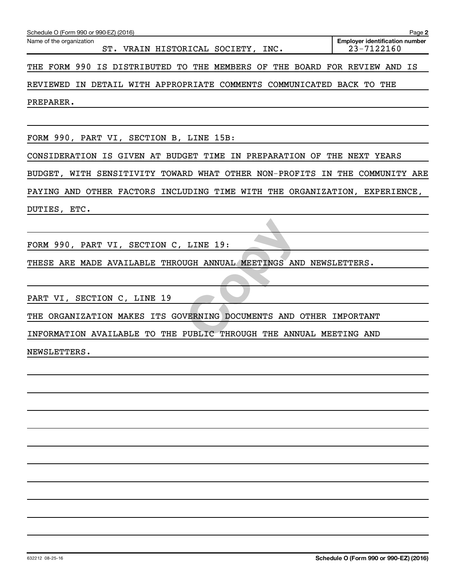| Schedule O (Form 990 or 990-EZ) (2016)                                      | Page 2                                              |
|-----------------------------------------------------------------------------|-----------------------------------------------------|
| Name of the organization<br>ST. VRAIN HISTORICAL SOCIETY, INC.              | <b>Employer identification number</b><br>23-7122160 |
| THE FORM 990 IS DISTRIBUTED TO THE MEMBERS OF THE BOARD FOR REVIEW AND IS   |                                                     |
| REVIEWED IN DETAIL WITH APPROPRIATE COMMENTS COMMUNICATED BACK TO THE       |                                                     |
| PREPARER.                                                                   |                                                     |
|                                                                             |                                                     |
| FORM 990, PART VI, SECTION B, LINE 15B:                                     |                                                     |
| CONSIDERATION IS GIVEN AT BUDGET TIME IN PREPARATION OF THE NEXT YEARS      |                                                     |
| BUDGET, WITH SENSITIVITY TOWARD WHAT OTHER NON-PROFITS IN THE COMMUNITY ARE |                                                     |
| PAYING AND OTHER FACTORS INCLUDING TIME WITH THE ORGANIZATION, EXPERIENCE,  |                                                     |
| DUTIES, ETC.                                                                |                                                     |
|                                                                             |                                                     |
| FORM 990, PART VI, SECTION C, LINE 19:                                      |                                                     |
| THESE ARE MADE AVAILABLE THROUGH ANNUAL MEETINGS AND NEWSLETTERS.           |                                                     |
|                                                                             |                                                     |
| PART VI, SECTION C, LINE 19                                                 |                                                     |
| THE ORGANIZATION MAKES ITS GOVERNING DOCUMENTS AND OTHER IMPORTANT          |                                                     |
| INFORMATION AVAILABLE TO THE PUBLIC THROUGH THE ANNUAL MEETING AND          |                                                     |
| NEWSLETTERS.                                                                |                                                     |
|                                                                             |                                                     |
|                                                                             |                                                     |
|                                                                             |                                                     |